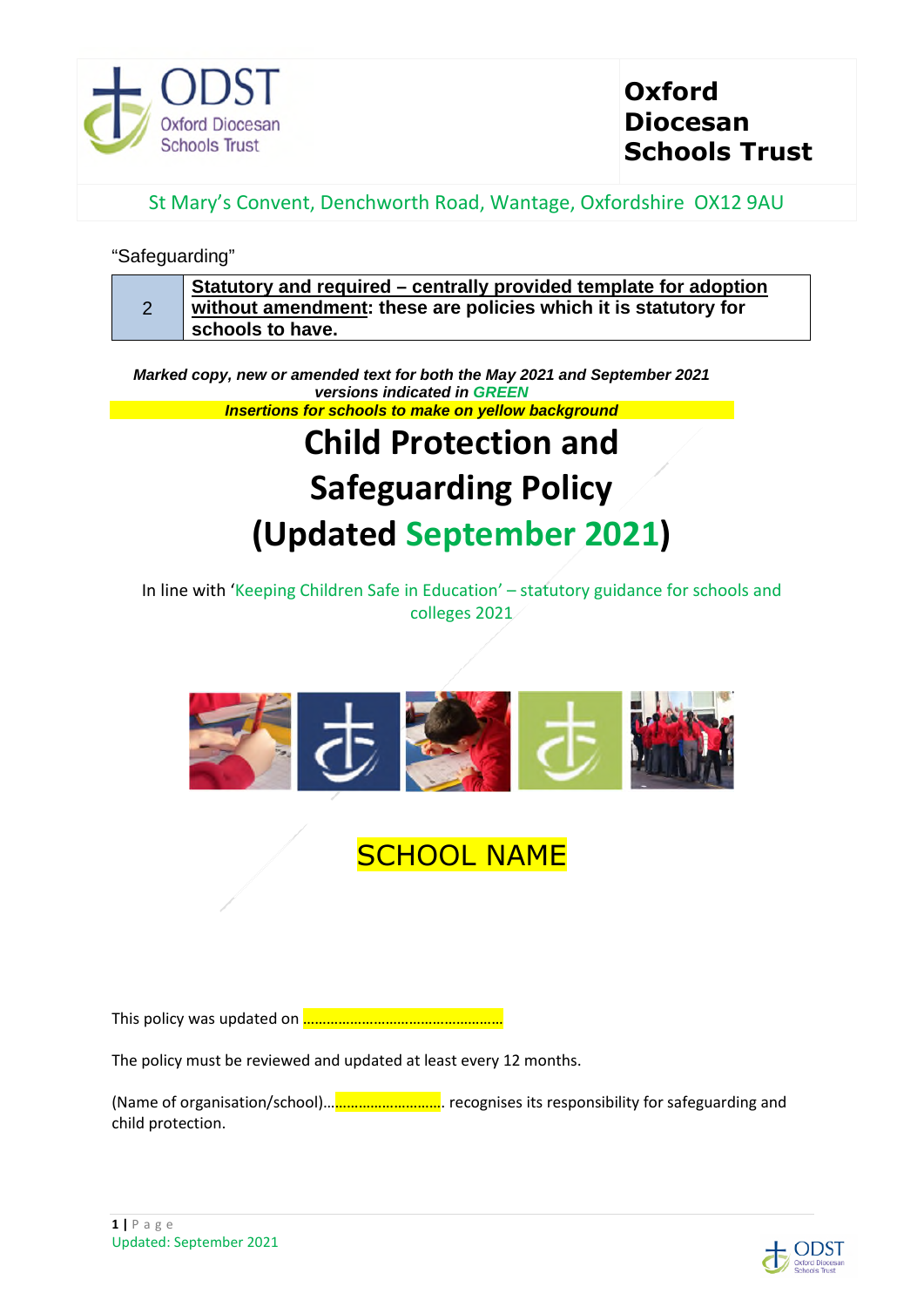

# **Oxford Diocesan Schools Trust**

St Mary's Convent, Denchworth Road, Wantage, Oxfordshire OX12 9AU

## "Safeguarding"

| $\sim$ | Statutory and required – centrally provided template for adoption<br>without amendment: these are policies which it is statutory for |
|--------|--------------------------------------------------------------------------------------------------------------------------------------|
|        | schools to have.                                                                                                                     |

*Marked copy, new or amended text for both the May 2021 and September 2021 versions indicated in GREEN Insertions for schools to make on yellow background*

# **Child Protection and Safeguarding Policy (Updated September 2021)**

In line with 'Keeping Children Safe in Education' – statutory guidance for schools and colleges 2021



# **SCHOOL NAME**

This policy was updated on ……………………………………………

The policy must be reviewed and updated at least every 12 months.

(Name of organisation/school)…………………………. recognises its responsibility for safeguarding and child protection.

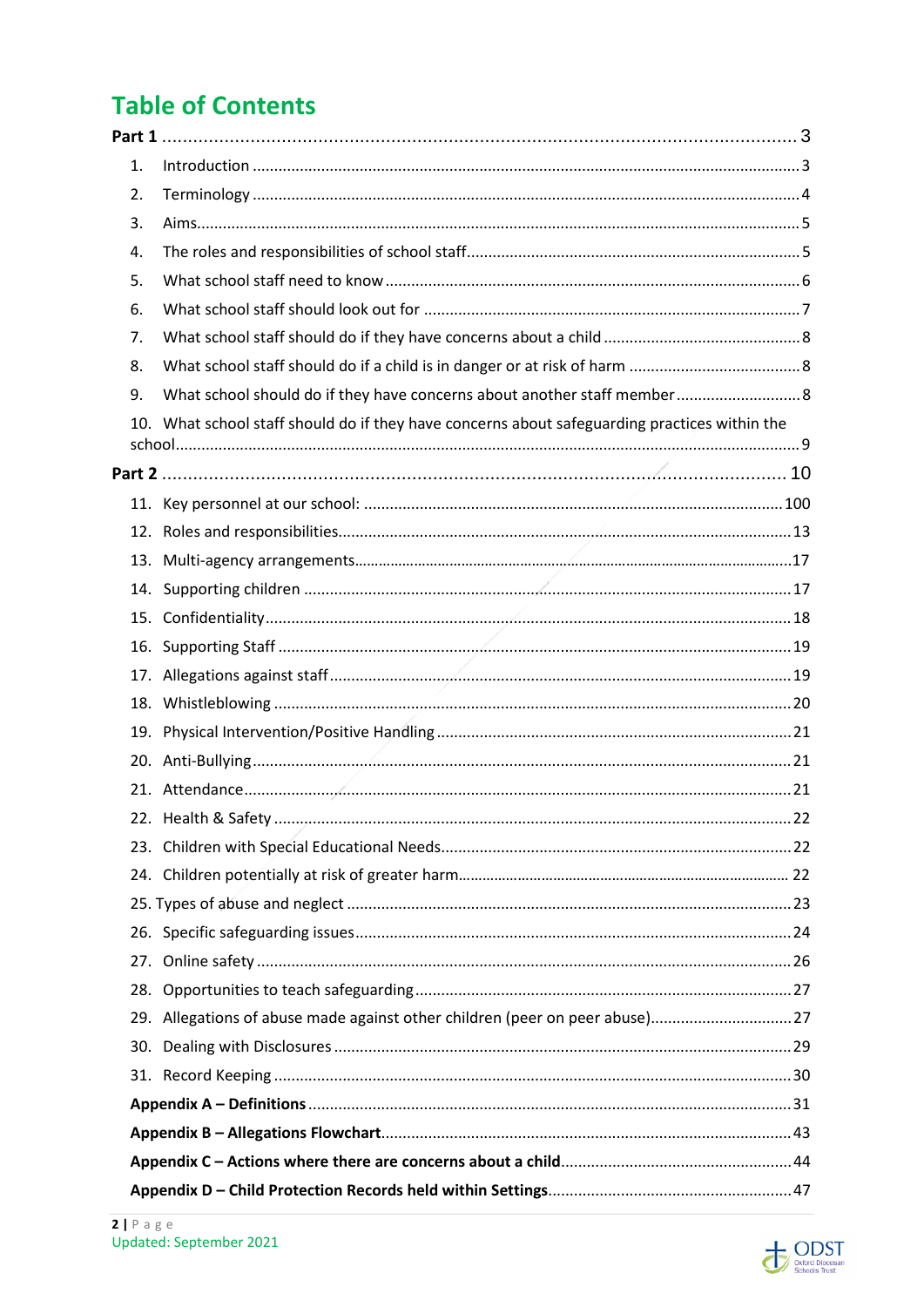# **Table of Contents**

| 1. |                                                                                               |    |
|----|-----------------------------------------------------------------------------------------------|----|
| 2. |                                                                                               |    |
| 3. |                                                                                               |    |
| 4. |                                                                                               |    |
| 5. |                                                                                               |    |
| 6. |                                                                                               |    |
| 7. |                                                                                               |    |
| 8. |                                                                                               |    |
| 9. | What school should do if they have concerns about another staff member 8                      |    |
|    | 10. What school staff should do if they have concerns about safeguarding practices within the |    |
|    |                                                                                               |    |
|    |                                                                                               |    |
|    |                                                                                               |    |
|    |                                                                                               |    |
|    |                                                                                               |    |
|    |                                                                                               |    |
|    |                                                                                               |    |
|    |                                                                                               |    |
|    |                                                                                               |    |
|    |                                                                                               |    |
|    |                                                                                               |    |
|    |                                                                                               |    |
|    |                                                                                               |    |
|    | 22. Health & Safety                                                                           | 22 |
|    |                                                                                               |    |
|    |                                                                                               |    |
|    |                                                                                               |    |
|    |                                                                                               |    |
|    |                                                                                               |    |
|    |                                                                                               |    |
|    | 29. Allegations of abuse made against other children (peer on peer abuse)27                   |    |
|    |                                                                                               |    |
|    |                                                                                               |    |
|    |                                                                                               |    |
|    |                                                                                               |    |
|    |                                                                                               |    |
|    |                                                                                               |    |

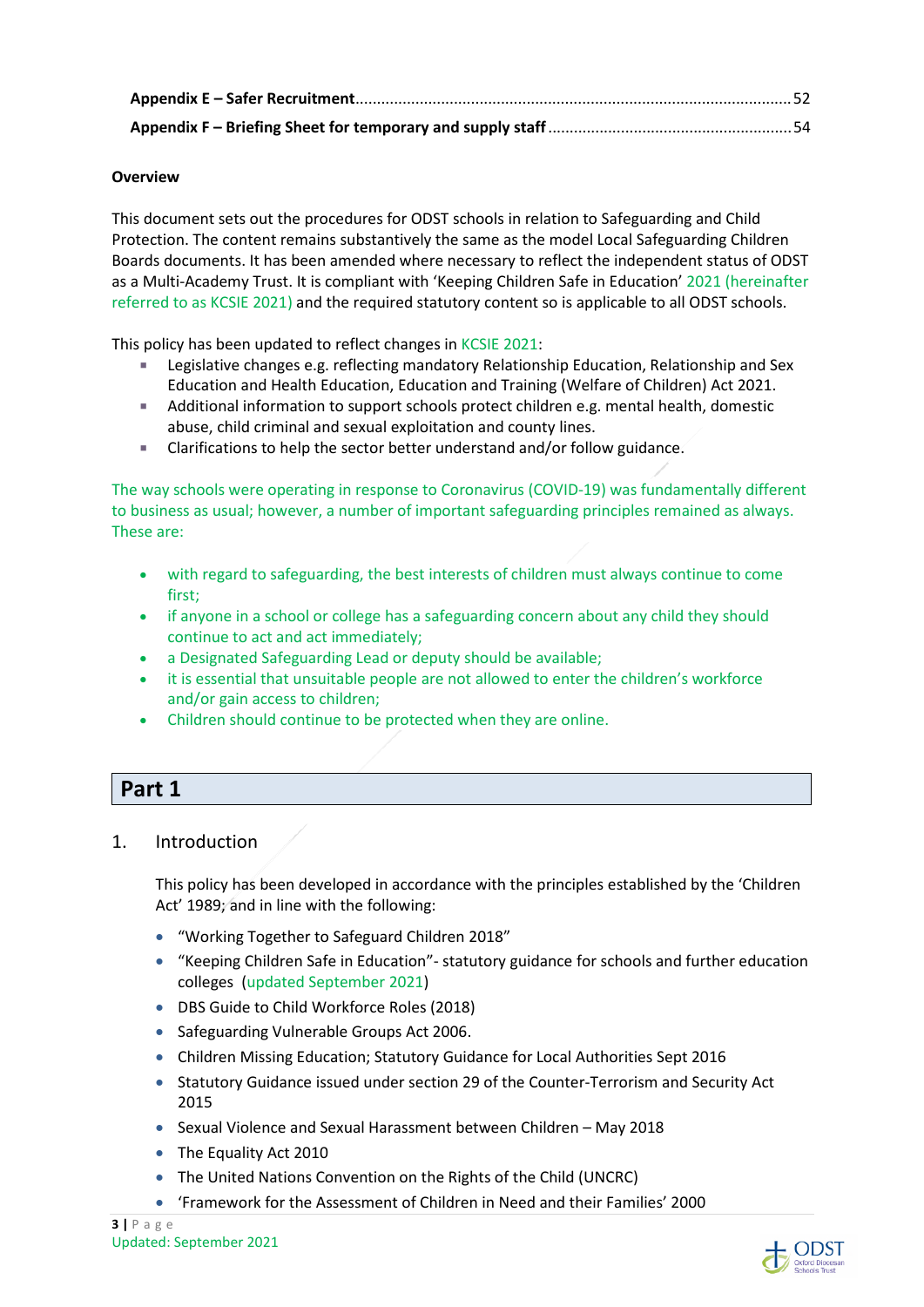#### **Overview**

This document sets out the procedures for ODST schools in relation to Safeguarding and Child Protection. The content remains substantively the same as the model Local Safeguarding Children Boards documents. It has been amended where necessary to reflect the independent status of ODST as a Multi-Academy Trust. It is compliant with 'Keeping Children Safe in Education' 2021 (hereinafter referred to as KCSIE 2021) and the required statutory content so is applicable to all ODST schools.

This policy has been updated to reflect changes in KCSIE 2021:

- Legislative changes e.g. reflecting mandatory Relationship Education, Relationship and Sex Education and Health Education, Education and Training (Welfare of Children) Act 2021.
- **Additional information to support schools protect children e.g. mental health, domestic** abuse, child criminal and sexual exploitation and county lines.
- Clarifications to help the sector better understand and/or follow guidance.

The way schools were operating in response to Coronavirus (COVID-19) was fundamentally different to business as usual; however, a number of important safeguarding principles remained as always. These are:

- with regard to safeguarding, the best interests of children must always continue to come first;
- if anyone in a school or college has a safeguarding concern about any child they should continue to act and act immediately;
- a Designated Safeguarding Lead or deputy should be available;
- it is essential that unsuitable people are not allowed to enter the children's workforce and/or gain access to children;
- Children should continue to be protected when they are online.

## **Part 1**

## 1. Introduction

This policy has been developed in accordance with the principles established by the 'Children Act' 1989; and in line with the following:

- "Working Together to Safeguard Children 2018"
- "Keeping Children Safe in Education"- statutory guidance for schools and further education colleges (updated September 2021)
- DBS Guide to Child Workforce Roles (2018)
- Safeguarding Vulnerable Groups Act 2006.
- Children Missing Education; Statutory Guidance for Local Authorities Sept 2016
- Statutory Guidance issued under section 29 of the Counter-Terrorism and Security Act 2015
- Sexual Violence and Sexual Harassment between Children May 2018
- The Equality Act 2010
- The United Nations Convention on the Rights of the Child (UNCRC)
- 'Framework for the Assessment of Children in Need and their Families' 2000

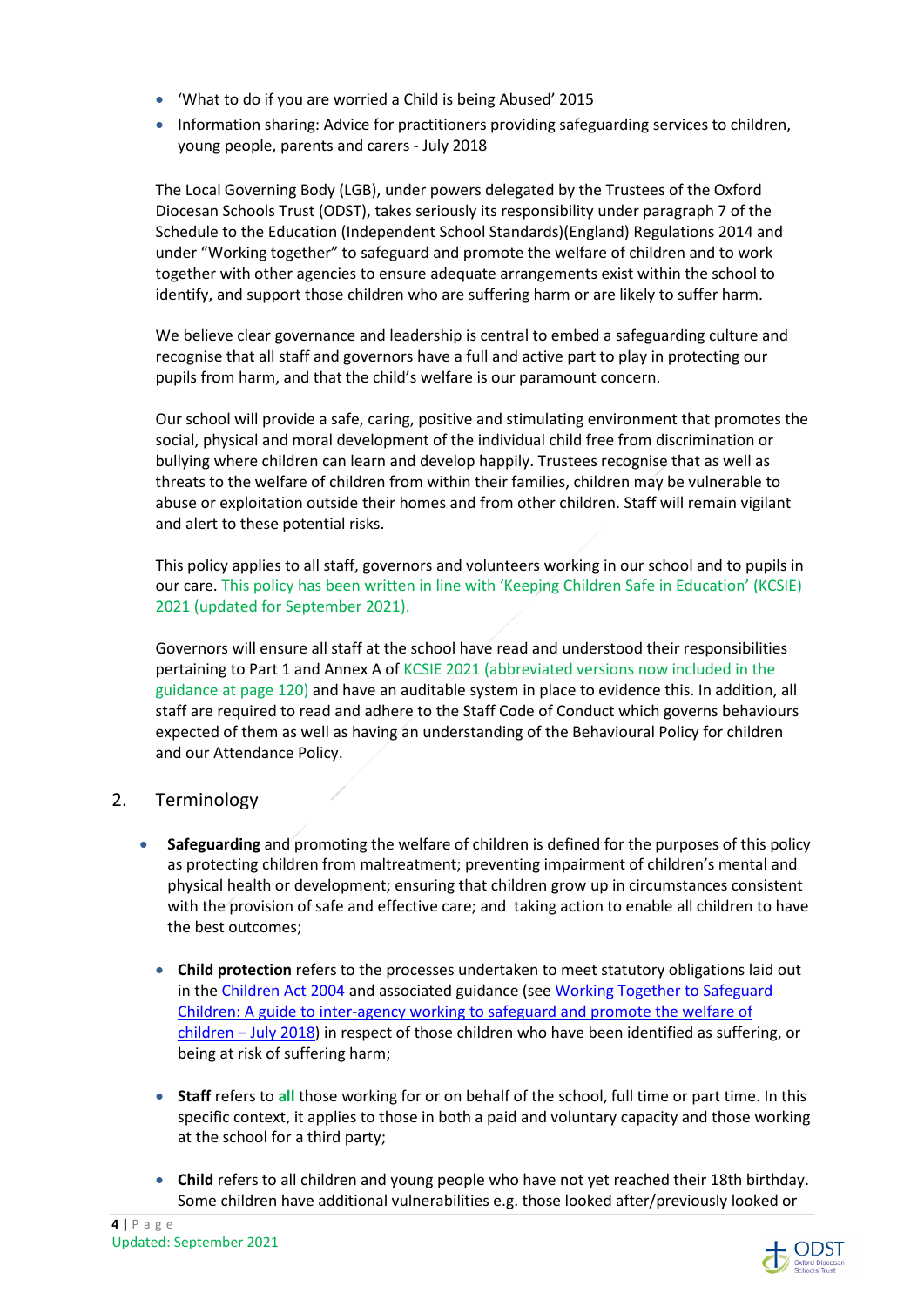- 'What to do if you are worried a Child is being Abused' 2015
- Information sharing: Advice for practitioners providing safeguarding services to children, young people, parents and carers - July 2018

The Local Governing Body (LGB), under powers delegated by the Trustees of the Oxford Diocesan Schools Trust (ODST), takes seriously its responsibility under paragraph 7 of the Schedule to the Education (Independent School Standards)(England) Regulations 2014 and under "Working together" to safeguard and promote the welfare of children and to work together with other agencies to ensure adequate arrangements exist within the school to identify, and support those children who are suffering harm or are likely to suffer harm.

We believe clear governance and leadership is central to embed a safeguarding culture and recognise that all staff and governors have a full and active part to play in protecting our pupils from harm, and that the child's welfare is our paramount concern.

Our school will provide a safe, caring, positive and stimulating environment that promotes the social, physical and moral development of the individual child free from discrimination or bullying where children can learn and develop happily. Trustees recognise that as well as threats to the welfare of children from within their families, children may be vulnerable to abuse or exploitation outside their homes and from other children. Staff will remain vigilant and alert to these potential risks.

This policy applies to all staff, governors and volunteers working in our school and to pupils in our care. This policy has been written in line with 'Keeping Children Safe in Education' (KCSIE) 2021 (updated for September 2021).

Governors will ensure all staff at the school have read and understood their responsibilities pertaining to Part 1 and Annex A of KCSIE 2021 (abbreviated versions now included in the guidance at page 120) and have an auditable system in place to evidence this. In addition, all staff are required to read and adhere to the Staff Code of Conduct which governs behaviours expected of them as well as having an understanding of the Behavioural Policy for children and our Attendance Policy.

## 2. Terminology

- **Safeguarding** and promoting the welfare of children is defined for the purposes of this policy as protecting children from maltreatment; preventing impairment of children's mental and physical health or development; ensuring that children grow up in circumstances consistent with the provision of safe and effective care; and taking action to enable all children to have the best outcomes;
	- **Child protection** refers to the processes undertaken to meet statutory obligations laid out in the Children Act 2004 and associated guidance (see Working Together to Safeguard Children: A guide to inter-agency working to safeguard and promote the welfare of children – July 2018) in respect of those children who have been identified as suffering, or being at risk of suffering harm;
	- **Staff** refers to **all** those working for or on behalf of the school, full time or part time. In this specific context, it applies to those in both a paid and voluntary capacity and those working at the school for a third party;
	- **Child** refers to all children and young people who have not yet reached their 18th birthday. Some children have additional vulnerabilities e.g. those looked after/previously looked or

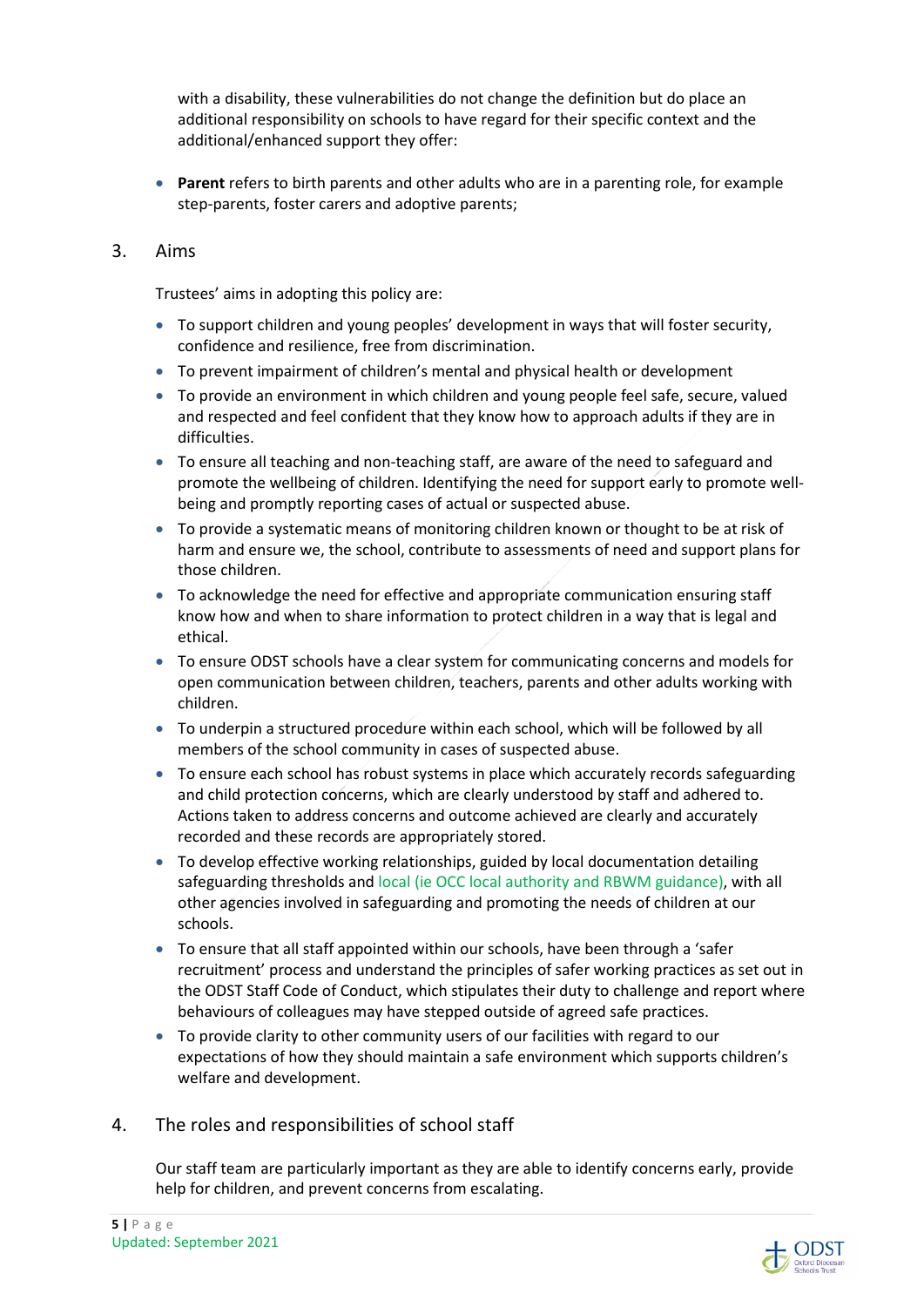with a disability, these vulnerabilities do not change the definition but do place an additional responsibility on schools to have regard for their specific context and the additional/enhanced support they offer:

- **Parent** refers to birth parents and other adults who are in a parenting role, for example step-parents, foster carers and adoptive parents;
- 3. Aims

Trustees' aims in adopting this policy are:

- To support children and young peoples' development in ways that will foster security, confidence and resilience, free from discrimination.
- To prevent impairment of children's mental and physical health or development
- To provide an environment in which children and young people feel safe, secure, valued and respected and feel confident that they know how to approach adults if they are in difficulties.
- To ensure all teaching and non-teaching staff, are aware of the need to safeguard and promote the wellbeing of children. Identifying the need for support early to promote wellbeing and promptly reporting cases of actual or suspected abuse.
- To provide a systematic means of monitoring children known or thought to be at risk of harm and ensure we, the school, contribute to assessments of need and support plans for those children.
- To acknowledge the need for effective and appropriate communication ensuring staff know how and when to share information to protect children in a way that is legal and ethical.
- To ensure ODST schools have a clear system for communicating concerns and models for open communication between children, teachers, parents and other adults working with children.
- To underpin a structured procedure within each school, which will be followed by all members of the school community in cases of suspected abuse.
- To ensure each school has robust systems in place which accurately records safeguarding and child protection concerns, which are clearly understood by staff and adhered to. Actions taken to address concerns and outcome achieved are clearly and accurately recorded and these records are appropriately stored.
- To develop effective working relationships, guided by local documentation detailing safeguarding thresholds and local (ie OCC local authority and RBWM guidance), with all other agencies involved in safeguarding and promoting the needs of children at our schools.
- To ensure that all staff appointed within our schools, have been through a 'safer recruitment' process and understand the principles of safer working practices as set out in the ODST Staff Code of Conduct, which stipulates their duty to challenge and report where behaviours of colleagues may have stepped outside of agreed safe practices.
- To provide clarity to other community users of our facilities with regard to our expectations of how they should maintain a safe environment which supports children's welfare and development.
- 4. The roles and responsibilities of school staff

Our staff team are particularly important as they are able to identify concerns early, provide help for children, and prevent concerns from escalating.

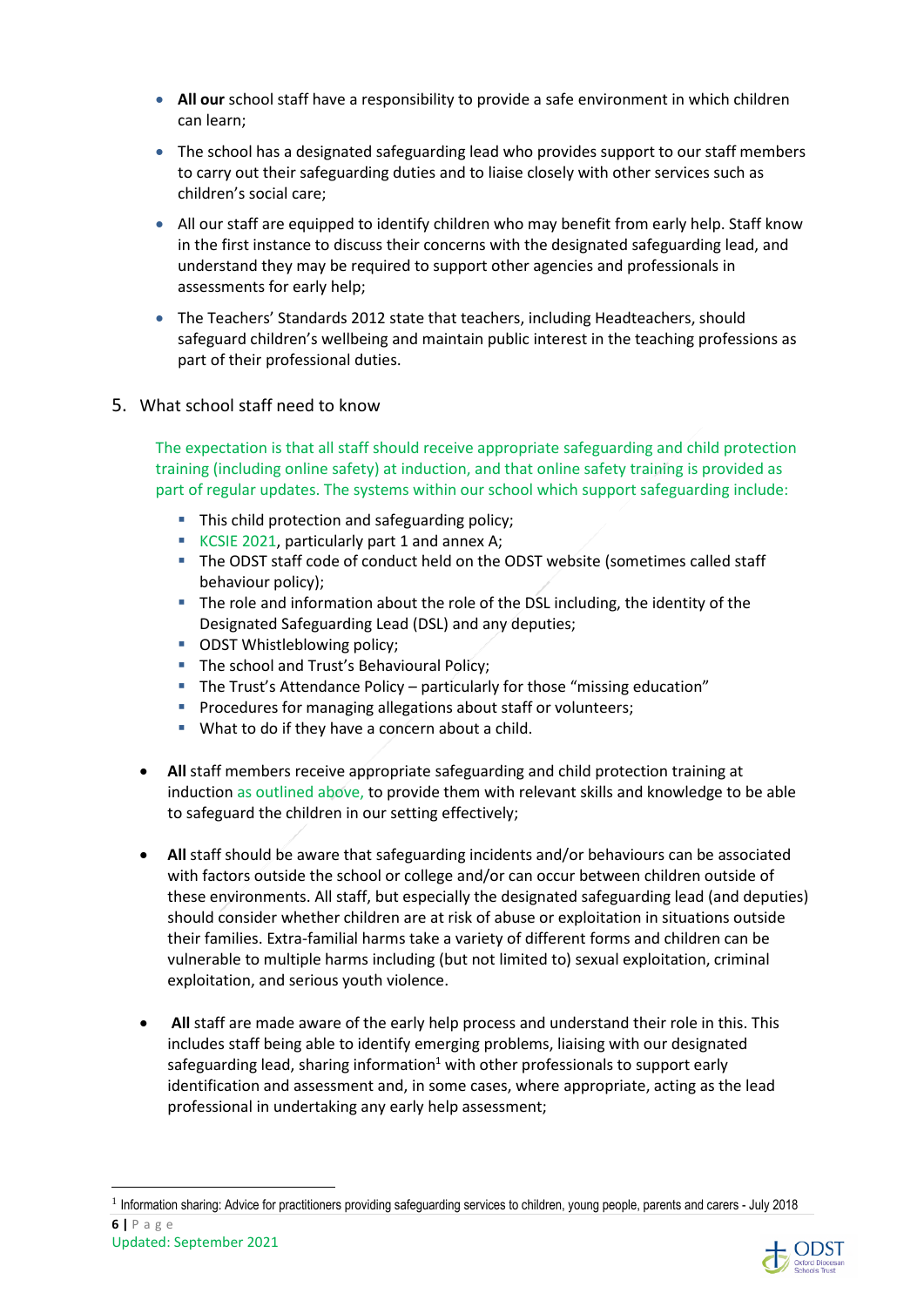- **All our** school staff have a responsibility to provide a safe environment in which children can learn;
- The school has a designated safeguarding lead who provides support to our staff members to carry out their safeguarding duties and to liaise closely with other services such as children's social care;
- All our staff are equipped to identify children who may benefit from early help. Staff know in the first instance to discuss their concerns with the designated safeguarding lead, and understand they may be required to support other agencies and professionals in assessments for early help;
- The Teachers' Standards 2012 state that teachers, including Headteachers, should safeguard children's wellbeing and maintain public interest in the teaching professions as part of their professional duties.
- 5. What school staff need to know

The expectation is that all staff should receive appropriate safeguarding and child protection training (including online safety) at induction, and that online safety training is provided as part of regular updates. The systems within our school which support safeguarding include:

- This child protection and safeguarding policy:
- KCSIE 2021, particularly part 1 and annex A:
- The ODST staff code of conduct held on the ODST website (sometimes called staff behaviour policy);
- The role and information about the role of the DSL including, the identity of the Designated Safeguarding Lead (DSL) and any deputies;
- **ODST Whistleblowing policy;**
- The school and Trust's Behavioural Policy;
- The Trust's Attendance Policy particularly for those "missing education"
- **Procedures for managing allegations about staff or volunteers;**
- **What to do if they have a concern about a child.**
- **All** staff members receive appropriate safeguarding and child protection training at induction as outlined above, to provide them with relevant skills and knowledge to be able to safeguard the children in our setting effectively;
- **All** staff should be aware that safeguarding incidents and/or behaviours can be associated with factors outside the school or college and/or can occur between children outside of these environments. All staff, but especially the designated safeguarding lead (and deputies) should consider whether children are at risk of abuse or exploitation in situations outside their families. Extra-familial harms take a variety of different forms and children can be vulnerable to multiple harms including (but not limited to) sexual exploitation, criminal exploitation, and serious youth violence.
- **All** staff are made aware of the early help process and understand their role in this. This includes staff being able to identify emerging problems, liaising with our designated safeguarding lead, sharing information<sup>1</sup> with other professionals to support early identification and assessment and, in some cases, where appropriate, acting as the lead professional in undertaking any early help assessment;



**<sup>6 |</sup>** P a g e <sup>1</sup> Information sharing: Advice for practitioners providing safeguarding services to children, young people, parents and carers - July 2018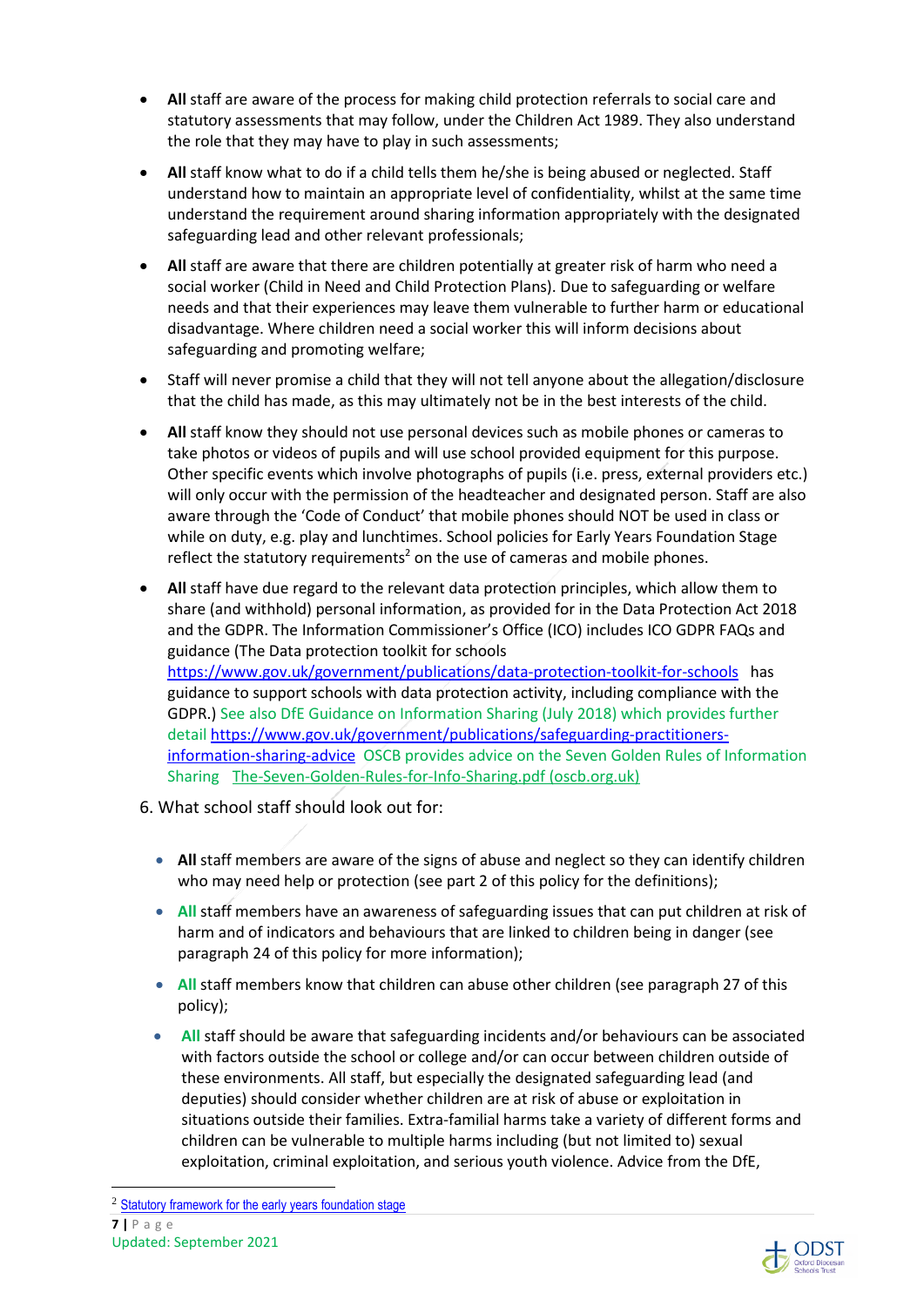- **All** staff are aware of the process for making child protection referrals to social care and statutory assessments that may follow, under the Children Act 1989. They also understand the role that they may have to play in such assessments;
- **All** staff know what to do if a child tells them he/she is being abused or neglected. Staff understand how to maintain an appropriate level of confidentiality, whilst at the same time understand the requirement around sharing information appropriately with the designated safeguarding lead and other relevant professionals;
- **All** staff are aware that there are children potentially at greater risk of harm who need a social worker (Child in Need and Child Protection Plans). Due to safeguarding or welfare needs and that their experiences may leave them vulnerable to further harm or educational disadvantage. Where children need a social worker this will inform decisions about safeguarding and promoting welfare;
- Staff will never promise a child that they will not tell anyone about the allegation/disclosure that the child has made, as this may ultimately not be in the best interests of the child.
- **All** staff know they should not use personal devices such as mobile phones or cameras to take photos or videos of pupils and will use school provided equipment for this purpose. Other specific events which involve photographs of pupils (i.e. press, external providers etc.) will only occur with the permission of the headteacher and designated person. Staff are also aware through the 'Code of Conduct' that mobile phones should NOT be used in class or while on duty, e.g. play and lunchtimes. School policies for Early Years Foundation Stage reflect the statutory requirements<sup>2</sup> on the use of cameras and mobile phones.
- **All** staff have due regard to the relevant data protection principles, which allow them to share (and withhold) personal information, as provided for in the Data Protection Act 2018 and the GDPR. The Information Commissioner's Office (ICO) includes ICO GDPR FAQs and guidance (The Data protection toolkit for schools https://www.gov.uk/government/publications/data-protection-toolkit-for-schools has guidance to support schools with data protection activity, including compliance with the GDPR.) See also DfE Guidance on Information Sharing (July 2018) which provides further detail https://www.gov.uk/government/publications/safeguarding-practitionersinformation-sharing-advice OSCB provides advice on the Seven Golden Rules of Information Sharing The-Seven-Golden-Rules-for-Info-Sharing.pdf (oscb.org.uk)
- 6. What school staff should look out for:
	- **All** staff members are aware of the signs of abuse and neglect so they can identify children who may need help or protection (see part 2 of this policy for the definitions);
	- **All** staff members have an awareness of safeguarding issues that can put children at risk of harm and of indicators and behaviours that are linked to children being in danger (see paragraph 24 of this policy for more information);
	- **All** staff members know that children can abuse other children (see paragraph 27 of this policy);
	- **All** staff should be aware that safeguarding incidents and/or behaviours can be associated with factors outside the school or college and/or can occur between children outside of these environments. All staff, but especially the designated safeguarding lead (and deputies) should consider whether children are at risk of abuse or exploitation in situations outside their families. Extra-familial harms take a variety of different forms and children can be vulnerable to multiple harms including (but not limited to) sexual exploitation, criminal exploitation, and serious youth violence. Advice from the DfE,



**<sup>7 |</sup>** P a g e Updated: September 2021 <sup>2</sup> Statutory framework for the early years foundation stage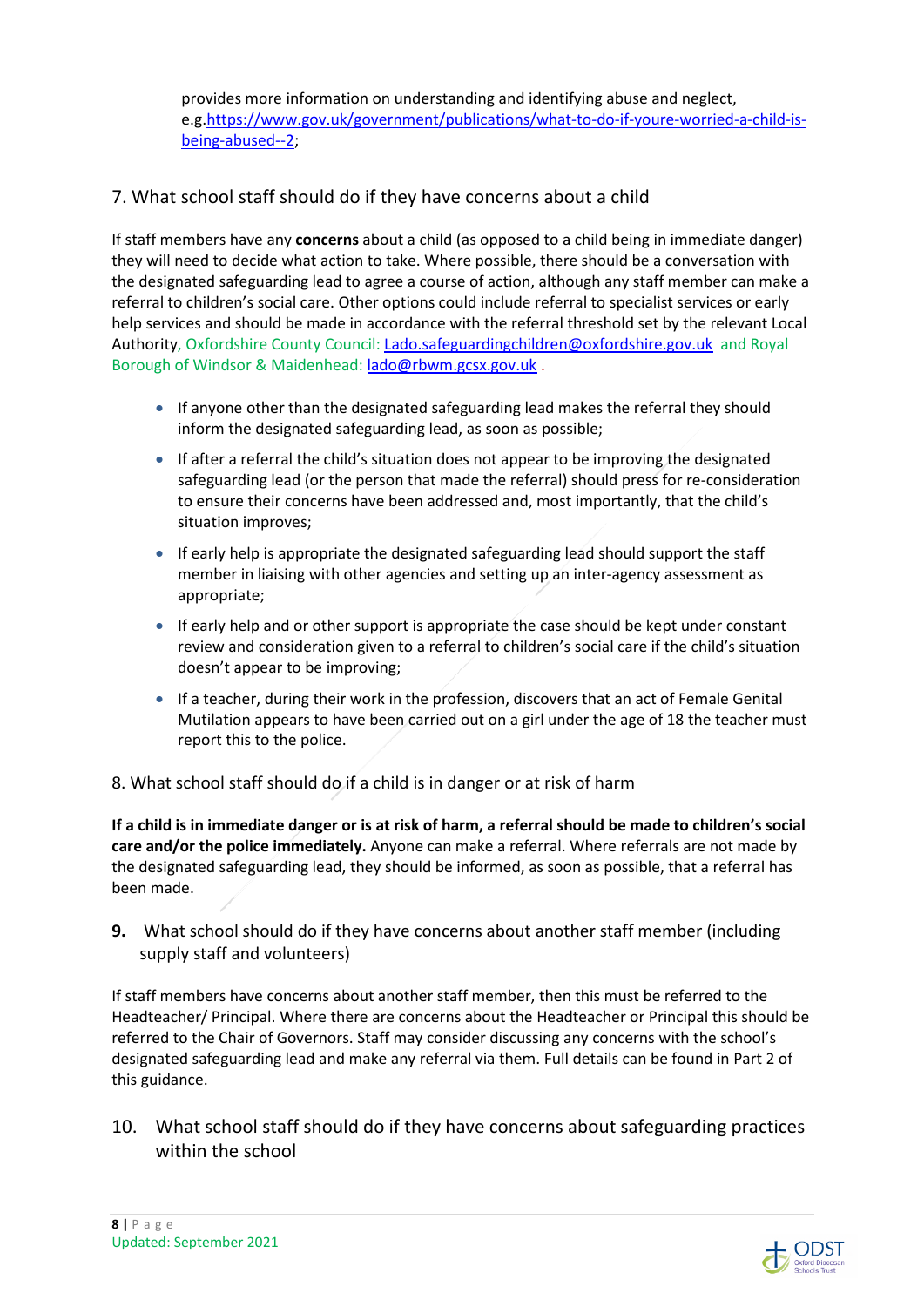provides more information on understanding and identifying abuse and neglect, e.g.https://www.gov.uk/government/publications/what-to-do-if-youre-worried-a-child-isbeing-abused--2;

## 7. What school staff should do if they have concerns about a child

If staff members have any **concerns** about a child (as opposed to a child being in immediate danger) they will need to decide what action to take. Where possible, there should be a conversation with the designated safeguarding lead to agree a course of action, although any staff member can make a referral to children's social care. Other options could include referral to specialist services or early help services and should be made in accordance with the referral threshold set by the relevant Local Authority, Oxfordshire County Council: Lado.safeguardingchildren@oxfordshire.gov.uk and Royal Borough of Windsor & Maidenhead: lado@rbwm.gcsx.gov.uk .

- If anyone other than the designated safeguarding lead makes the referral they should inform the designated safeguarding lead, as soon as possible;
- If after a referral the child's situation does not appear to be improving the designated safeguarding lead (or the person that made the referral) should press for re-consideration to ensure their concerns have been addressed and, most importantly, that the child's situation improves;
- If early help is appropriate the designated safeguarding lead should support the staff member in liaising with other agencies and setting up an inter-agency assessment as appropriate;
- If early help and or other support is appropriate the case should be kept under constant review and consideration given to a referral to children's social care if the child's situation doesn't appear to be improving;
- If a teacher, during their work in the profession, discovers that an act of Female Genital Mutilation appears to have been carried out on a girl under the age of 18 the teacher must report this to the police.
- 8. What school staff should do if a child is in danger or at risk of harm

**If a child is in immediate danger or is at risk of harm, a referral should be made to children's social care and/or the police immediately.** Anyone can make a referral. Where referrals are not made by the designated safeguarding lead, they should be informed, as soon as possible, that a referral has been made.

**9.** What school should do if they have concerns about another staff member (including supply staff and volunteers)

If staff members have concerns about another staff member, then this must be referred to the Headteacher/ Principal. Where there are concerns about the Headteacher or Principal this should be referred to the Chair of Governors. Staff may consider discussing any concerns with the school's designated safeguarding lead and make any referral via them. Full details can be found in Part 2 of this guidance.

10. What school staff should do if they have concerns about safeguarding practices within the school

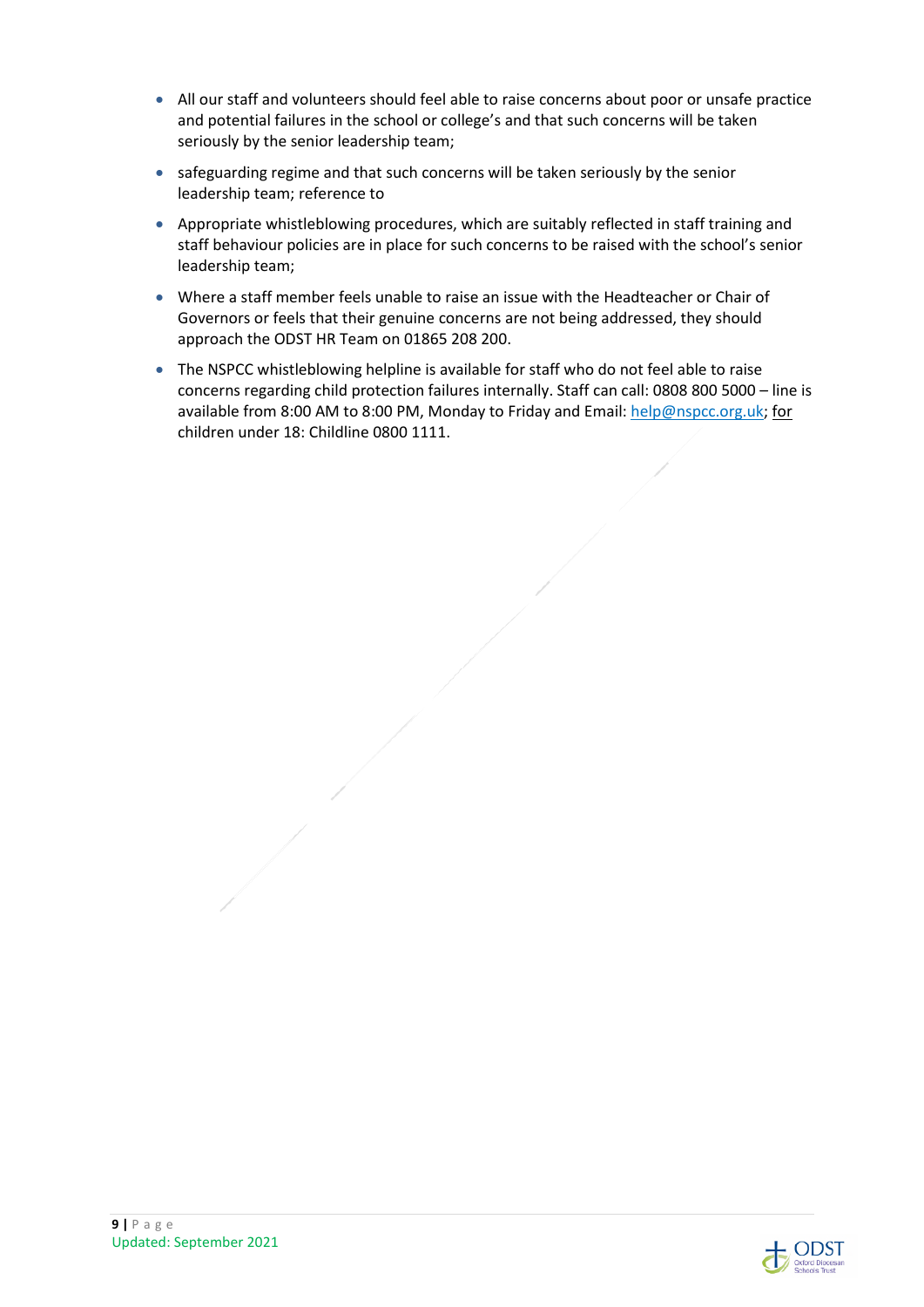- All our staff and volunteers should feel able to raise concerns about poor or unsafe practice and potential failures in the school or college's and that such concerns will be taken seriously by the senior leadership team;
- safeguarding regime and that such concerns will be taken seriously by the senior leadership team; reference to
- Appropriate whistleblowing procedures, which are suitably reflected in staff training and staff behaviour policies are in place for such concerns to be raised with the school's senior leadership team;
- Where a staff member feels unable to raise an issue with the Headteacher or Chair of Governors or feels that their genuine concerns are not being addressed, they should approach the ODST HR Team on 01865 208 200.
- The NSPCC whistleblowing helpline is available for staff who do not feel able to raise concerns regarding child protection failures internally. Staff can call: 0808 800 5000 – line is available from 8:00 AM to 8:00 PM, Monday to Friday and Email: help@nspcc.org.uk; for children under 18: Childline 0800 1111.



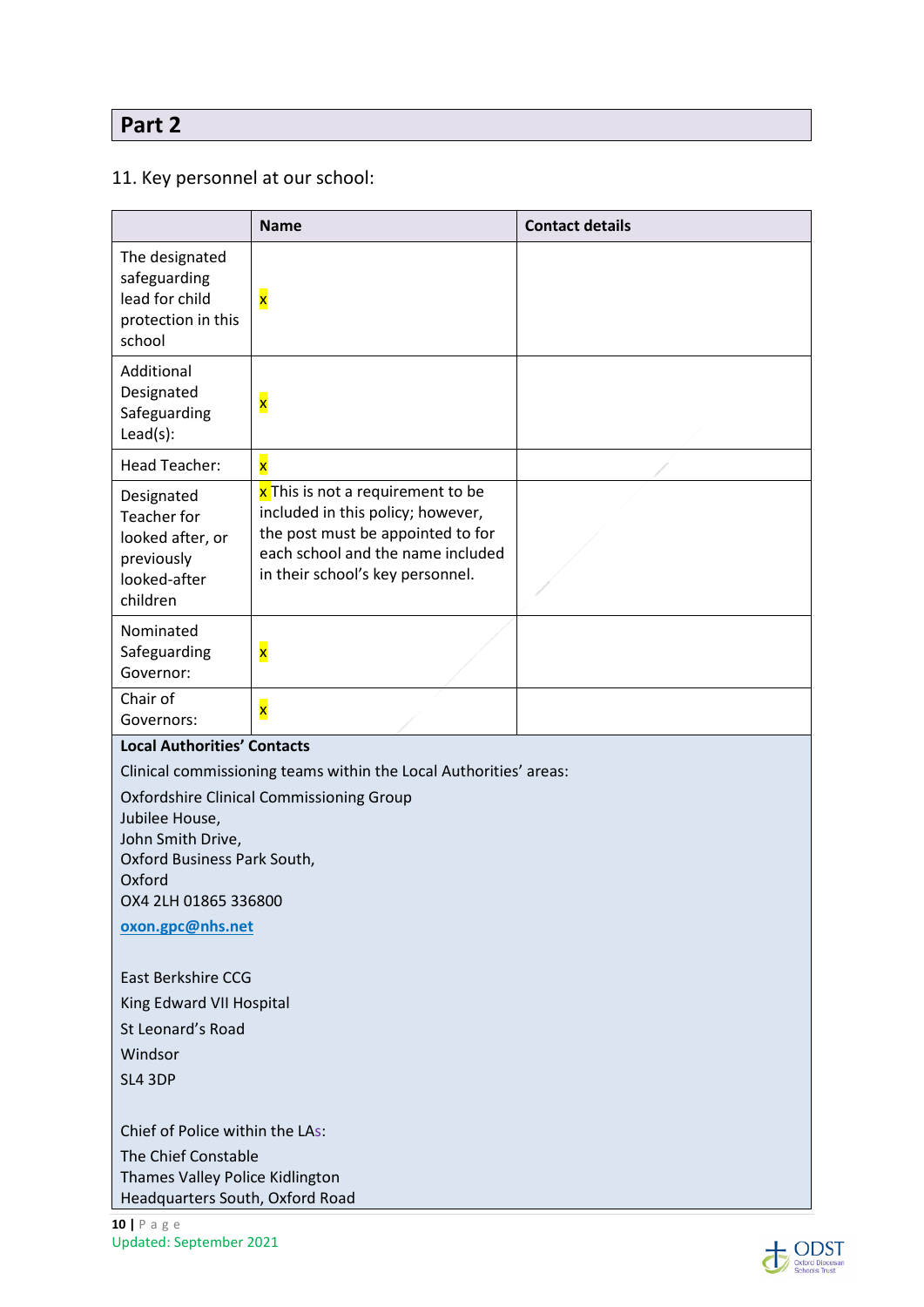# **Part 2**

## 11. Key personnel at our school:

|                                                                                                                                                                                                                                                  | <b>Name</b>                                                                                                                                                                          | <b>Contact details</b> |  |
|--------------------------------------------------------------------------------------------------------------------------------------------------------------------------------------------------------------------------------------------------|--------------------------------------------------------------------------------------------------------------------------------------------------------------------------------------|------------------------|--|
| The designated<br>safeguarding<br>lead for child<br>protection in this<br>school                                                                                                                                                                 | X                                                                                                                                                                                    |                        |  |
| Additional<br>Designated<br>Safeguarding<br>Lead(s):                                                                                                                                                                                             | $\overline{\mathbf{x}}$                                                                                                                                                              |                        |  |
| <b>Head Teacher:</b>                                                                                                                                                                                                                             | $\overline{\mathbf{x}}$                                                                                                                                                              |                        |  |
| Designated<br>Teacher for<br>looked after, or<br>previously<br>looked-after<br>children                                                                                                                                                          | x This is not a requirement to be<br>included in this policy; however,<br>the post must be appointed to for<br>each school and the name included<br>in their school's key personnel. |                        |  |
| Nominated<br>Safeguarding<br>Governor:                                                                                                                                                                                                           | $\overline{\mathbf{x}}$                                                                                                                                                              |                        |  |
| Chair of<br>Governors:                                                                                                                                                                                                                           | $\overline{\mathbf{x}}$                                                                                                                                                              |                        |  |
|                                                                                                                                                                                                                                                  | <b>Local Authorities' Contacts</b>                                                                                                                                                   |                        |  |
| Clinical commissioning teams within the Local Authorities' areas:<br><b>Oxfordshire Clinical Commissioning Group</b><br>Jubilee House,<br>John Smith Drive,<br>Oxford Business Park South,<br>Oxford<br>OX4 2LH 01865 336800<br>oxon.gpc@nhs.net |                                                                                                                                                                                      |                        |  |
| East Berkshire CCG                                                                                                                                                                                                                               |                                                                                                                                                                                      |                        |  |
| King Edward VII Hospital                                                                                                                                                                                                                         |                                                                                                                                                                                      |                        |  |
| St Leonard's Road                                                                                                                                                                                                                                |                                                                                                                                                                                      |                        |  |
| Windsor<br>SL4 3DP                                                                                                                                                                                                                               |                                                                                                                                                                                      |                        |  |
| Chief of Police within the LAs:<br>The Chief Constable<br>Thames Valley Police Kidlington<br>Headquarters South, Oxford Road                                                                                                                     |                                                                                                                                                                                      |                        |  |

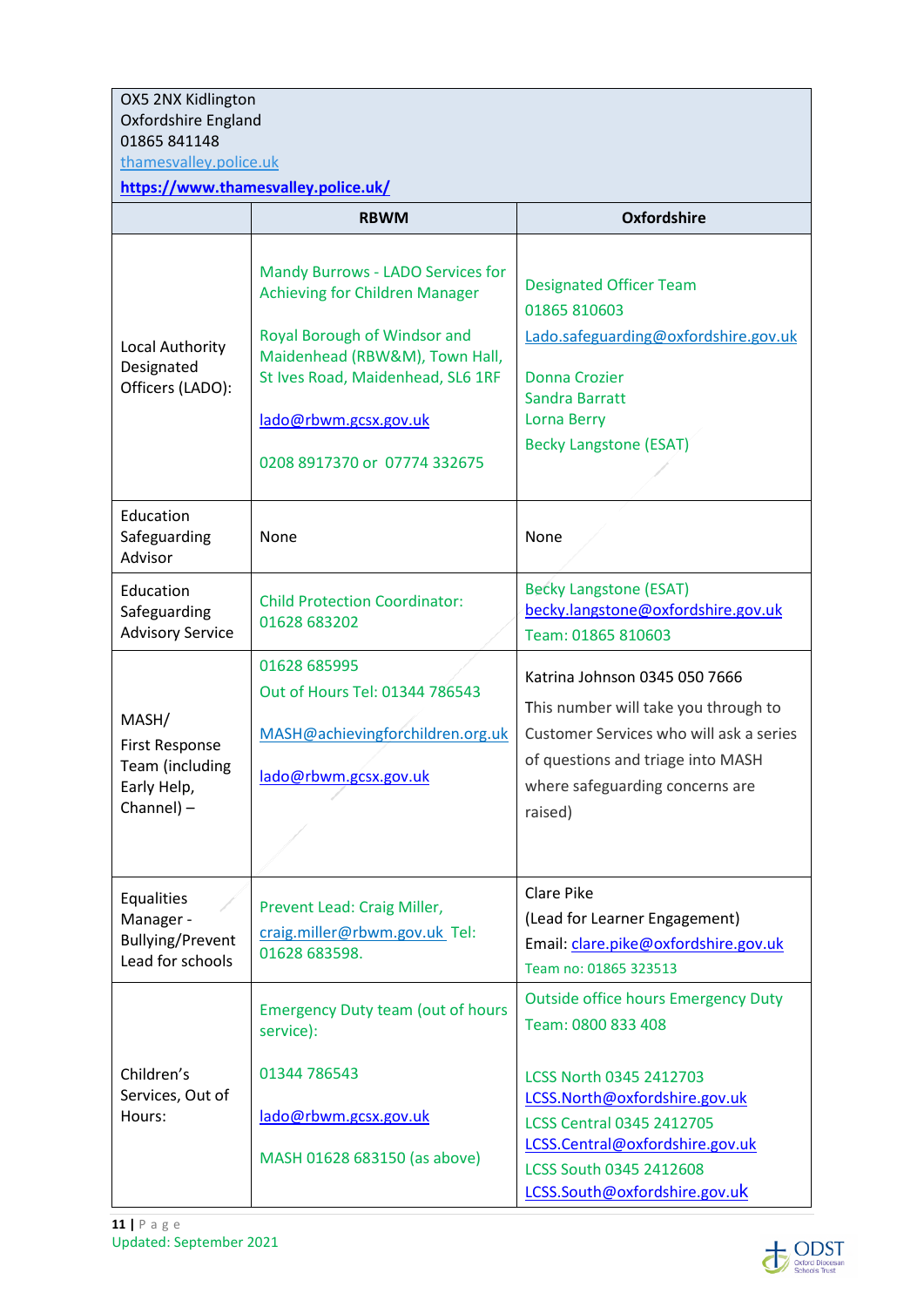| OX5 2NX Kidlington                                                     |                                                                               |                                                                                                                     |  |  |
|------------------------------------------------------------------------|-------------------------------------------------------------------------------|---------------------------------------------------------------------------------------------------------------------|--|--|
| Oxfordshire England                                                    |                                                                               |                                                                                                                     |  |  |
| 01865 841148                                                           |                                                                               |                                                                                                                     |  |  |
|                                                                        | thamesvalley.police.uk<br>https://www.thamesvalley.police.uk/                 |                                                                                                                     |  |  |
|                                                                        | <b>RBWM</b>                                                                   | <b>Oxfordshire</b>                                                                                                  |  |  |
|                                                                        |                                                                               |                                                                                                                     |  |  |
|                                                                        | Mandy Burrows - LADO Services for<br><b>Achieving for Children Manager</b>    | <b>Designated Officer Team</b><br>01865 810603                                                                      |  |  |
| Local Authority<br>Designated                                          | Royal Borough of Windsor and<br>Maidenhead (RBW&M), Town Hall,                | Lado.safeguarding@oxfordshire.gov.uk                                                                                |  |  |
| Officers (LADO):                                                       | St Ives Road, Maidenhead, SL6 1RF                                             | <b>Donna Crozier</b><br>Sandra Barratt                                                                              |  |  |
|                                                                        | lado@rbwm.gcsx.gov.uk                                                         | Lorna Berry                                                                                                         |  |  |
|                                                                        | 0208 8917370 or 07774 332675                                                  | <b>Becky Langstone (ESAT)</b>                                                                                       |  |  |
| Education<br>Safeguarding<br>Advisor                                   | None                                                                          | None                                                                                                                |  |  |
| Education<br>Safeguarding<br><b>Advisory Service</b>                   | <b>Child Protection Coordinator:</b><br>01628 683202                          | <b>Becky Langstone (ESAT)</b><br>becky.langstone@oxfordshire.gov.uk<br>Team: 01865 810603                           |  |  |
|                                                                        | 01628 685995<br>Out of Hours Tel: 01344 786543                                | Katrina Johnson 0345 050 7666                                                                                       |  |  |
| MASH/<br><b>First Response</b>                                         | MASH@achievingforchildren.org.uk                                              | This number will take you through to<br>Customer Services who will ask a series                                     |  |  |
| Team (including<br>Early Help,                                         | lado@rbwm.gcsx.gov.uk                                                         | of questions and triage into MASH<br>where safeguarding concerns are                                                |  |  |
| Channel) -                                                             |                                                                               | raised)                                                                                                             |  |  |
| Equalities<br>Manager -<br><b>Bullying/Prevent</b><br>Lead for schools | Prevent Lead: Craig Miller,<br>craig.miller@rbwm.gov.uk Tel:<br>01628 683598. | <b>Clare Pike</b><br>(Lead for Learner Engagement)<br>Email: clare.pike@oxfordshire.gov.uk<br>Team no: 01865 323513 |  |  |
|                                                                        | <b>Emergency Duty team (out of hours</b><br>service):                         | <b>Outside office hours Emergency Duty</b><br>Team: 0800 833 408                                                    |  |  |
| Children's<br>Services, Out of                                         | 01344 786543                                                                  | LCSS North 0345 2412703                                                                                             |  |  |
| Hours:                                                                 | lado@rbwm.gcsx.gov.uk                                                         | LCSS.North@oxfordshire.gov.uk<br><b>LCSS Central 0345 2412705</b><br>LCSS.Central@oxfordshire.gov.uk                |  |  |
|                                                                        | MASH 01628 683150 (as above)                                                  | LCSS South 0345 2412608<br>LCSS.South@oxfordshire.gov.uk                                                            |  |  |

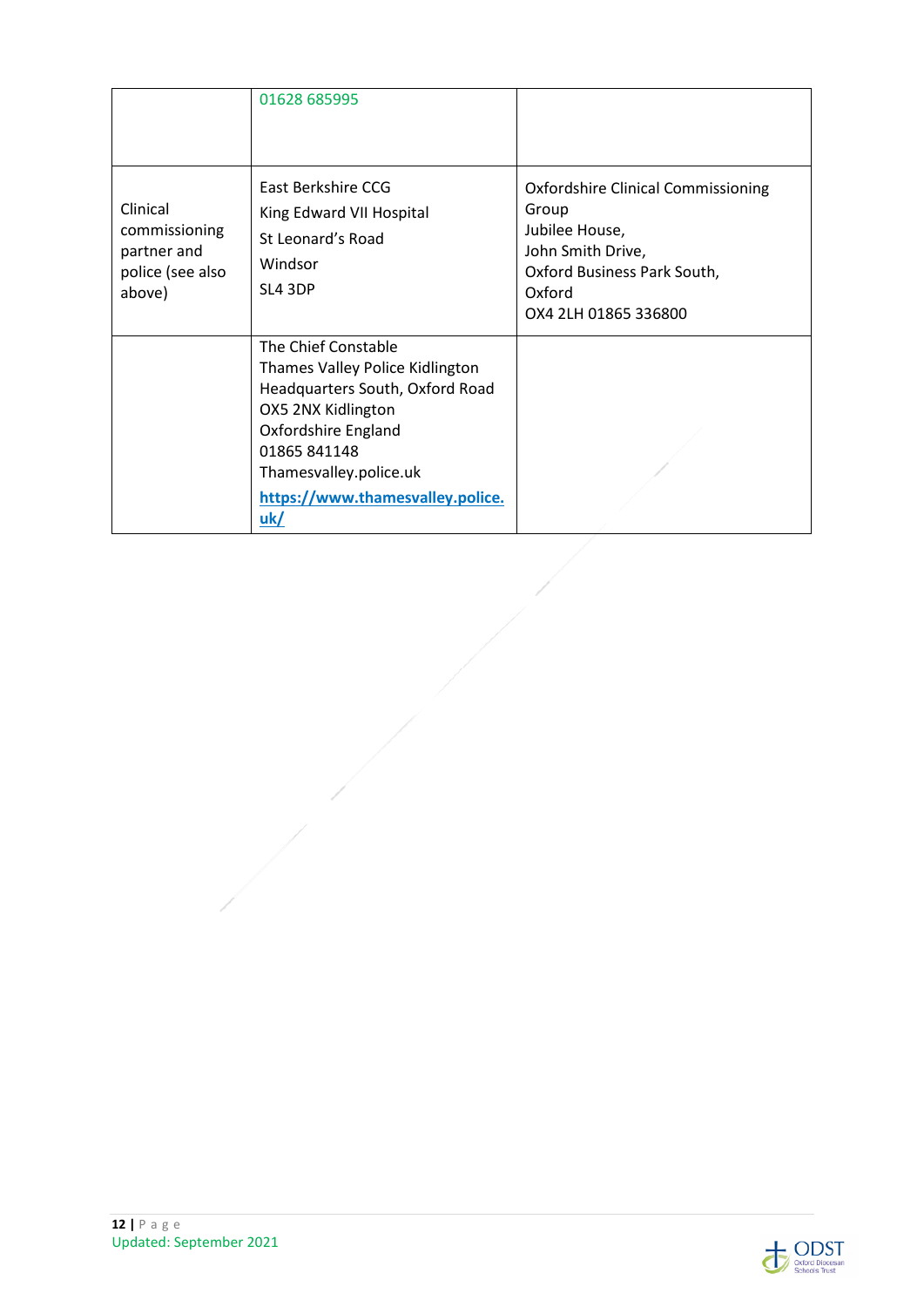|                                                                        | 01628 685995                                                                                                                                                                                                        |                                                                                                                                                            |
|------------------------------------------------------------------------|---------------------------------------------------------------------------------------------------------------------------------------------------------------------------------------------------------------------|------------------------------------------------------------------------------------------------------------------------------------------------------------|
| Clinical<br>commissioning<br>partner and<br>police (see also<br>above) | East Berkshire CCG<br>King Edward VII Hospital<br>St Leonard's Road<br>Windsor<br>SL4 3DP                                                                                                                           | <b>Oxfordshire Clinical Commissioning</b><br>Group<br>Jubilee House,<br>John Smith Drive,<br>Oxford Business Park South,<br>Oxford<br>OX4 2LH 01865 336800 |
|                                                                        | The Chief Constable<br>Thames Valley Police Kidlington<br>Headquarters South, Oxford Road<br>OX5 2NX Kidlington<br>Oxfordshire England<br>01865841148<br>Thamesvalley.police.uk<br>https://www.thamesvalley.police. |                                                                                                                                                            |
|                                                                        | uk/                                                                                                                                                                                                                 |                                                                                                                                                            |

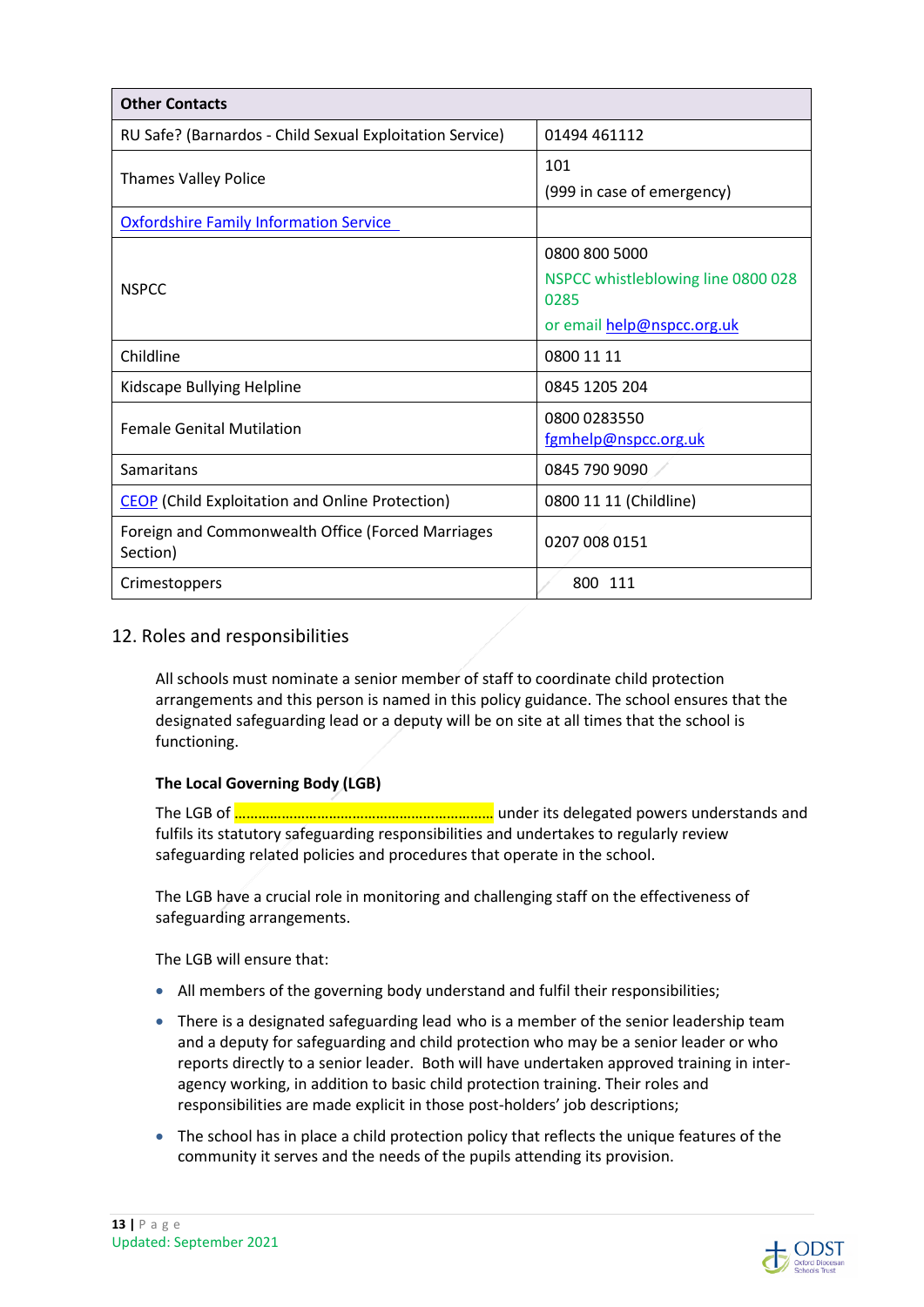| <b>Other Contacts</b>                                         |                                                                                           |  |
|---------------------------------------------------------------|-------------------------------------------------------------------------------------------|--|
| RU Safe? (Barnardos - Child Sexual Exploitation Service)      | 01494 461112                                                                              |  |
| <b>Thames Valley Police</b>                                   | 101<br>(999 in case of emergency)                                                         |  |
| <b>Oxfordshire Family Information Service</b>                 |                                                                                           |  |
| <b>NSPCC</b>                                                  | 0800 800 5000<br>NSPCC whistleblowing line 0800 028<br>0285<br>or email help@nspcc.org.uk |  |
| Childline                                                     | 0800 11 11                                                                                |  |
| Kidscape Bullying Helpline                                    | 0845 1205 204                                                                             |  |
| <b>Female Genital Mutilation</b>                              | 0800 0283550<br>fgmhelp@nspcc.org.uk                                                      |  |
| Samaritans                                                    | 0845 790 9090                                                                             |  |
| <b>CEOP</b> (Child Exploitation and Online Protection)        | 0800 11 11 (Childline)                                                                    |  |
| Foreign and Commonwealth Office (Forced Marriages<br>Section) | 0207 008 0151                                                                             |  |
| Crimestoppers                                                 | 800 111                                                                                   |  |

## 12. Roles and responsibilities

All schools must nominate a senior member of staff to coordinate child protection arrangements and this person is named in this policy guidance. The school ensures that the designated safeguarding lead or a deputy will be on site at all times that the school is functioning.

#### **The Local Governing Body (LGB)**

The LGB of ………………………………………………………… under its delegated powers understands and fulfils its statutory safeguarding responsibilities and undertakes to regularly review safeguarding related policies and procedures that operate in the school.

The LGB have a crucial role in monitoring and challenging staff on the effectiveness of safeguarding arrangements.

The LGB will ensure that:

- All members of the governing body understand and fulfil their responsibilities;
- There is a designated safeguarding lead who is a member of the senior leadership team and a deputy for safeguarding and child protection who may be a senior leader or who reports directly to a senior leader. Both will have undertaken approved training in interagency working, in addition to basic child protection training. Their roles and responsibilities are made explicit in those post-holders' job descriptions;
- The school has in place a child protection policy that reflects the unique features of the community it serves and the needs of the pupils attending its provision.

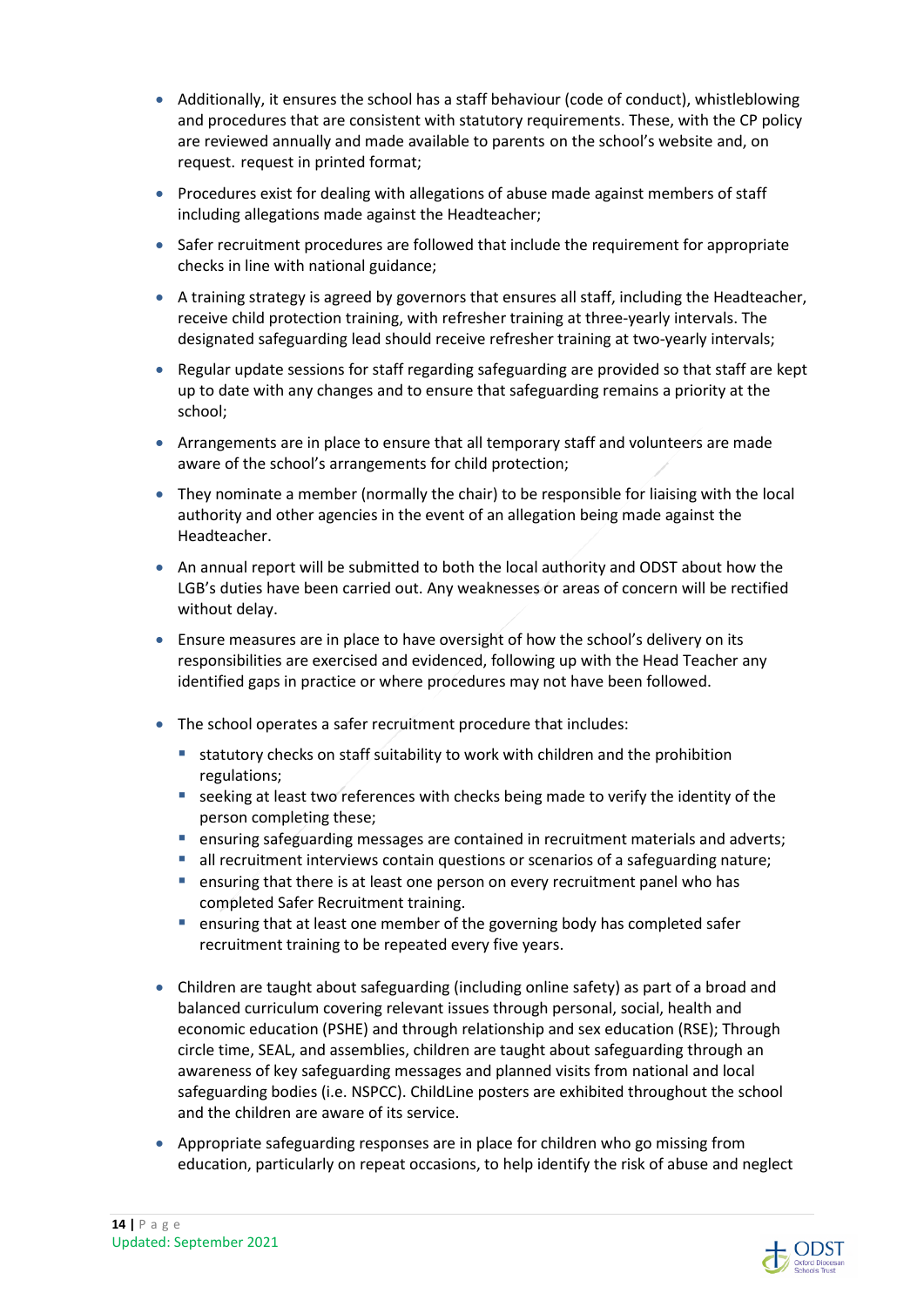- Additionally, it ensures the school has a staff behaviour (code of conduct), whistleblowing and procedures that are consistent with statutory requirements. These, with the CP policy are reviewed annually and made available to parents on the school's website and, on request. request in printed format;
- Procedures exist for dealing with allegations of abuse made against members of staff including allegations made against the Headteacher;
- Safer recruitment procedures are followed that include the requirement for appropriate checks in line with national guidance;
- A training strategy is agreed by governors that ensures all staff, including the Headteacher, receive child protection training, with refresher training at three-yearly intervals. The designated safeguarding lead should receive refresher training at two-yearly intervals;
- Regular update sessions for staff regarding safeguarding are provided so that staff are kept up to date with any changes and to ensure that safeguarding remains a priority at the school;
- Arrangements are in place to ensure that all temporary staff and volunteers are made aware of the school's arrangements for child protection;
- They nominate a member (normally the chair) to be responsible for liaising with the local authority and other agencies in the event of an allegation being made against the Headteacher.
- An annual report will be submitted to both the local authority and ODST about how the LGB's duties have been carried out. Any weaknesses or areas of concern will be rectified without delay.
- Ensure measures are in place to have oversight of how the school's delivery on its responsibilities are exercised and evidenced, following up with the Head Teacher any identified gaps in practice or where procedures may not have been followed.
- The school operates a safer recruitment procedure that includes:
	- statutory checks on staff suitability to work with children and the prohibition regulations;
	- $\blacksquare$  seeking at least two references with checks being made to verify the identity of the person completing these;
	- **E** ensuring safeguarding messages are contained in recruitment materials and adverts;
	- **all recruitment interviews contain questions or scenarios of a safeguarding nature;**
	- ensuring that there is at least one person on every recruitment panel who has completed Safer Recruitment training.
	- **E** ensuring that at least one member of the governing body has completed safer recruitment training to be repeated every five years.
- Children are taught about safeguarding (including online safety) as part of a broad and balanced curriculum covering relevant issues through personal, social, health and economic education (PSHE) and through relationship and sex education (RSE); Through circle time, SEAL, and assemblies, children are taught about safeguarding through an awareness of key safeguarding messages and planned visits from national and local safeguarding bodies (i.e. NSPCC). ChildLine posters are exhibited throughout the school and the children are aware of its service.
- Appropriate safeguarding responses are in place for children who go missing from education, particularly on repeat occasions, to help identify the risk of abuse and neglect

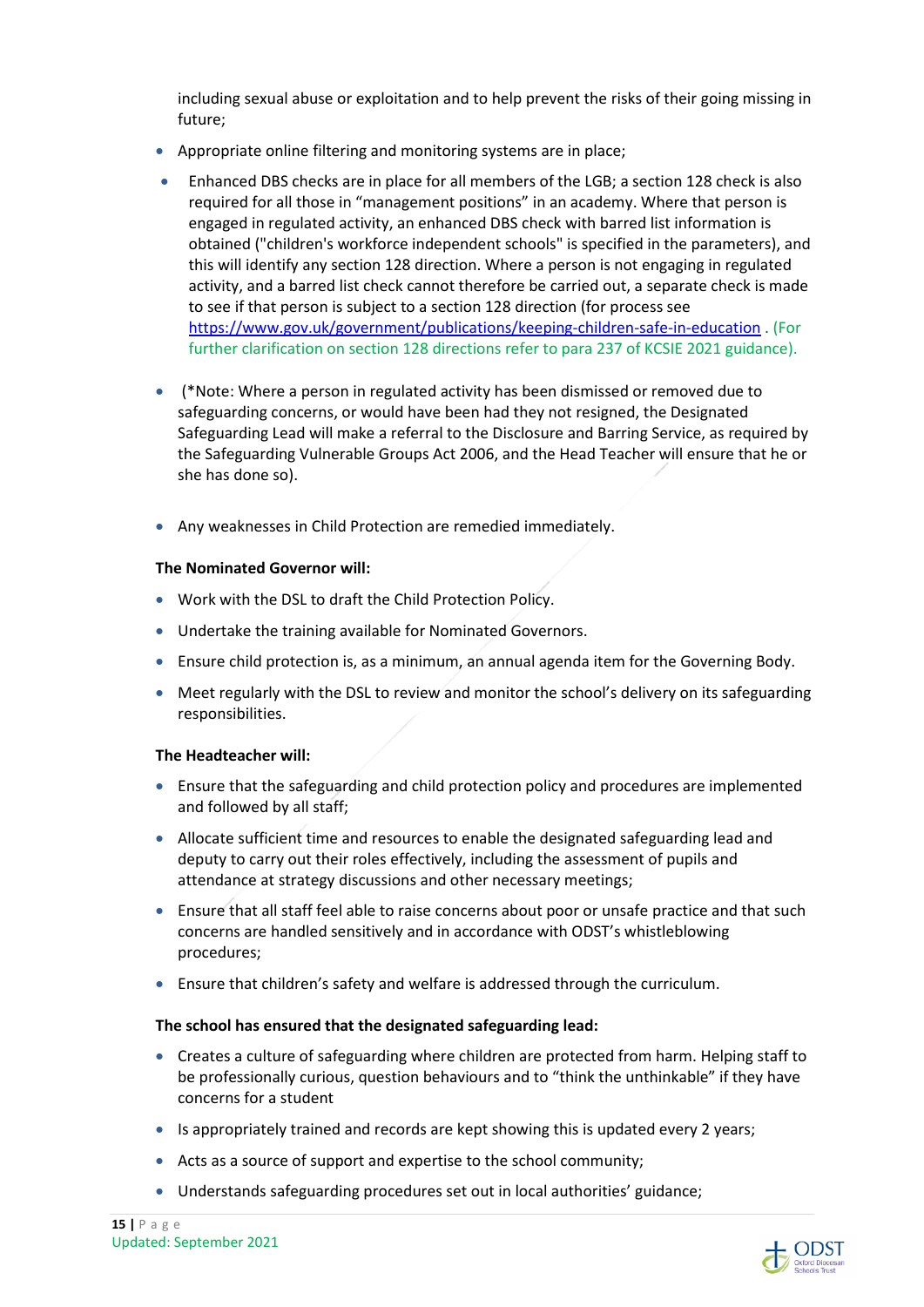including sexual abuse or exploitation and to help prevent the risks of their going missing in future;

- Appropriate online filtering and monitoring systems are in place;
- Enhanced DBS checks are in place for all members of the LGB; a section 128 check is also required for all those in "management positions" in an academy. Where that person is engaged in regulated activity, an enhanced DBS check with barred list information is obtained ("children's workforce independent schools" is specified in the parameters), and this will identify any section 128 direction. Where a person is not engaging in regulated activity, and a barred list check cannot therefore be carried out, a separate check is made to see if that person is subject to a section 128 direction (for process see https://www.gov.uk/government/publications/keeping-children-safe-in-education . (For further clarification on section 128 directions refer to para 237 of KCSIE 2021 guidance).
- (\*Note: Where a person in regulated activity has been dismissed or removed due to safeguarding concerns, or would have been had they not resigned, the Designated Safeguarding Lead will make a referral to the Disclosure and Barring Service, as required by the Safeguarding Vulnerable Groups Act 2006, and the Head Teacher will ensure that he or she has done so).
- Any weaknesses in Child Protection are remedied immediately.

#### **The Nominated Governor will:**

- Work with the DSL to draft the Child Protection Policy.
- Undertake the training available for Nominated Governors.
- Ensure child protection is, as a minimum, an annual agenda item for the Governing Body.
- Meet regularly with the DSL to review and monitor the school's delivery on its safeguarding responsibilities.

#### **The Headteacher will:**

- Ensure that the safeguarding and child protection policy and procedures are implemented and followed by all staff;
- Allocate sufficient time and resources to enable the designated safeguarding lead and deputy to carry out their roles effectively, including the assessment of pupils and attendance at strategy discussions and other necessary meetings;
- Ensure that all staff feel able to raise concerns about poor or unsafe practice and that such concerns are handled sensitively and in accordance with ODST's whistleblowing procedures;
- Ensure that children's safety and welfare is addressed through the curriculum.

#### **The school has ensured that the designated safeguarding lead:**

- Creates a culture of safeguarding where children are protected from harm. Helping staff to be professionally curious, question behaviours and to "think the unthinkable" if they have concerns for a student
- Is appropriately trained and records are kept showing this is updated every 2 years;
- Acts as a source of support and expertise to the school community;
- Understands safeguarding procedures set out in local authorities' guidance;

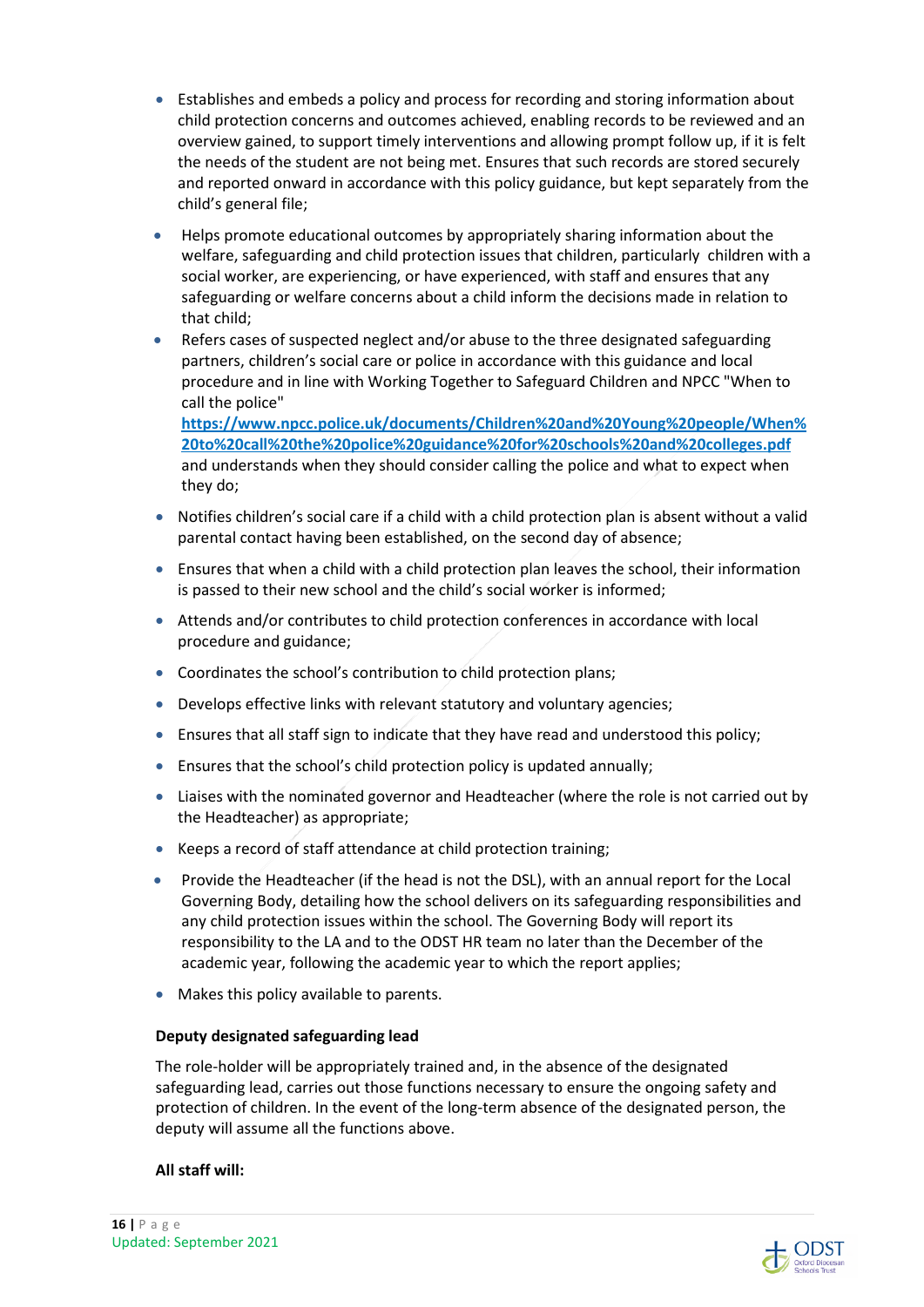- Establishes and embeds a policy and process for recording and storing information about child protection concerns and outcomes achieved, enabling records to be reviewed and an overview gained, to support timely interventions and allowing prompt follow up, if it is felt the needs of the student are not being met. Ensures that such records are stored securely and reported onward in accordance with this policy guidance, but kept separately from the child's general file;
- Helps promote educational outcomes by appropriately sharing information about the welfare, safeguarding and child protection issues that children, particularly children with a social worker, are experiencing, or have experienced, with staff and ensures that any safeguarding or welfare concerns about a child inform the decisions made in relation to that child;
- Refers cases of suspected neglect and/or abuse to the three designated safeguarding partners, children's social care or police in accordance with this guidance and local procedure and in line with Working Together to Safeguard Children and NPCC "When to call the police"

**https://www.npcc.police.uk/documents/Children%20and%20Young%20people/When% 20to%20call%20the%20police%20guidance%20for%20schools%20and%20colleges.pdf**  and understands when they should consider calling the police and what to expect when they do;

- Notifies children's social care if a child with a child protection plan is absent without a valid parental contact having been established, on the second day of absence;
- Ensures that when a child with a child protection plan leaves the school, their information is passed to their new school and the child's social worker is informed;
- Attends and/or contributes to child protection conferences in accordance with local procedure and guidance;
- Coordinates the school's contribution to child protection plans;
- Develops effective links with relevant statutory and voluntary agencies;
- Ensures that all staff sign to indicate that they have read and understood this policy;
- Ensures that the school's child protection policy is updated annually;
- Liaises with the nominated governor and Headteacher (where the role is not carried out by the Headteacher) as appropriate;
- Keeps a record of staff attendance at child protection training;
- Provide the Headteacher (if the head is not the DSL), with an annual report for the Local Governing Body, detailing how the school delivers on its safeguarding responsibilities and any child protection issues within the school. The Governing Body will report its responsibility to the LA and to the ODST HR team no later than the December of the academic year, following the academic year to which the report applies;
- Makes this policy available to parents.

#### **Deputy designated safeguarding lead**

The role-holder will be appropriately trained and, in the absence of the designated safeguarding lead, carries out those functions necessary to ensure the ongoing safety and protection of children. In the event of the long-term absence of the designated person, the deputy will assume all the functions above.

#### **All staff will:**

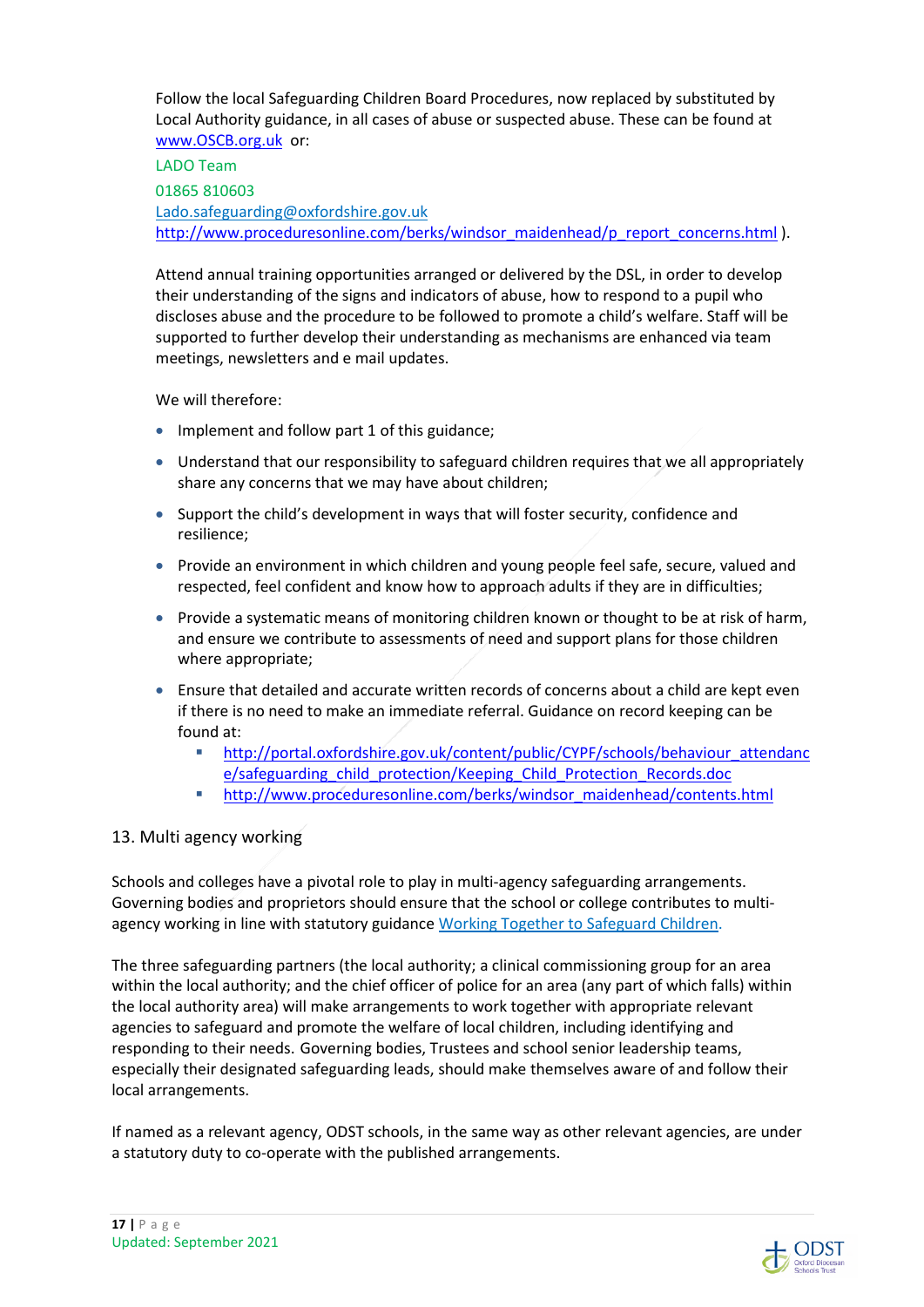Follow the local Safeguarding Children Board Procedures, now replaced by substituted by Local Authority guidance, in all cases of abuse or suspected abuse. These can be found at www.OSCB.org.uk or:

LADO Team 01865 810603 Lado.safeguarding@oxfordshire.gov.uk http://www.proceduresonline.com/berks/windsor\_maidenhead/p\_report\_concerns.html ).

Attend annual training opportunities arranged or delivered by the DSL, in order to develop their understanding of the signs and indicators of abuse, how to respond to a pupil who discloses abuse and the procedure to be followed to promote a child's welfare. Staff will be supported to further develop their understanding as mechanisms are enhanced via team meetings, newsletters and e mail updates.

We will therefore:

- Implement and follow part 1 of this guidance;
- Understand that our responsibility to safeguard children requires that we all appropriately share any concerns that we may have about children;
- Support the child's development in ways that will foster security, confidence and resilience;
- Provide an environment in which children and young people feel safe, secure, valued and respected, feel confident and know how to approach adults if they are in difficulties;
- Provide a systematic means of monitoring children known or thought to be at risk of harm, and ensure we contribute to assessments of need and support plans for those children where appropriate;
- Ensure that detailed and accurate written records of concerns about a child are kept even if there is no need to make an immediate referral. Guidance on record keeping can be found at:
	- http://portal.oxfordshire.gov.uk/content/public/CYPF/schools/behaviour\_attendanc e/safeguarding\_child\_protection/Keeping\_Child\_Protection\_Records.doc
	- **http://www.proceduresonline.com/berks/windsor\_maidenhead/contents.html**

## 13. Multi agency working

Schools and colleges have a pivotal role to play in multi-agency safeguarding arrangements. Governing bodies and proprietors should ensure that the school or college contributes to multiagency working in line with statutory guidance Working Together to Safeguard Children.

The three safeguarding partners (the local authority; a clinical commissioning group for an area within the local authority; and the chief officer of police for an area (any part of which falls) within the local authority area) will make arrangements to work together with appropriate relevant agencies to safeguard and promote the welfare of local children, including identifying and responding to their needs. Governing bodies, Trustees and school senior leadership teams, especially their designated safeguarding leads, should make themselves aware of and follow their local arrangements.

If named as a relevant agency, ODST schools, in the same way as other relevant agencies, are under a statutory duty to co-operate with the published arrangements.

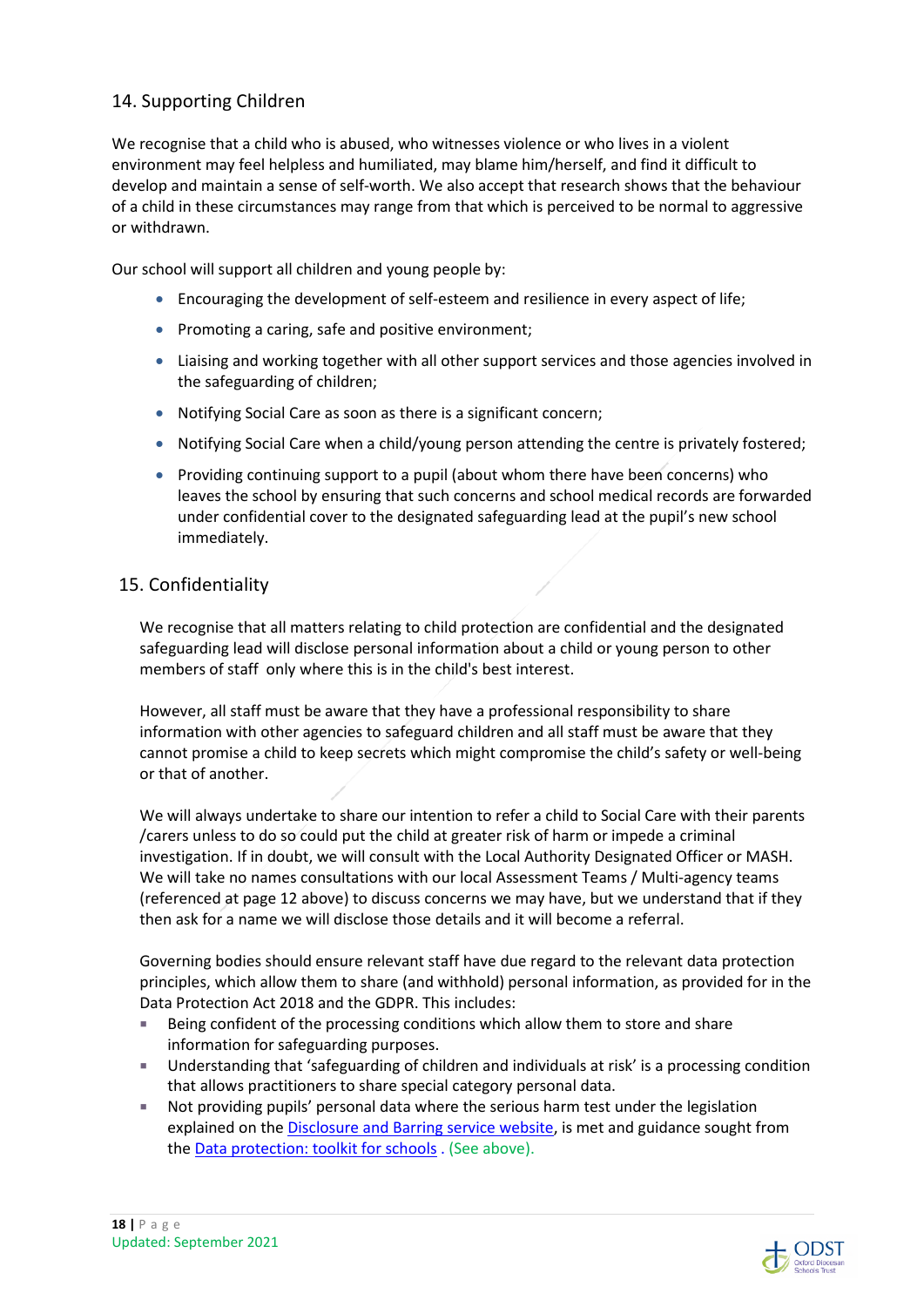## 14. Supporting Children

We recognise that a child who is abused, who witnesses violence or who lives in a violent environment may feel helpless and humiliated, may blame him/herself, and find it difficult to develop and maintain a sense of self-worth. We also accept that research shows that the behaviour of a child in these circumstances may range from that which is perceived to be normal to aggressive or withdrawn.

Our school will support all children and young people by:

- Encouraging the development of self-esteem and resilience in every aspect of life;
- Promoting a caring, safe and positive environment;
- Liaising and working together with all other support services and those agencies involved in the safeguarding of children;
- Notifying Social Care as soon as there is a significant concern;
- Notifying Social Care when a child/young person attending the centre is privately fostered;
- Providing continuing support to a pupil (about whom there have been concerns) who leaves the school by ensuring that such concerns and school medical records are forwarded under confidential cover to the designated safeguarding lead at the pupil's new school immediately.

#### 15. Confidentiality

We recognise that all matters relating to child protection are confidential and the designated safeguarding lead will disclose personal information about a child or young person to other members of staff only where this is in the child's best interest.

However, all staff must be aware that they have a professional responsibility to share information with other agencies to safeguard children and all staff must be aware that they cannot promise a child to keep secrets which might compromise the child's safety or well-being or that of another.

We will always undertake to share our intention to refer a child to Social Care with their parents /carers unless to do so could put the child at greater risk of harm or impede a criminal investigation. If in doubt, we will consult with the Local Authority Designated Officer or MASH. We will take no names consultations with our local Assessment Teams / Multi-agency teams (referenced at page 12 above) to discuss concerns we may have, but we understand that if they then ask for a name we will disclose those details and it will become a referral.

Governing bodies should ensure relevant staff have due regard to the relevant data protection principles, which allow them to share (and withhold) personal information, as provided for in the Data Protection Act 2018 and the GDPR. This includes:

- Being confident of the processing conditions which allow them to store and share information for safeguarding purposes.
- Understanding that 'safeguarding of children and individuals at risk' is a processing condition that allows practitioners to share special category personal data.
- Not providing pupils' personal data where the serious harm test under the legislation explained on the Disclosure and Barring service website, is met and guidance sought from the Data protection: toolkit for schools . (See above).

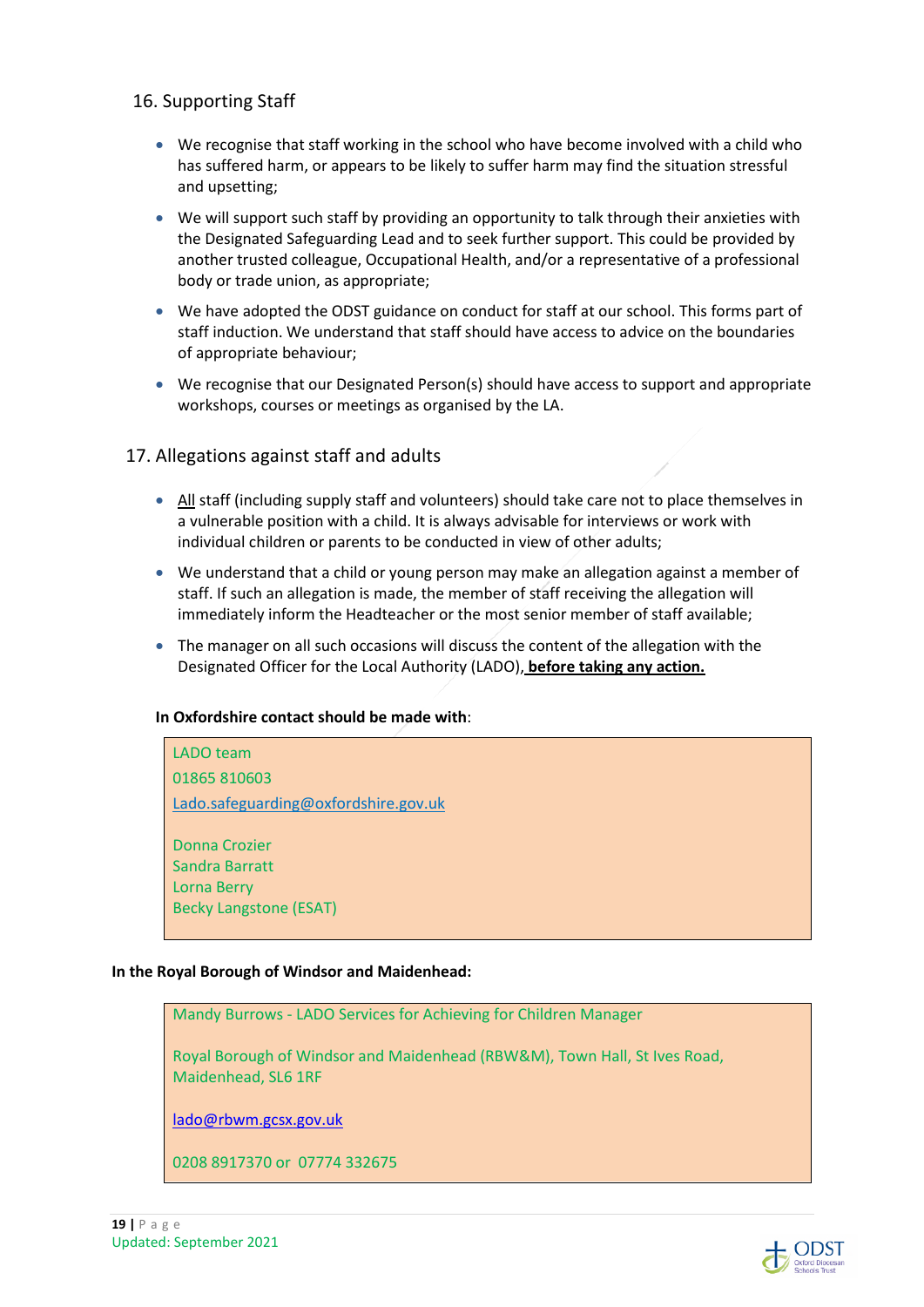## 16. Supporting Staff

- We recognise that staff working in the school who have become involved with a child who has suffered harm, or appears to be likely to suffer harm may find the situation stressful and upsetting;
- We will support such staff by providing an opportunity to talk through their anxieties with the Designated Safeguarding Lead and to seek further support. This could be provided by another trusted colleague, Occupational Health, and/or a representative of a professional body or trade union, as appropriate;
- We have adopted the ODST guidance on conduct for staff at our school. This forms part of staff induction. We understand that staff should have access to advice on the boundaries of appropriate behaviour;
- We recognise that our Designated Person(s) should have access to support and appropriate workshops, courses or meetings as organised by the LA.

## 17. Allegations against staff and adults

- All staff (including supply staff and volunteers) should take care not to place themselves in a vulnerable position with a child. It is always advisable for interviews or work with individual children or parents to be conducted in view of other adults;
- We understand that a child or young person may make an allegation against a member of staff. If such an allegation is made, the member of staff receiving the allegation will immediately inform the Headteacher or the most senior member of staff available;
- The manager on all such occasions will discuss the content of the allegation with the Designated Officer for the Local Authority (LADO), **before taking any action.**

#### **In Oxfordshire contact should be made with**:



#### **In the Royal Borough of Windsor and Maidenhead:**

Mandy Burrows - LADO Services for Achieving for Children Manager

Royal Borough of Windsor and Maidenhead (RBW&M), Town Hall, St Ives Road, Maidenhead, SL6 1RF

lado@rbwm.gcsx.gov.uk

0208 8917370 or 07774 332675

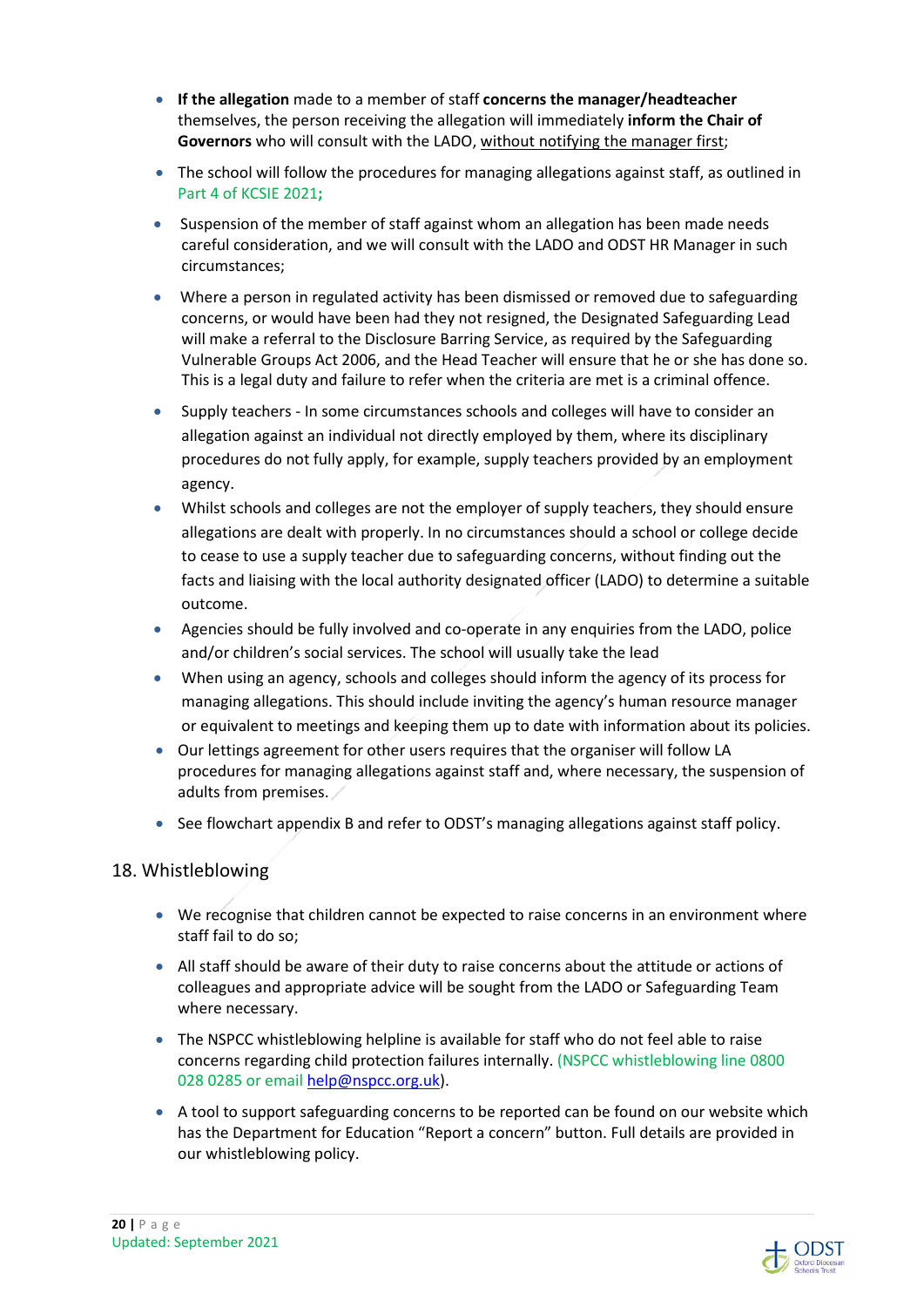- **If the allegation** made to a member of staff **concerns the manager/headteacher** themselves, the person receiving the allegation will immediately **inform the Chair of Governors** who will consult with the LADO, without notifying the manager first;
- The school will follow the procedures for managing allegations against staff, as outlined in Part 4 of KCSIE 2021**;**
- Suspension of the member of staff against whom an allegation has been made needs careful consideration, and we will consult with the LADO and ODST HR Manager in such circumstances;
- Where a person in regulated activity has been dismissed or removed due to safeguarding concerns, or would have been had they not resigned, the Designated Safeguarding Lead will make a referral to the Disclosure Barring Service, as required by the Safeguarding Vulnerable Groups Act 2006, and the Head Teacher will ensure that he or she has done so. This is a legal duty and failure to refer when the criteria are met is a criminal offence.
- Supply teachers In some circumstances schools and colleges will have to consider an allegation against an individual not directly employed by them, where its disciplinary procedures do not fully apply, for example, supply teachers provided by an employment agency.
- Whilst schools and colleges are not the employer of supply teachers, they should ensure allegations are dealt with properly. In no circumstances should a school or college decide to cease to use a supply teacher due to safeguarding concerns, without finding out the facts and liaising with the local authority designated officer (LADO) to determine a suitable outcome.
- Agencies should be fully involved and co-operate in any enquiries from the LADO, police and/or children's social services. The school will usually take the lead
- When using an agency, schools and colleges should inform the agency of its process for managing allegations. This should include inviting the agency's human resource manager or equivalent to meetings and keeping them up to date with information about its policies.
- Our lettings agreement for other users requires that the organiser will follow LA procedures for managing allegations against staff and, where necessary, the suspension of adults from premises.
- See flowchart appendix B and refer to ODST's managing allegations against staff policy.

## 18. Whistleblowing

- We recognise that children cannot be expected to raise concerns in an environment where staff fail to do so;
- All staff should be aware of their duty to raise concerns about the attitude or actions of colleagues and appropriate advice will be sought from the LADO or Safeguarding Team where necessary.
- The NSPCC whistleblowing helpline is available for staff who do not feel able to raise concerns regarding child protection failures internally. (NSPCC whistleblowing line 0800 028 0285 or email help@nspcc.org.uk).
- A tool to support safeguarding concerns to be reported can be found on our website which has the Department for Education "Report a concern" button. Full details are provided in our whistleblowing policy.

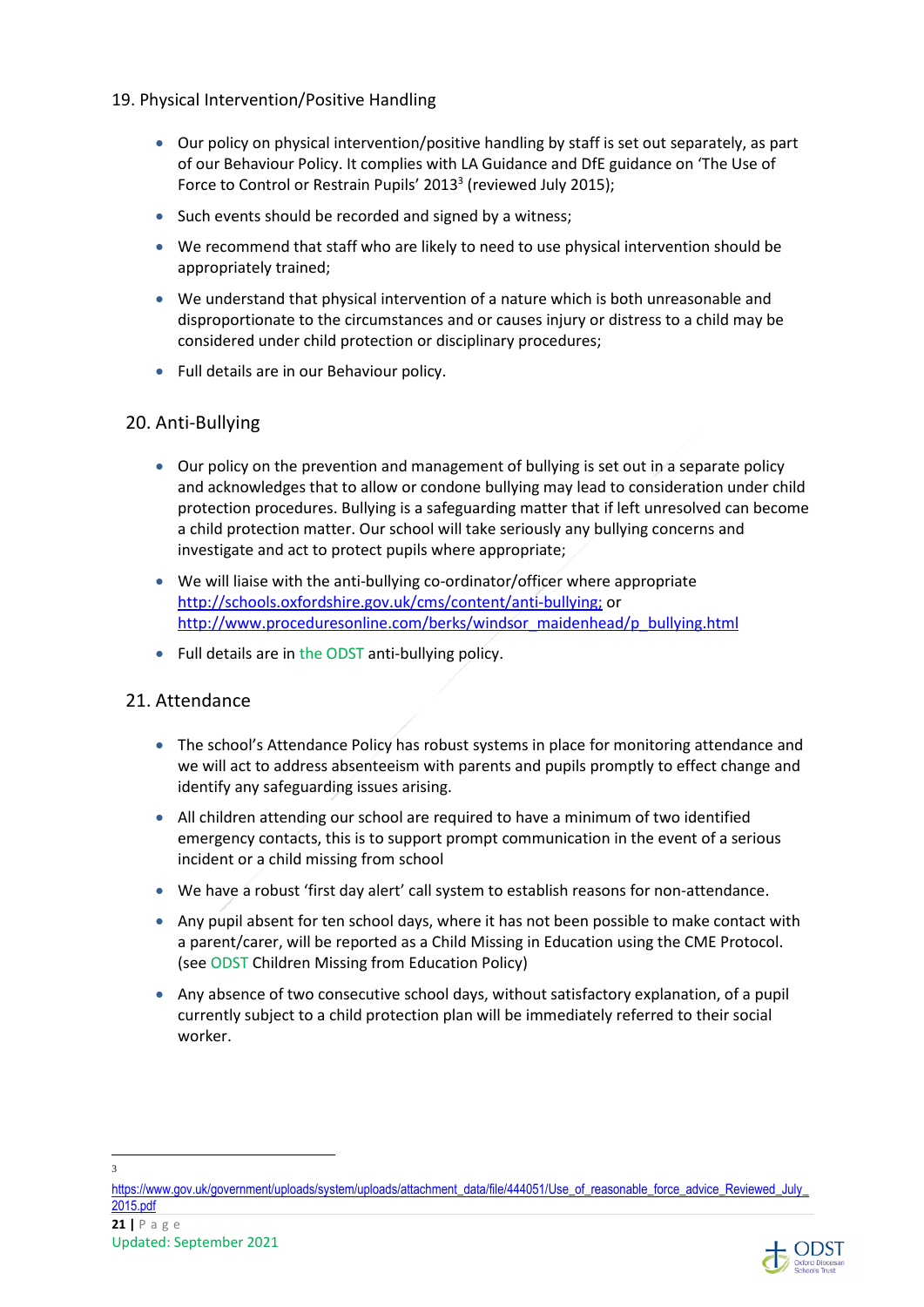- 19. Physical Intervention/Positive Handling
	- Our policy on physical intervention/positive handling by staff is set out separately, as part of our Behaviour Policy. It complies with LA Guidance and DfE guidance on 'The Use of Force to Control or Restrain Pupils' 2013<sup>3</sup> (reviewed July 2015);
	- Such events should be recorded and signed by a witness:
	- We recommend that staff who are likely to need to use physical intervention should be appropriately trained;
	- We understand that physical intervention of a nature which is both unreasonable and disproportionate to the circumstances and or causes injury or distress to a child may be considered under child protection or disciplinary procedures;
	- Full details are in our Behaviour policy.

#### 20. Anti-Bullying

- Our policy on the prevention and management of bullying is set out in a separate policy and acknowledges that to allow or condone bullying may lead to consideration under child protection procedures. Bullying is a safeguarding matter that if left unresolved can become a child protection matter. Our school will take seriously any bullying concerns and investigate and act to protect pupils where appropriate;
- We will liaise with the anti-bullying co-ordinator/officer where appropriate http://schools.oxfordshire.gov.uk/cms/content/anti-bullying; or http://www.proceduresonline.com/berks/windsor\_maidenhead/p\_bullying.html
- Full details are in the ODST anti-bullying policy.

#### 21. Attendance

- The school's Attendance Policy has robust systems in place for monitoring attendance and we will act to address absenteeism with parents and pupils promptly to effect change and identify any safeguarding issues arising.
- All children attending our school are required to have a minimum of two identified emergency contacts, this is to support prompt communication in the event of a serious incident or a child missing from school
- We have a robust 'first day alert' call system to establish reasons for non-attendance.
- Any pupil absent for ten school days, where it has not been possible to make contact with a parent/carer, will be reported as a Child Missing in Education using the CME Protocol. (see ODST Children Missing from Education Policy)
- Any absence of two consecutive school days, without satisfactory explanation, of a pupil currently subject to a child protection plan will be immediately referred to their social worker.

3



https://www.gov.uk/government/uploads/system/uploads/attachment\_data/file/444051/Use\_of\_reasonable\_force\_advice\_Reviewed\_July 2015.pdf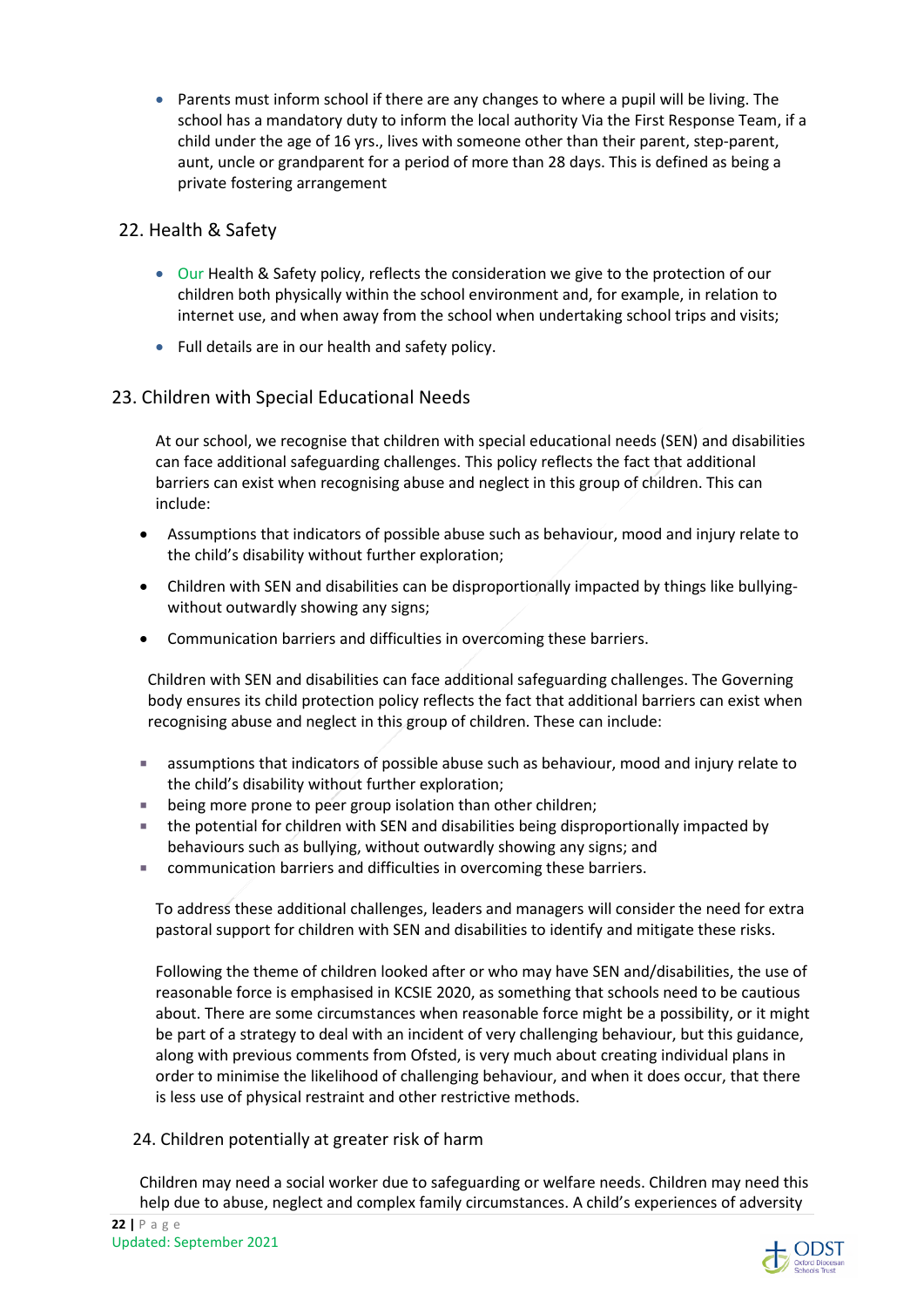• Parents must inform school if there are any changes to where a pupil will be living. The school has a mandatory duty to inform the local authority Via the First Response Team, if a child under the age of 16 yrs., lives with someone other than their parent, step-parent, aunt, uncle or grandparent for a period of more than 28 days. This is defined as being a private fostering arrangement

## 22. Health & Safety

- Our Health & Safety policy, reflects the consideration we give to the protection of our children both physically within the school environment and, for example, in relation to internet use, and when away from the school when undertaking school trips and visits;
- Full details are in our health and safety policy.

## 23. Children with Special Educational Needs

At our school, we recognise that children with special educational needs (SEN) and disabilities can face additional safeguarding challenges. This policy reflects the fact that additional barriers can exist when recognising abuse and neglect in this group of children. This can include:

- Assumptions that indicators of possible abuse such as behaviour, mood and injury relate to the child's disability without further exploration;
- Children with SEN and disabilities can be disproportionally impacted by things like bullyingwithout outwardly showing any signs;
- Communication barriers and difficulties in overcoming these barriers.

Children with SEN and disabilities can face additional safeguarding challenges. The Governing body ensures its child protection policy reflects the fact that additional barriers can exist when recognising abuse and neglect in this group of children. These can include:

- assumptions that indicators of possible abuse such as behaviour, mood and injury relate to the child's disability without further exploration;
- **EXECT** being more prone to peer group isolation than other children;
- the potential for children with SEN and disabilities being disproportionally impacted by behaviours such as bullying, without outwardly showing any signs; and
- communication barriers and difficulties in overcoming these barriers.

To address these additional challenges, leaders and managers will consider the need for extra pastoral support for children with SEN and disabilities to identify and mitigate these risks.

Following the theme of children looked after or who may have SEN and/disabilities, the use of reasonable force is emphasised in KCSIE 2020, as something that schools need to be cautious about. There are some circumstances when reasonable force might be a possibility, or it might be part of a strategy to deal with an incident of very challenging behaviour, but this guidance, along with previous comments from Ofsted, is very much about creating individual plans in order to minimise the likelihood of challenging behaviour, and when it does occur, that there is less use of physical restraint and other restrictive methods.

## 24. Children potentially at greater risk of harm

Children may need a social worker due to safeguarding or welfare needs. Children may need this help due to abuse, neglect and complex family circumstances. A child's experiences of adversity

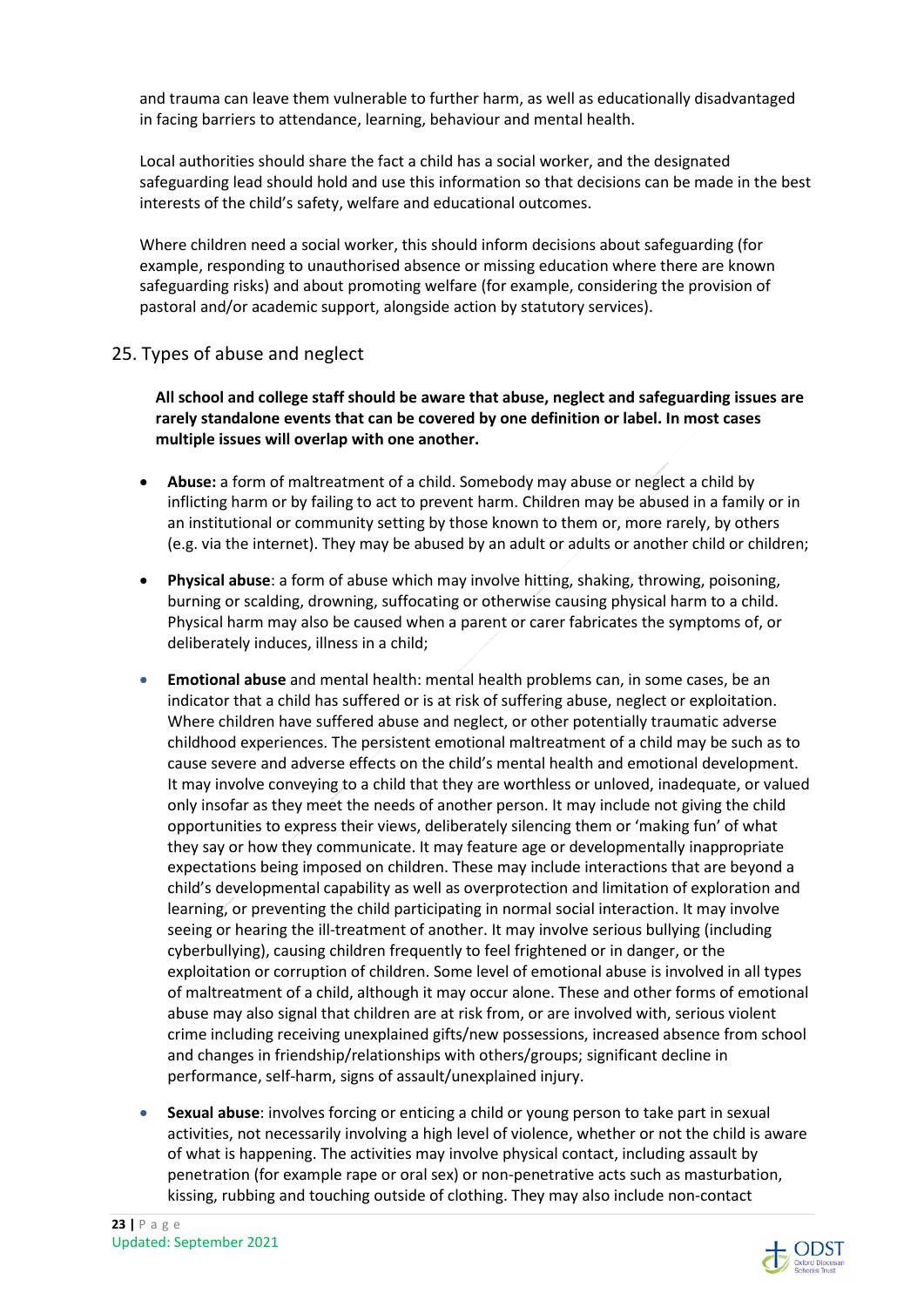and trauma can leave them vulnerable to further harm, as well as educationally disadvantaged in facing barriers to attendance, learning, behaviour and mental health.

Local authorities should share the fact a child has a social worker, and the designated safeguarding lead should hold and use this information so that decisions can be made in the best interests of the child's safety, welfare and educational outcomes.

Where children need a social worker, this should inform decisions about safeguarding (for example, responding to unauthorised absence or missing education where there are known safeguarding risks) and about promoting welfare (for example, considering the provision of pastoral and/or academic support, alongside action by statutory services).

## 25. Types of abuse and neglect

**All school and college staff should be aware that abuse, neglect and safeguarding issues are rarely standalone events that can be covered by one definition or label. In most cases multiple issues will overlap with one another.** 

- **Abuse:** a form of maltreatment of a child. Somebody may abuse or neglect a child by inflicting harm or by failing to act to prevent harm. Children may be abused in a family or in an institutional or community setting by those known to them or, more rarely, by others (e.g. via the internet). They may be abused by an adult or adults or another child or children;
- **Physical abuse**: a form of abuse which may involve hitting, shaking, throwing, poisoning, burning or scalding, drowning, suffocating or otherwise causing physical harm to a child. Physical harm may also be caused when a parent or carer fabricates the symptoms of, or deliberately induces, illness in a child;
- **Emotional abuse** and mental health: mental health problems can, in some cases, be an indicator that a child has suffered or is at risk of suffering abuse, neglect or exploitation. Where children have suffered abuse and neglect, or other potentially traumatic adverse childhood experiences. The persistent emotional maltreatment of a child may be such as to cause severe and adverse effects on the child's mental health and emotional development. It may involve conveying to a child that they are worthless or unloved, inadequate, or valued only insofar as they meet the needs of another person. It may include not giving the child opportunities to express their views, deliberately silencing them or 'making fun' of what they say or how they communicate. It may feature age or developmentally inappropriate expectations being imposed on children. These may include interactions that are beyond a child's developmental capability as well as overprotection and limitation of exploration and learning, or preventing the child participating in normal social interaction. It may involve seeing or hearing the ill-treatment of another. It may involve serious bullying (including cyberbullying), causing children frequently to feel frightened or in danger, or the exploitation or corruption of children. Some level of emotional abuse is involved in all types of maltreatment of a child, although it may occur alone. These and other forms of emotional abuse may also signal that children are at risk from, or are involved with, serious violent crime including receiving unexplained gifts/new possessions, increased absence from school and changes in friendship/relationships with others/groups; significant decline in performance, self-harm, signs of assault/unexplained injury.
- **Sexual abuse**: involves forcing or enticing a child or young person to take part in sexual activities, not necessarily involving a high level of violence, whether or not the child is aware of what is happening. The activities may involve physical contact, including assault by penetration (for example rape or oral sex) or non-penetrative acts such as masturbation, kissing, rubbing and touching outside of clothing. They may also include non-contact

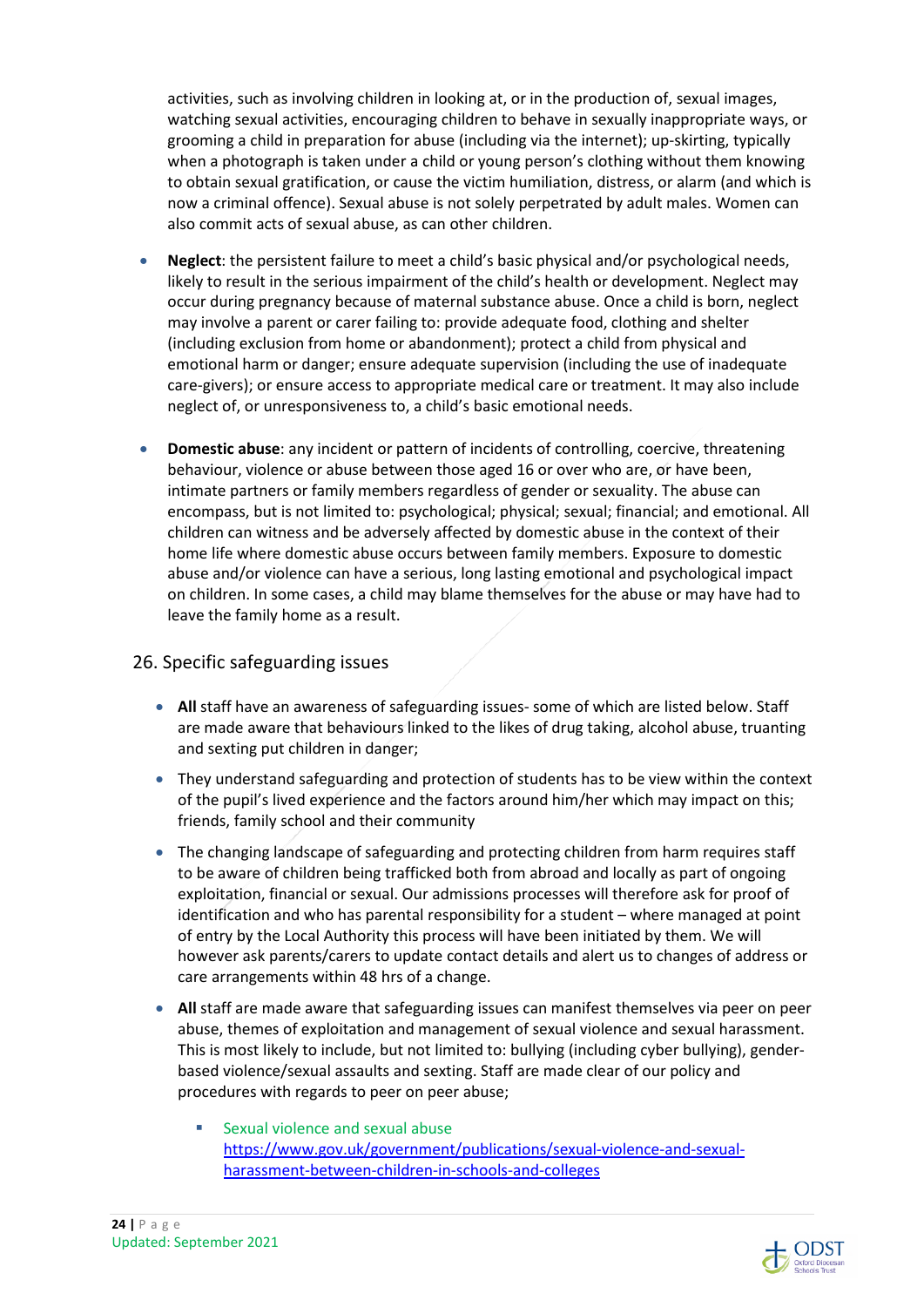activities, such as involving children in looking at, or in the production of, sexual images, watching sexual activities, encouraging children to behave in sexually inappropriate ways, or grooming a child in preparation for abuse (including via the internet); up-skirting, typically when a photograph is taken under a child or young person's clothing without them knowing to obtain sexual gratification, or cause the victim humiliation, distress, or alarm (and which is now a criminal offence). Sexual abuse is not solely perpetrated by adult males. Women can also commit acts of sexual abuse, as can other children.

- **Neglect**: the persistent failure to meet a child's basic physical and/or psychological needs, likely to result in the serious impairment of the child's health or development. Neglect may occur during pregnancy because of maternal substance abuse. Once a child is born, neglect may involve a parent or carer failing to: provide adequate food, clothing and shelter (including exclusion from home or abandonment); protect a child from physical and emotional harm or danger; ensure adequate supervision (including the use of inadequate care-givers); or ensure access to appropriate medical care or treatment. It may also include neglect of, or unresponsiveness to, a child's basic emotional needs.
- **Domestic abuse**: any incident or pattern of incidents of controlling, coercive, threatening behaviour, violence or abuse between those aged 16 or over who are, or have been, intimate partners or family members regardless of gender or sexuality. The abuse can encompass, but is not limited to: psychological; physical; sexual; financial; and emotional. All children can witness and be adversely affected by domestic abuse in the context of their home life where domestic abuse occurs between family members. Exposure to domestic abuse and/or violence can have a serious, long lasting emotional and psychological impact on children. In some cases, a child may blame themselves for the abuse or may have had to leave the family home as a result.

## 26. Specific safeguarding issues

- **All** staff have an awareness of safeguarding issues- some of which are listed below. Staff are made aware that behaviours linked to the likes of drug taking, alcohol abuse, truanting and sexting put children in danger;
- They understand safeguarding and protection of students has to be view within the context of the pupil's lived experience and the factors around him/her which may impact on this; friends, family school and their community
- The changing landscape of safeguarding and protecting children from harm requires staff to be aware of children being trafficked both from abroad and locally as part of ongoing exploitation, financial or sexual. Our admissions processes will therefore ask for proof of identification and who has parental responsibility for a student – where managed at point of entry by the Local Authority this process will have been initiated by them. We will however ask parents/carers to update contact details and alert us to changes of address or care arrangements within 48 hrs of a change.
- **All** staff are made aware that safeguarding issues can manifest themselves via peer on peer abuse, themes of exploitation and management of sexual violence and sexual harassment. This is most likely to include, but not limited to: bullying (including cyber bullying), genderbased violence/sexual assaults and sexting. Staff are made clear of our policy and procedures with regards to peer on peer abuse;
	- **Sexual violence and sexual abuse** https://www.gov.uk/government/publications/sexual-violence-and-sexualharassment-between-children-in-schools-and-colleges

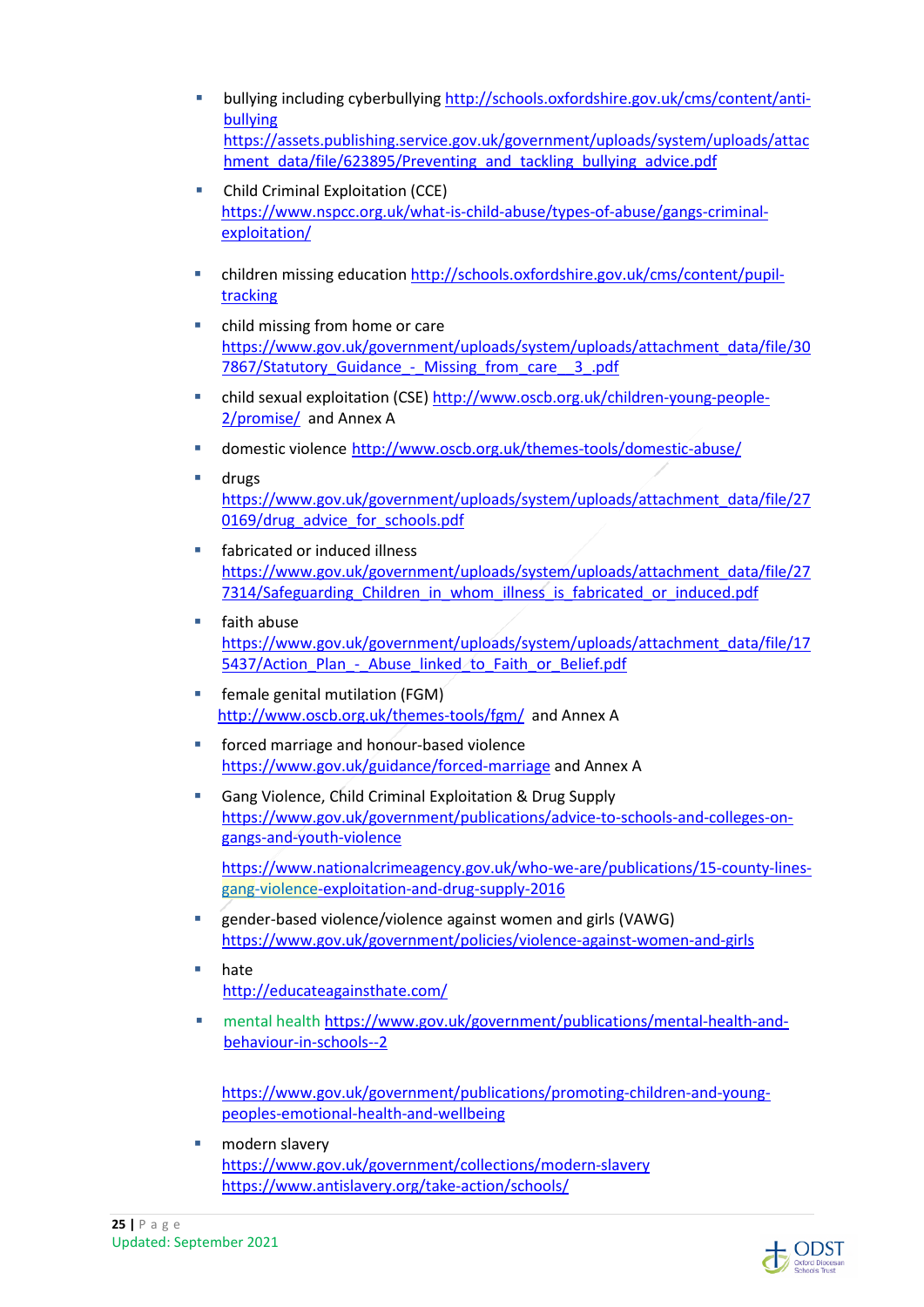- bullying including cyberbullying http://schools.oxfordshire.gov.uk/cms/content/antibullying https://assets.publishing.service.gov.uk/government/uploads/system/uploads/attac hment\_data/file/623895/Preventing\_and\_tackling\_bullying\_advice.pdf
- **Child Criminal Exploitation (CCE)** https://www.nspcc.org.uk/what-is-child-abuse/types-of-abuse/gangs-criminalexploitation/
- children missing education http://schools.oxfordshire.gov.uk/cms/content/pupiltracking
- child missing from home or care https://www.gov.uk/government/uploads/system/uploads/attachment\_data/file/30 7867/Statutory Guidance - Missing from care 3 .pdf
- child sexual exploitation (CSE) http://www.oscb.org.uk/children-young-people-2/promise/ and Annex A
- domestic violence http://www.oscb.org.uk/themes-tools/domestic-abuse/
- drugs https://www.gov.uk/government/uploads/system/uploads/attachment\_data/file/27 0169/drug\_advice\_for\_schools.pdf
- fabricated or induced illness https://www.gov.uk/government/uploads/system/uploads/attachment\_data/file/27 7314/Safeguarding Children\_in\_whom\_illness\_is\_fabricated\_or\_induced.pdf
- **Faith abuse** https://www.gov.uk/government/uploads/system/uploads/attachment\_data/file/17 5437/Action\_Plan - Abuse\_linked\_to\_Faith\_or\_Belief.pdf
- **Fig. 5** female genital mutilation (FGM) http://www.oscb.org.uk/themes-tools/fgm/ and Annex A
- **forced marriage and honour-based violence** https://www.gov.uk/guidance/forced-marriage and Annex A
- Gang Violence, Child Criminal Exploitation & Drug Supply https://www.gov.uk/government/publications/advice-to-schools-and-colleges-ongangs-and-youth-violence

https://www.nationalcrimeagency.gov.uk/who-we-are/publications/15-county-linesgang-violence-exploitation-and-drug-supply-2016

- gender-based violence/violence against women and girls (VAWG) https://www.gov.uk/government/policies/violence-against-women-and-girls
- hate http://educateagainsthate.com/
- mental health https://www.gov.uk/government/publications/mental-health-andbehaviour-in-schools--2

https://www.gov.uk/government/publications/promoting-children-and-youngpeoples-emotional-health-and-wellbeing

 modern slavery https://www.gov.uk/government/collections/modern-slavery https://www.antislavery.org/take-action/schools/

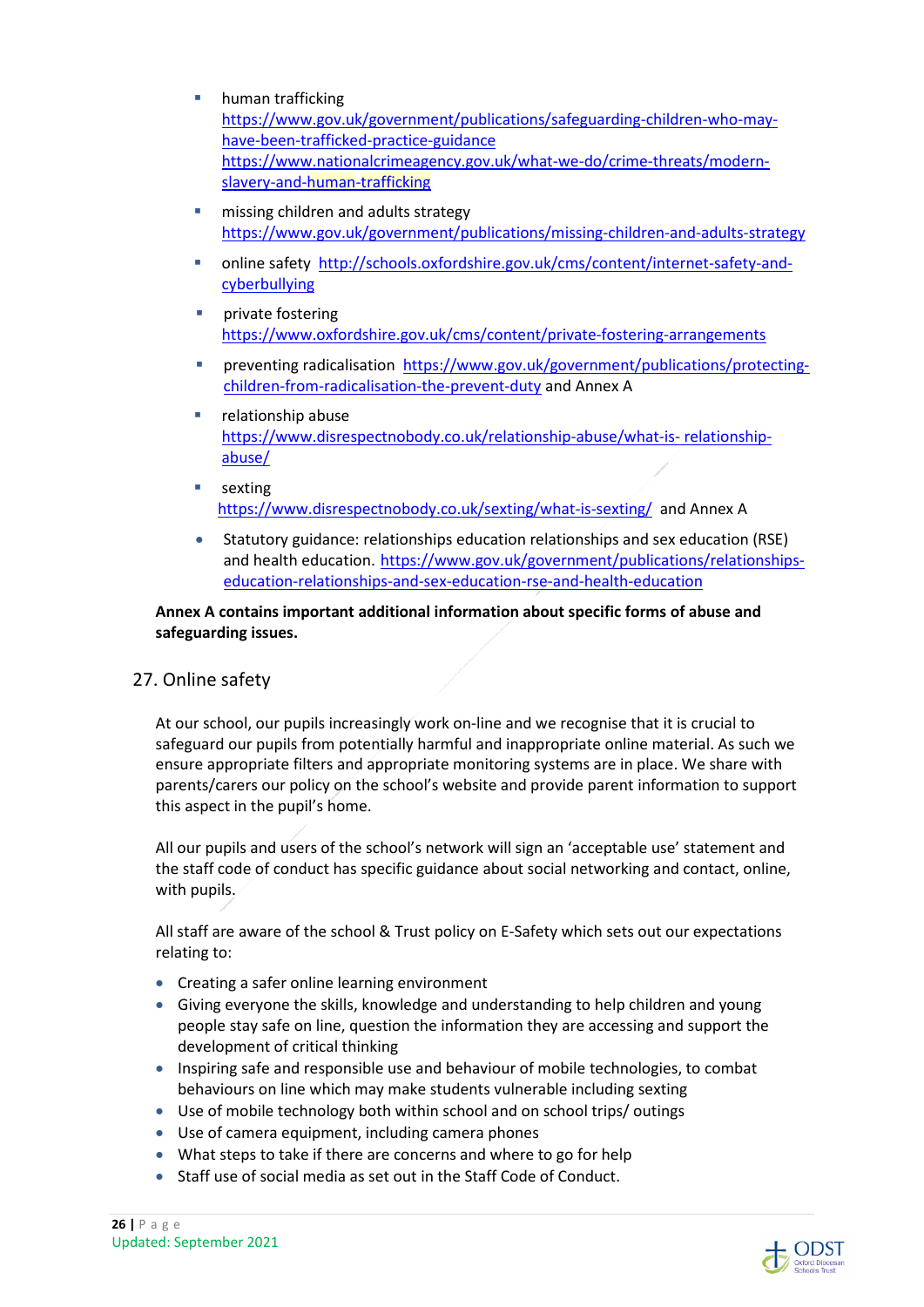- **human trafficking** https://www.gov.uk/government/publications/safeguarding-children-who-mayhave-been-trafficked-practice-guidance https://www.nationalcrimeagency.gov.uk/what-we-do/crime-threats/modernslavery-and-human-trafficking
	- missing children and adults strategy https://www.gov.uk/government/publications/missing-children-and-adults-strategy
	- online safety http://schools.oxfordshire.gov.uk/cms/content/internet-safety-andcyberbullying
	- private fostering https://www.oxfordshire.gov.uk/cms/content/private-fostering-arrangements
	- preventing radicalisation https://www.gov.uk/government/publications/protectingchildren-from-radicalisation-the-prevent-duty and Annex A
	- **relationship abuse** https://www.disrespectnobody.co.uk/relationship-abuse/what-is- relationshipabuse/
	- sexting https://www.disrespectnobody.co.uk/sexting/what-is-sexting/ and Annex A
	- Statutory guidance: relationships education relationships and sex education (RSE) and health education. https://www.gov.uk/government/publications/relationshipseducation-relationships-and-sex-education-rse-and-health-education

## **Annex A contains important additional information about specific forms of abuse and safeguarding issues.**

## 27. Online safety

At our school, our pupils increasingly work on-line and we recognise that it is crucial to safeguard our pupils from potentially harmful and inappropriate online material. As such we ensure appropriate filters and appropriate monitoring systems are in place. We share with parents/carers our policy on the school's website and provide parent information to support this aspect in the pupil's home.

All our pupils and users of the school's network will sign an 'acceptable use' statement and the staff code of conduct has specific guidance about social networking and contact, online, with pupils.

All staff are aware of the school & Trust policy on E-Safety which sets out our expectations relating to:

- Creating a safer online learning environment
- Giving everyone the skills, knowledge and understanding to help children and young people stay safe on line, question the information they are accessing and support the development of critical thinking
- Inspiring safe and responsible use and behaviour of mobile technologies, to combat behaviours on line which may make students vulnerable including sexting
- Use of mobile technology both within school and on school trips/ outings
- Use of camera equipment, including camera phones
- What steps to take if there are concerns and where to go for help
- Staff use of social media as set out in the Staff Code of Conduct.

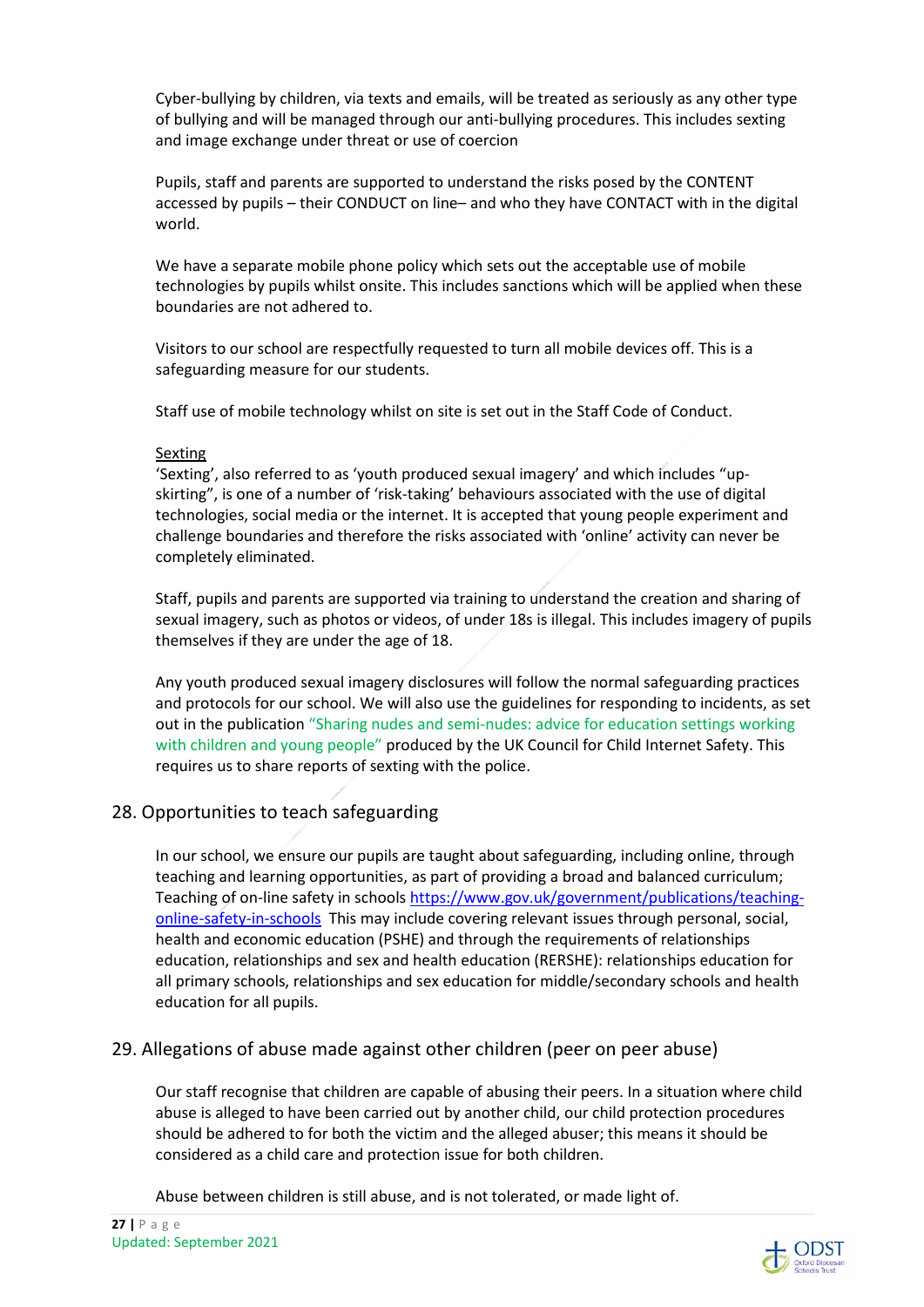Cyber-bullying by children, via texts and emails, will be treated as seriously as any other type of bullying and will be managed through our anti-bullying procedures. This includes sexting and image exchange under threat or use of coercion

Pupils, staff and parents are supported to understand the risks posed by the CONTENT accessed by pupils – their CONDUCT on line– and who they have CONTACT with in the digital world.

We have a separate mobile phone policy which sets out the acceptable use of mobile technologies by pupils whilst onsite. This includes sanctions which will be applied when these boundaries are not adhered to.

Visitors to our school are respectfully requested to turn all mobile devices off. This is a safeguarding measure for our students.

Staff use of mobile technology whilst on site is set out in the Staff Code of Conduct.

#### Sexting

'Sexting', also referred to as 'youth produced sexual imagery' and which includes "upskirting", is one of a number of 'risk-taking' behaviours associated with the use of digital technologies, social media or the internet. It is accepted that young people experiment and challenge boundaries and therefore the risks associated with 'online' activity can never be completely eliminated.

Staff, pupils and parents are supported via training to understand the creation and sharing of sexual imagery, such as photos or videos, of under 18s is illegal. This includes imagery of pupils themselves if they are under the age of 18.

Any youth produced sexual imagery disclosures will follow the normal safeguarding practices and protocols for our school. We will also use the guidelines for responding to incidents, as set out in the publication "Sharing nudes and semi-nudes: advice for education settings working with children and young people" produced by the UK Council for Child Internet Safety. This requires us to share reports of sexting with the police.

## 28. Opportunities to teach safeguarding

In our school, we ensure our pupils are taught about safeguarding, including online, through teaching and learning opportunities, as part of providing a broad and balanced curriculum; Teaching of on-line safety in schools https://www.gov.uk/government/publications/teachingonline-safety-in-schools This may include covering relevant issues through personal, social, health and economic education (PSHE) and through the requirements of relationships education, relationships and sex and health education (RERSHE): relationships education for all primary schools, relationships and sex education for middle/secondary schools and health education for all pupils.

## 29. Allegations of abuse made against other children (peer on peer abuse)

Our staff recognise that children are capable of abusing their peers. In a situation where child abuse is alleged to have been carried out by another child, our child protection procedures should be adhered to for both the victim and the alleged abuser; this means it should be considered as a child care and protection issue for both children.

Abuse between children is still abuse, and is not tolerated, or made light of.

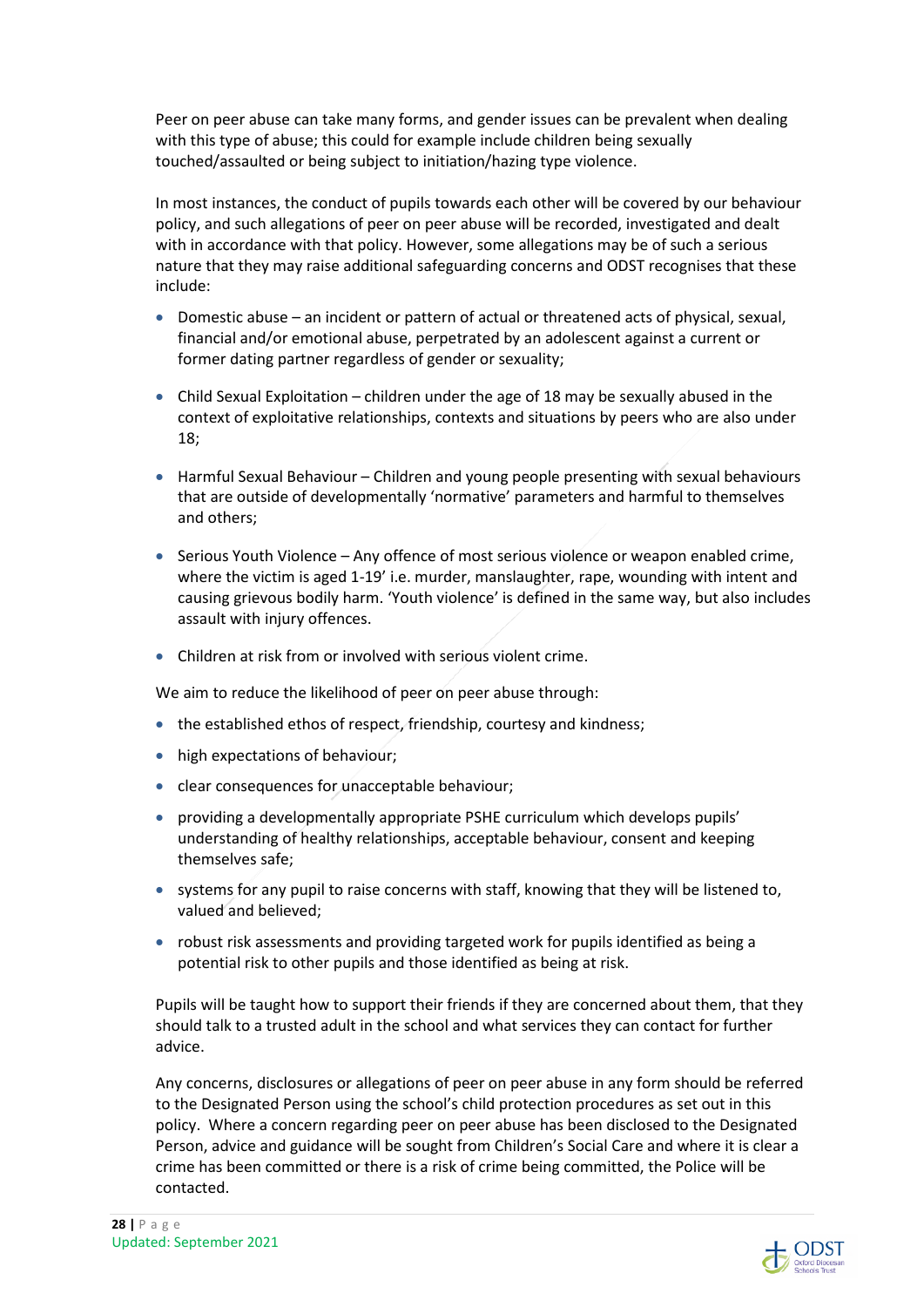Peer on peer abuse can take many forms, and gender issues can be prevalent when dealing with this type of abuse; this could for example include children being sexually touched/assaulted or being subject to initiation/hazing type violence.

In most instances, the conduct of pupils towards each other will be covered by our behaviour policy, and such allegations of peer on peer abuse will be recorded, investigated and dealt with in accordance with that policy. However, some allegations may be of such a serious nature that they may raise additional safeguarding concerns and ODST recognises that these include:

- Domestic abuse an incident or pattern of actual or threatened acts of physical, sexual, financial and/or emotional abuse, perpetrated by an adolescent against a current or former dating partner regardless of gender or sexuality;
- Child Sexual Exploitation children under the age of 18 may be sexually abused in the context of exploitative relationships, contexts and situations by peers who are also under 18;
- $\bullet$  Harmful Sexual Behaviour Children and young people presenting with sexual behaviours that are outside of developmentally 'normative' parameters and harmful to themselves and others;
- $\bullet$  Serious Youth Violence Any offence of most serious violence or weapon enabled crime, where the victim is aged 1-19' i.e. murder, manslaughter, rape, wounding with intent and causing grievous bodily harm. 'Youth violence' is defined in the same way, but also includes assault with injury offences.
- Children at risk from or involved with serious violent crime.

We aim to reduce the likelihood of peer on peer abuse through:

- the established ethos of respect, friendship, courtesy and kindness;
- high expectations of behaviour;
- clear consequences for unacceptable behaviour;
- providing a developmentally appropriate PSHE curriculum which develops pupils' understanding of healthy relationships, acceptable behaviour, consent and keeping themselves safe;
- systems for any pupil to raise concerns with staff, knowing that they will be listened to, valued and believed;
- robust risk assessments and providing targeted work for pupils identified as being a potential risk to other pupils and those identified as being at risk.

Pupils will be taught how to support their friends if they are concerned about them, that they should talk to a trusted adult in the school and what services they can contact for further advice.

Any concerns, disclosures or allegations of peer on peer abuse in any form should be referred to the Designated Person using the school's child protection procedures as set out in this policy. Where a concern regarding peer on peer abuse has been disclosed to the Designated Person, advice and guidance will be sought from Children's Social Care and where it is clear a crime has been committed or there is a risk of crime being committed, the Police will be contacted.

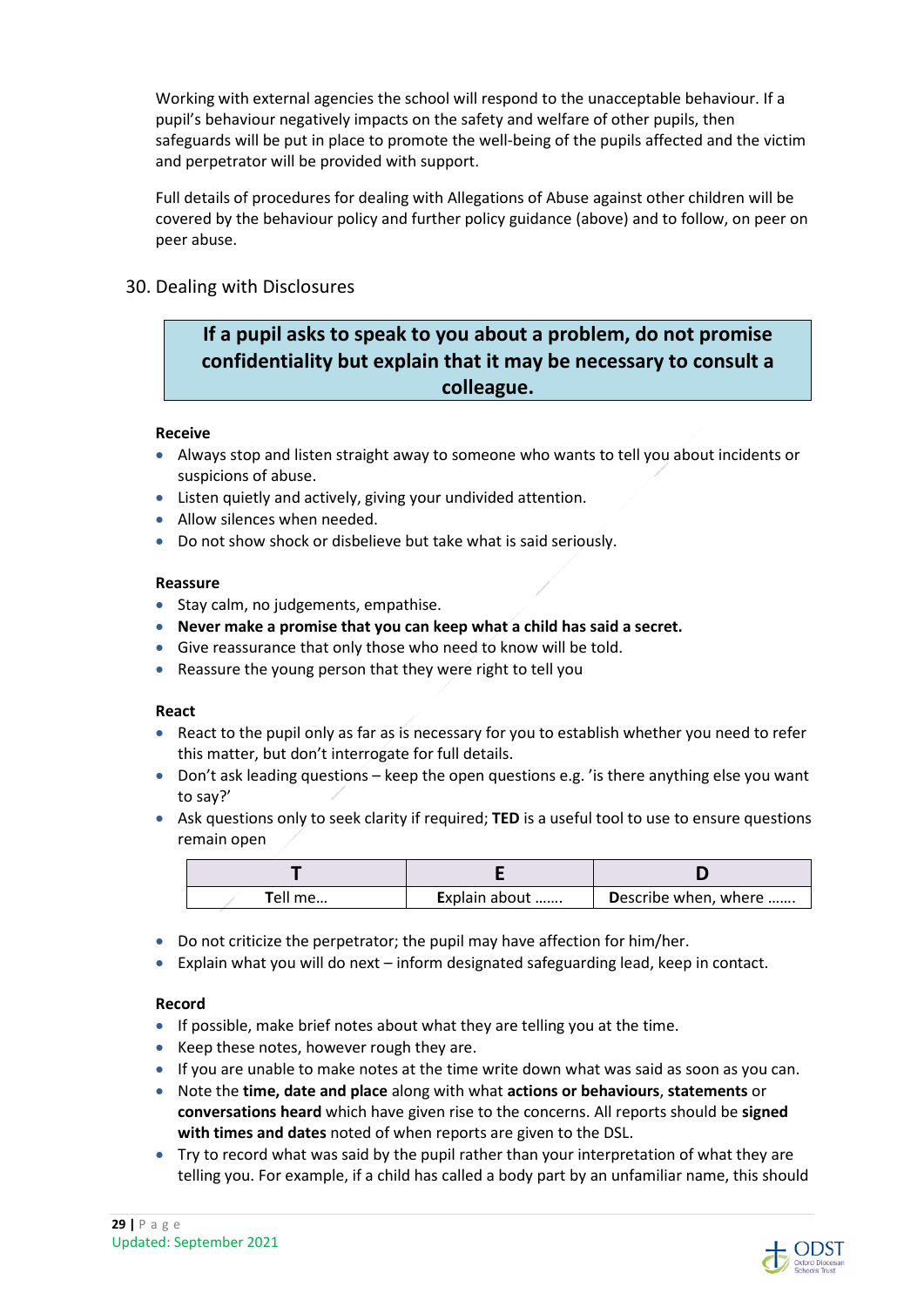Working with external agencies the school will respond to the unacceptable behaviour. If a pupil's behaviour negatively impacts on the safety and welfare of other pupils, then safeguards will be put in place to promote the well-being of the pupils affected and the victim and perpetrator will be provided with support.

Full details of procedures for dealing with Allegations of Abuse against other children will be covered by the behaviour policy and further policy guidance (above) and to follow, on peer on peer abuse.

### 30. Dealing with Disclosures

## **If a pupil asks to speak to you about a problem, do not promise confidentiality but explain that it may be necessary to consult a colleague.**

#### **Receive**

- Always stop and listen straight away to someone who wants to tell you about incidents or suspicions of abuse.
- Listen quietly and actively, giving your undivided attention.
- Allow silences when needed.
- Do not show shock or disbelieve but take what is said seriously.

#### **Reassure**

- Stay calm, no judgements, empathise.
- **Never make a promise that you can keep what a child has said a secret.**
- Give reassurance that only those who need to know will be told.
- Reassure the young person that they were right to tell you

#### **React**

- React to the pupil only as far as is necessary for you to establish whether you need to refer this matter, but don't interrogate for full details.
- Don't ask leading questions keep the open questions e.g. ' is there anything else you want to say?'
- Ask questions only to seek clarity if required; **TED** is a useful tool to use to ensure questions remain open

| <b>T</b> ell me | Explain about | Describe when, where |
|-----------------|---------------|----------------------|

- Do not criticize the perpetrator; the pupil may have affection for him/her.
- Explain what you will do next inform designated safeguarding lead, keep in contact.

#### **Record**

- If possible, make brief notes about what they are telling you at the time.
- Keep these notes, however rough they are.
- If you are unable to make notes at the time write down what was said as soon as you can.
- Note the **time, date and place** along with what **actions or behaviours**, **statements** or **conversations heard** which have given rise to the concerns. All reports should be **signed with times and dates** noted of when reports are given to the DSL.
- Try to record what was said by the pupil rather than your interpretation of what they are telling you. For example, if a child has called a body part by an unfamiliar name, this should

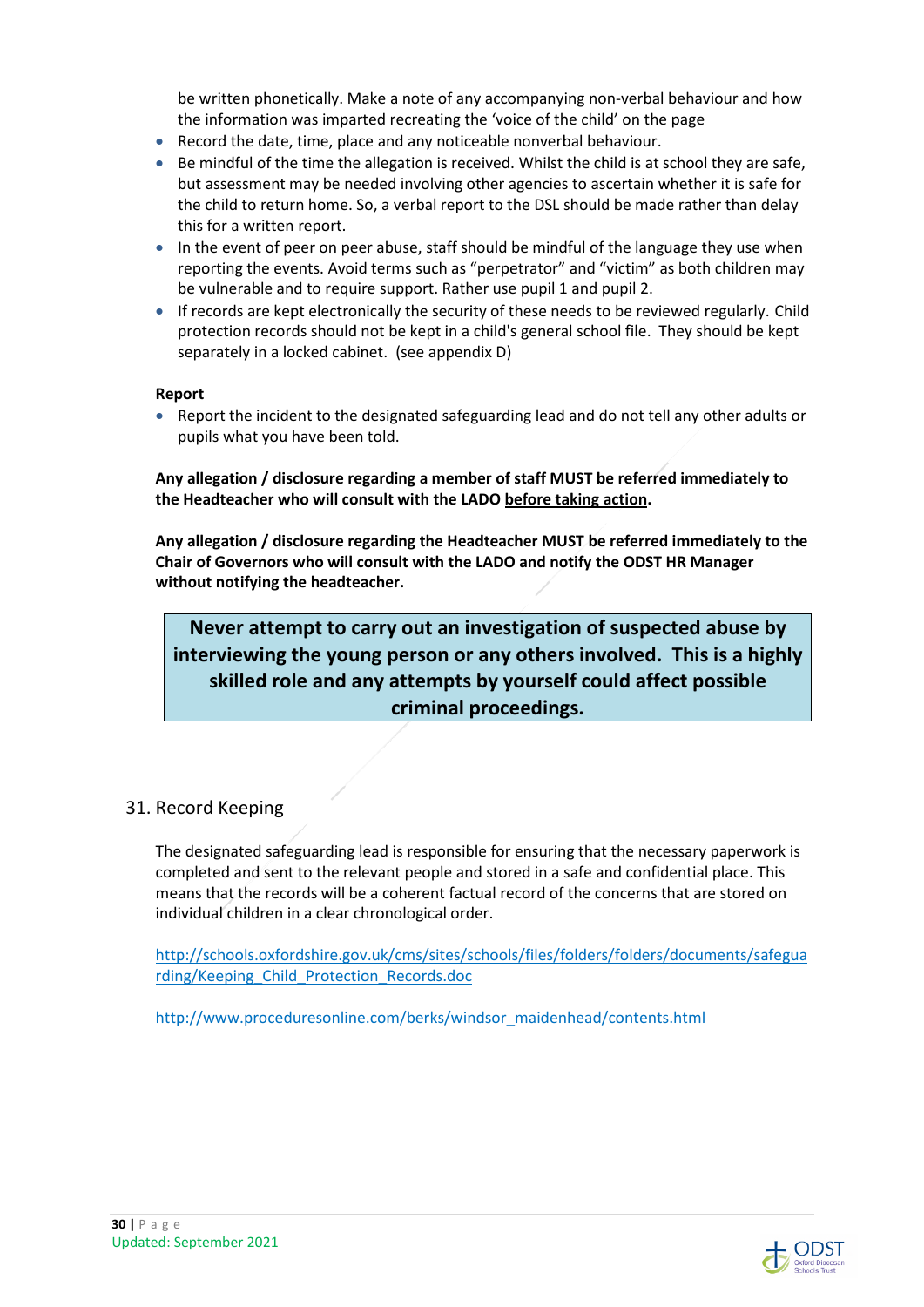be written phonetically. Make a note of any accompanying non-verbal behaviour and how the information was imparted recreating the 'voice of the child' on the page

- Record the date, time, place and any noticeable nonverbal behaviour.
- **Be mindful of the time the allegation is received. Whilst the child is at school they are safe,** but assessment may be needed involving other agencies to ascertain whether it is safe for the child to return home. So, a verbal report to the DSL should be made rather than delay this for a written report.
- In the event of peer on peer abuse, staff should be mindful of the language they use when reporting the events. Avoid terms such as "perpetrator" and "victim" as both children may be vulnerable and to require support. Rather use pupil 1 and pupil 2.
- If records are kept electronically the security of these needs to be reviewed regularly. Child protection records should not be kept in a child's general school file. They should be kept separately in a locked cabinet. (see appendix D)

#### **Report**

• Report the incident to the designated safeguarding lead and do not tell any other adults or pupils what you have been told.

**Any allegation / disclosure regarding a member of staff MUST be referred immediately to the Headteacher who will consult with the LADO before taking action.**

**Any allegation / disclosure regarding the Headteacher MUST be referred immediately to the Chair of Governors who will consult with the LADO and notify the ODST HR Manager without notifying the headteacher.** 

## **Never attempt to carry out an investigation of suspected abuse by interviewing the young person or any others involved. This is a highly skilled role and any attempts by yourself could affect possible criminal proceedings.**

## 31. Record Keeping

The designated safeguarding lead is responsible for ensuring that the necessary paperwork is completed and sent to the relevant people and stored in a safe and confidential place. This means that the records will be a coherent factual record of the concerns that are stored on individual children in a clear chronological order.

http://schools.oxfordshire.gov.uk/cms/sites/schools/files/folders/folders/documents/safegua rding/Keeping\_Child\_Protection\_Records.doc

http://www.proceduresonline.com/berks/windsor\_maidenhead/contents.html



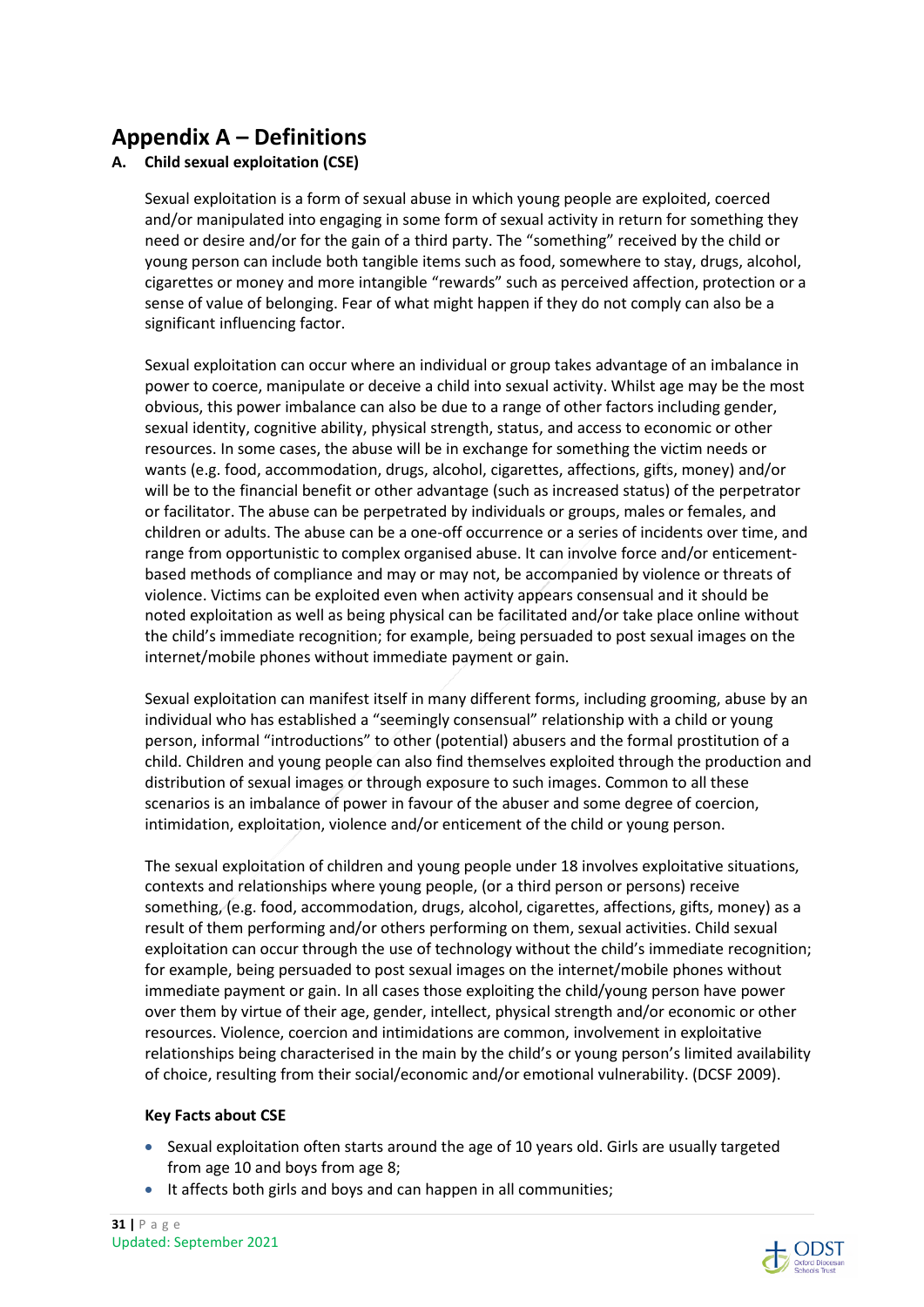# **Appendix A – Definitions**

## **A. Child sexual exploitation (CSE)**

Sexual exploitation is a form of sexual abuse in which young people are exploited, coerced and/or manipulated into engaging in some form of sexual activity in return for something they need or desire and/or for the gain of a third party. The "something" received by the child or young person can include both tangible items such as food, somewhere to stay, drugs, alcohol, cigarettes or money and more intangible "rewards" such as perceived affection, protection or a sense of value of belonging. Fear of what might happen if they do not comply can also be a significant influencing factor.

Sexual exploitation can occur where an individual or group takes advantage of an imbalance in power to coerce, manipulate or deceive a child into sexual activity. Whilst age may be the most obvious, this power imbalance can also be due to a range of other factors including gender, sexual identity, cognitive ability, physical strength, status, and access to economic or other resources. In some cases, the abuse will be in exchange for something the victim needs or wants (e.g. food, accommodation, drugs, alcohol, cigarettes, affections, gifts, money) and/or will be to the financial benefit or other advantage (such as increased status) of the perpetrator or facilitator. The abuse can be perpetrated by individuals or groups, males or females, and children or adults. The abuse can be a one-off occurrence or a series of incidents over time, and range from opportunistic to complex organised abuse. It can involve force and/or enticementbased methods of compliance and may or may not, be accompanied by violence or threats of violence. Victims can be exploited even when activity appears consensual and it should be noted exploitation as well as being physical can be facilitated and/or take place online without the child's immediate recognition; for example, being persuaded to post sexual images on the internet/mobile phones without immediate payment or gain.

Sexual exploitation can manifest itself in many different forms, including grooming, abuse by an individual who has established a "seemingly consensual" relationship with a child or young person, informal "introductions" to other (potential) abusers and the formal prostitution of a child. Children and young people can also find themselves exploited through the production and distribution of sexual images or through exposure to such images. Common to all these scenarios is an imbalance of power in favour of the abuser and some degree of coercion, intimidation, exploitation, violence and/or enticement of the child or young person.

The sexual exploitation of children and young people under 18 involves exploitative situations, contexts and relationships where young people, (or a third person or persons) receive something, (e.g. food, accommodation, drugs, alcohol, cigarettes, affections, gifts, money) as a result of them performing and/or others performing on them, sexual activities. Child sexual exploitation can occur through the use of technology without the child's immediate recognition; for example, being persuaded to post sexual images on the internet/mobile phones without immediate payment or gain. In all cases those exploiting the child/young person have power over them by virtue of their age, gender, intellect, physical strength and/or economic or other resources. Violence, coercion and intimidations are common, involvement in exploitative relationships being characterised in the main by the child's or young person's limited availability of choice, resulting from their social/economic and/or emotional vulnerability. (DCSF 2009).

#### **Key Facts about CSE**

- Sexual exploitation often starts around the age of 10 years old. Girls are usually targeted from age 10 and boys from age 8;
- It affects both girls and boys and can happen in all communities;

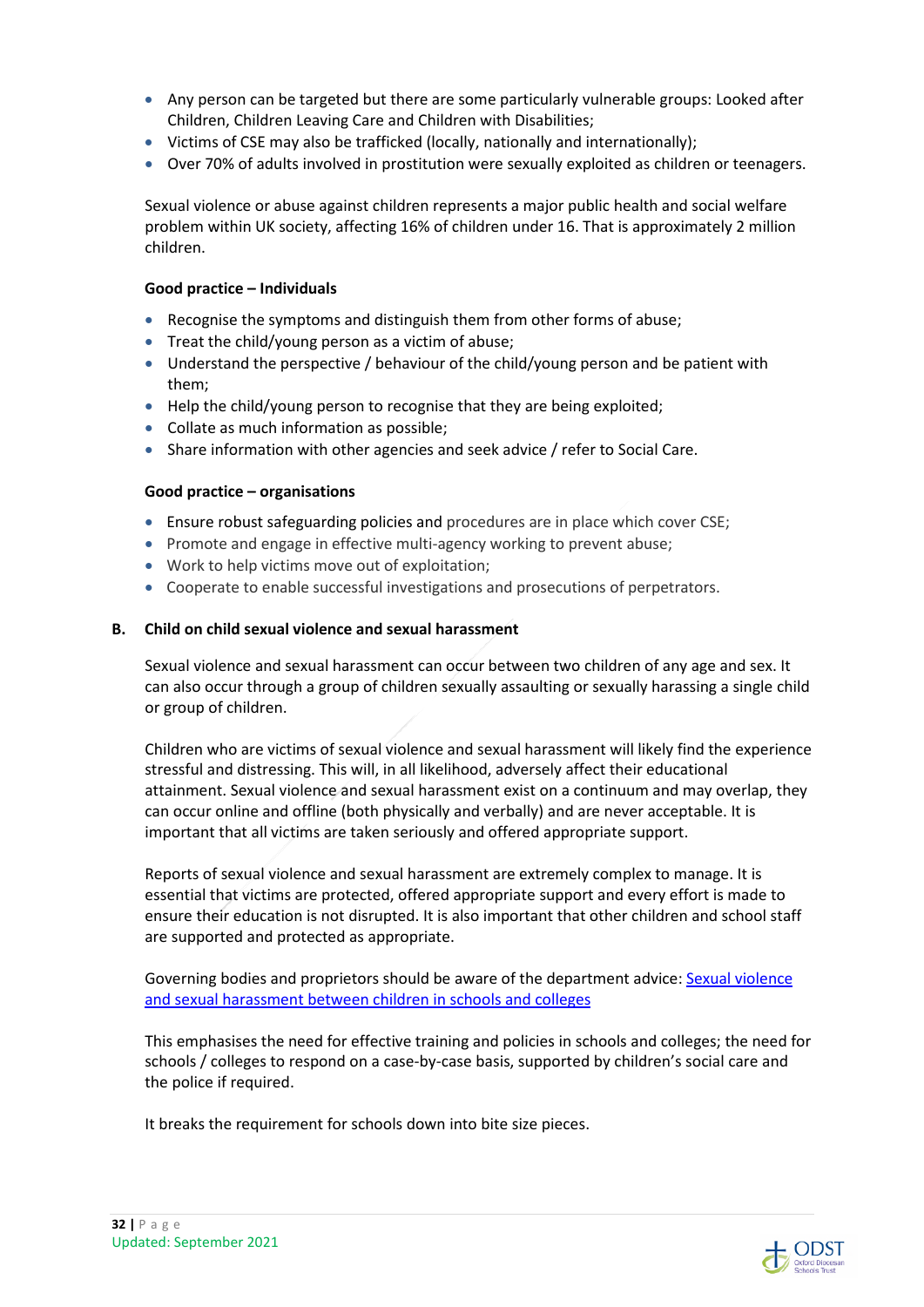- Any person can be targeted but there are some particularly vulnerable groups: Looked after Children, Children Leaving Care and Children with Disabilities;
- Victims of CSE may also be trafficked (locally, nationally and internationally);
- Over 70% of adults involved in prostitution were sexually exploited as children or teenagers.

Sexual violence or abuse against children represents a major public health and social welfare problem within UK society, affecting 16% of children under 16. That is approximately 2 million children.

#### **Good practice – Individuals**

- Recognise the symptoms and distinguish them from other forms of abuse;
- Treat the child/young person as a victim of abuse;
- Understand the perspective / behaviour of the child/young person and be patient with them;
- Help the child/young person to recognise that they are being exploited;
- Collate as much information as possible;
- Share information with other agencies and seek advice / refer to Social Care.

#### **Good practice – organisations**

- Ensure robust safeguarding policies and procedures are in place which cover CSE;
- Promote and engage in effective multi-agency working to prevent abuse;
- Work to help victims move out of exploitation;
- Cooperate to enable successful investigations and prosecutions of perpetrators.

#### **B. Child on child sexual violence and sexual harassment**

Sexual violence and sexual harassment can occur between two children of any age and sex. It can also occur through a group of children sexually assaulting or sexually harassing a single child or group of children.

Children who are victims of sexual violence and sexual harassment will likely find the experience stressful and distressing. This will, in all likelihood, adversely affect their educational attainment. Sexual violence and sexual harassment exist on a continuum and may overlap, they can occur online and offline (both physically and verbally) and are never acceptable. It is important that all victims are taken seriously and offered appropriate support.

Reports of sexual violence and sexual harassment are extremely complex to manage. It is essential that victims are protected, offered appropriate support and every effort is made to ensure their education is not disrupted. It is also important that other children and school staff are supported and protected as appropriate.

Governing bodies and proprietors should be aware of the department advice: Sexual violence and sexual harassment between children in schools and colleges

This emphasises the need for effective training and policies in schools and colleges; the need for schools / colleges to respond on a case-by-case basis, supported by children's social care and the police if required.

It breaks the requirement for schools down into bite size pieces.



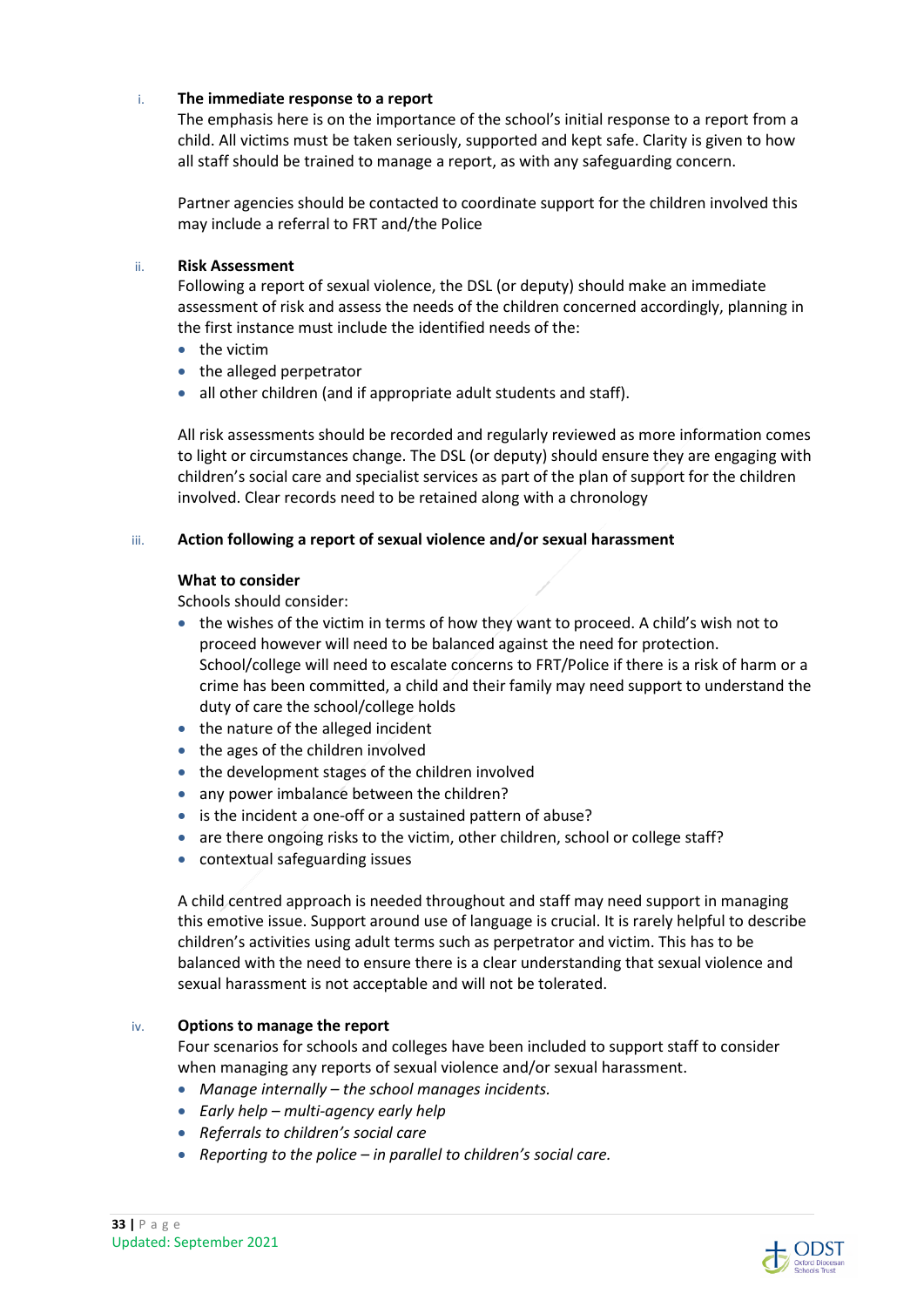#### i. **The immediate response to a report**

The emphasis here is on the importance of the school's initial response to a report from a child. All victims must be taken seriously, supported and kept safe. Clarity is given to how all staff should be trained to manage a report, as with any safeguarding concern.

Partner agencies should be contacted to coordinate support for the children involved this may include a referral to FRT and/the Police

#### ii. **Risk Assessment**

Following a report of sexual violence, the DSL (or deputy) should make an immediate assessment of risk and assess the needs of the children concerned accordingly, planning in the first instance must include the identified needs of the:

- $\bullet$  the victim
- the alleged perpetrator
- all other children (and if appropriate adult students and staff).

All risk assessments should be recorded and regularly reviewed as more information comes to light or circumstances change. The DSL (or deputy) should ensure they are engaging with children's social care and specialist services as part of the plan of support for the children involved. Clear records need to be retained along with a chronology

#### iii. **Action following a report of sexual violence and/or sexual harassment**

#### **What to consider**

Schools should consider:

- $\bullet$  the wishes of the victim in terms of how they want to proceed. A child's wish not to proceed however will need to be balanced against the need for protection. School/college will need to escalate concerns to FRT/Police if there is a risk of harm or a crime has been committed, a child and their family may need support to understand the duty of care the school/college holds
- the nature of the alleged incident
- the ages of the children involved
- the development stages of the children involved
- any power imbalance between the children?
- is the incident a one-off or a sustained pattern of abuse?
- are there ongoing risks to the victim, other children, school or college staff?
- contextual safeguarding issues

A child centred approach is needed throughout and staff may need support in managing this emotive issue. Support around use of language is crucial. It is rarely helpful to describe children's activities using adult terms such as perpetrator and victim. This has to be balanced with the need to ensure there is a clear understanding that sexual violence and sexual harassment is not acceptable and will not be tolerated.

#### iv. **Options to manage the report**

Four scenarios for schools and colleges have been included to support staff to consider when managing any reports of sexual violence and/or sexual harassment.

- *Manage internally the school manages incidents.*
- *Early help multi-agency early help*
- *Referrals to children's social care*
- *Reporting to the police in parallel to children's social care.*

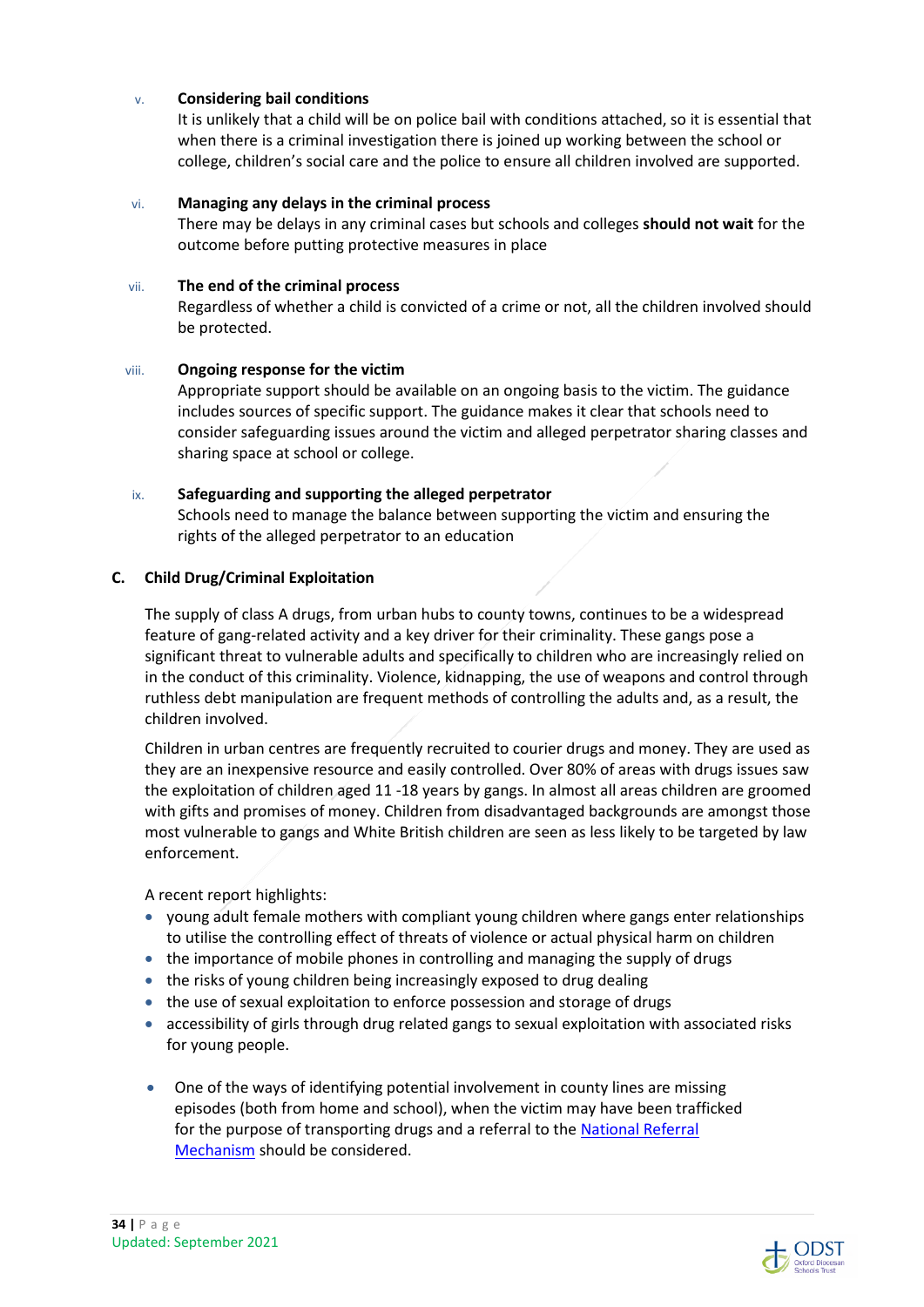#### v. **Considering bail conditions**

It is unlikely that a child will be on police bail with conditions attached, so it is essential that when there is a criminal investigation there is joined up working between the school or college, children's social care and the police to ensure all children involved are supported.

#### vi. **Managing any delays in the criminal process**

 There may be delays in any criminal cases but schools and colleges **should not wait** for the outcome before putting protective measures in place

#### vii. **The end of the criminal process**

 Regardless of whether a child is convicted of a crime or not, all the children involved should be protected.

#### viii. **Ongoing response for the victim**

 Appropriate support should be available on an ongoing basis to the victim. The guidance includes sources of specific support. The guidance makes it clear that schools need to consider safeguarding issues around the victim and alleged perpetrator sharing classes and sharing space at school or college.

#### ix. **Safeguarding and supporting the alleged perpetrator**

 Schools need to manage the balance between supporting the victim and ensuring the rights of the alleged perpetrator to an education

#### **C. Child Drug/Criminal Exploitation**

The supply of class A drugs, from urban hubs to county towns, continues to be a widespread feature of gang-related activity and a key driver for their criminality. These gangs pose a significant threat to vulnerable adults and specifically to children who are increasingly relied on in the conduct of this criminality. Violence, kidnapping, the use of weapons and control through ruthless debt manipulation are frequent methods of controlling the adults and, as a result, the children involved.

Children in urban centres are frequently recruited to courier drugs and money. They are used as they are an inexpensive resource and easily controlled. Over 80% of areas with drugs issues saw the exploitation of children aged 11 -18 years by gangs. In almost all areas children are groomed with gifts and promises of money. Children from disadvantaged backgrounds are amongst those most vulnerable to gangs and White British children are seen as less likely to be targeted by law enforcement.

A recent report highlights:

- young adult female mothers with compliant young children where gangs enter relationships to utilise the controlling effect of threats of violence or actual physical harm on children
- the importance of mobile phones in controlling and managing the supply of drugs
- the risks of young children being increasingly exposed to drug dealing
- the use of sexual exploitation to enforce possession and storage of drugs
- accessibility of girls through drug related gangs to sexual exploitation with associated risks for young people.
- One of the ways of identifying potential involvement in county lines are missing episodes (both from home and school), when the victim may have been trafficked for the purpose of transporting drugs and a referral to the National Referral Mechanism should be considered.

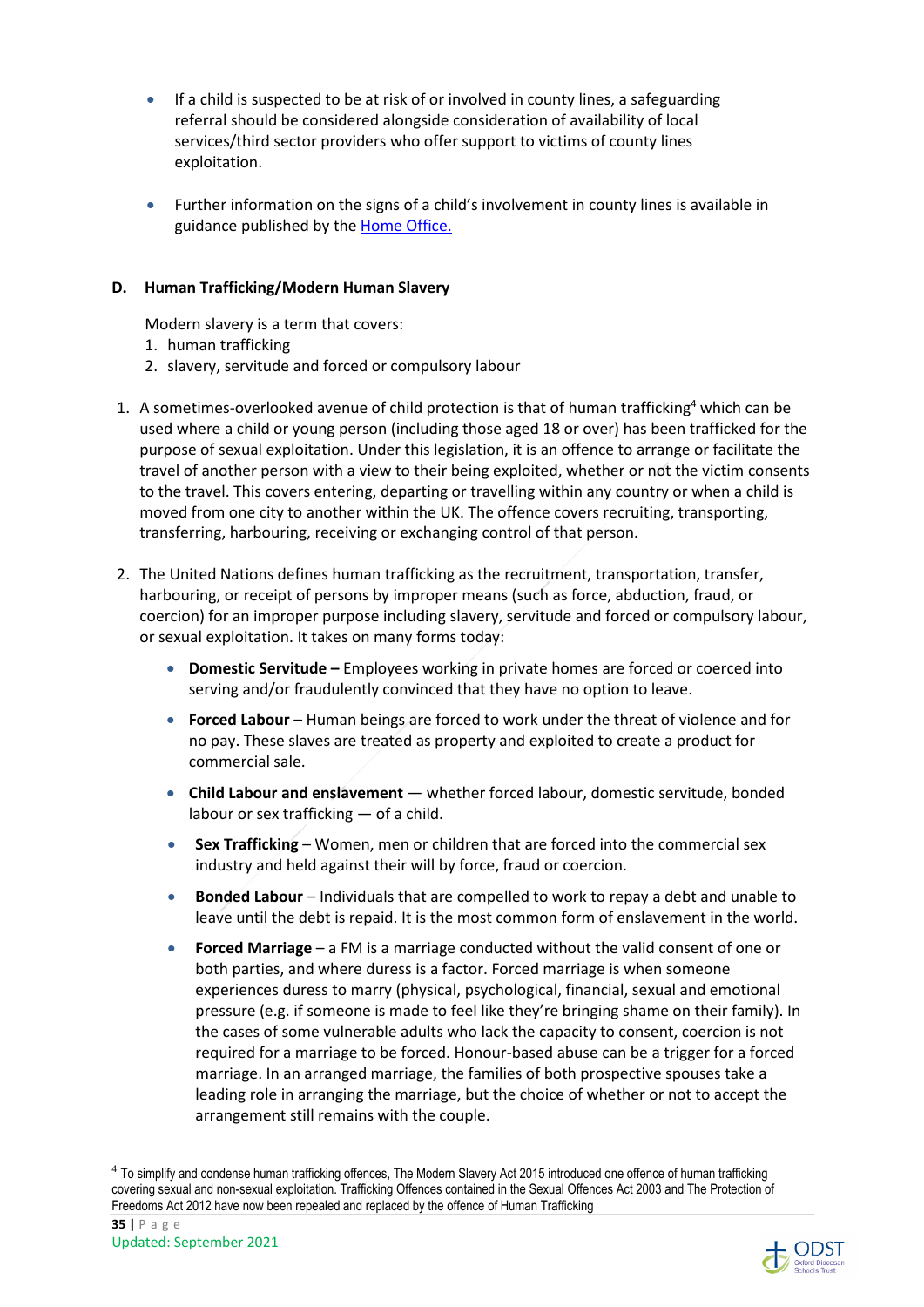- If a child is suspected to be at risk of or involved in county lines, a safeguarding referral should be considered alongside consideration of availability of local services/third sector providers who offer support to victims of county lines exploitation.
- Further information on the signs of a child's involvement in county lines is available in guidance published by the **Home Office.**

#### **D. Human Trafficking/Modern Human Slavery**

Modern slavery is a term that covers:

- 1. human trafficking
- 2. slavery, servitude and forced or compulsory labour
- 1. A sometimes-overlooked avenue of child protection is that of human trafficking<sup>4</sup> which can be used where a child or young person (including those aged 18 or over) has been trafficked for the purpose of sexual exploitation. Under this legislation, it is an offence to arrange or facilitate the travel of another person with a view to their being exploited, whether or not the victim consents to the travel. This covers entering, departing or travelling within any country or when a child is moved from one city to another within the UK. The offence covers recruiting, transporting, transferring, harbouring, receiving or exchanging control of that person.
- 2. The United Nations defines human trafficking as the recruitment, transportation, transfer, harbouring, or receipt of persons by improper means (such as force, abduction, fraud, or coercion) for an improper purpose including slavery, servitude and forced or compulsory labour, or sexual exploitation. It takes on many forms today:
	- **Domestic Servitude** Employees working in private homes are forced or coerced into serving and/or fraudulently convinced that they have no option to leave.
	- **Forced Labour** Human beings are forced to work under the threat of violence and for no pay. These slaves are treated as property and exploited to create a product for commercial sale.
	- **Child Labour and enslavement** whether forced labour, domestic servitude, bonded labour or sex trafficking — of a child.
	- **Sex Trafficking** Women, men or children that are forced into the commercial sex industry and held against their will by force, fraud or coercion.
	- **Bonded Labour** Individuals that are compelled to work to repay a debt and unable to leave until the debt is repaid. It is the most common form of enslavement in the world.
	- **Forced Marriage** a FM is a marriage conducted without the valid consent of one or both parties, and where duress is a factor. Forced marriage is when someone experiences duress to marry (physical, psychological, financial, sexual and emotional pressure (e.g. if someone is made to feel like they're bringing shame on their family). In the cases of some vulnerable adults who lack the capacity to consent, coercion is not required for a marriage to be forced. Honour-based abuse can be a trigger for a forced marriage. In an arranged marriage, the families of both prospective spouses take a leading role in arranging the marriage, but the choice of whether or not to accept the arrangement still remains with the couple.



<sup>&</sup>lt;sup>4</sup> To simplify and condense human trafficking offences, The Modern Slavery Act 2015 introduced one offence of human trafficking covering sexual and non-sexual exploitation. Trafficking Offences contained in the Sexual Offences Act 2003 and The Protection of Freedoms Act 2012 have now been repealed and replaced by the offence of Human Trafficking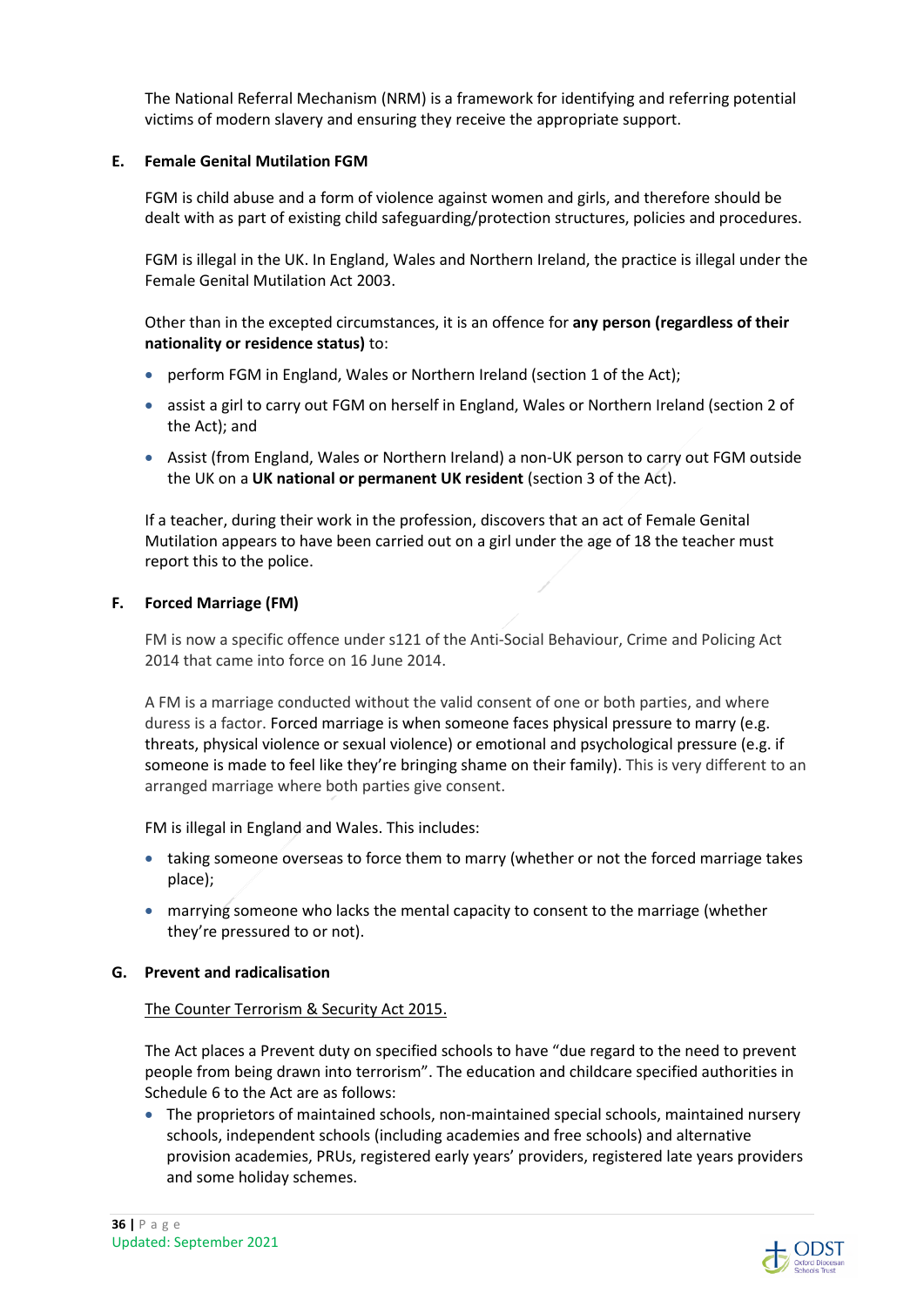The National Referral Mechanism (NRM) is a framework for identifying and referring potential victims of modern slavery and ensuring they receive the appropriate support.

#### **E. Female Genital Mutilation FGM**

FGM is child abuse and a form of violence against women and girls, and therefore should be dealt with as part of existing child safeguarding/protection structures, policies and procedures.

FGM is illegal in the UK. In England, Wales and Northern Ireland, the practice is illegal under the Female Genital Mutilation Act 2003.

Other than in the excepted circumstances, it is an offence for **any person (regardless of their nationality or residence status)** to:

- perform FGM in England, Wales or Northern Ireland (section 1 of the Act);
- assist a girl to carry out FGM on herself in England, Wales or Northern Ireland (section 2 of the Act); and
- Assist (from England, Wales or Northern Ireland) a non-UK person to carry out FGM outside the UK on a **UK national or permanent UK resident** (section 3 of the Act).

If a teacher, during their work in the profession, discovers that an act of Female Genital Mutilation appears to have been carried out on a girl under the age of 18 the teacher must report this to the police.

#### **F. Forced Marriage (FM)**

FM is now a specific offence under s121 of the Anti-Social Behaviour, Crime and Policing Act 2014 that came into force on 16 June 2014.

A FM is a marriage conducted without the valid consent of one or both parties, and where duress is a factor. Forced marriage is when someone faces physical pressure to marry (e.g. threats, physical violence or sexual violence) or emotional and psychological pressure (e.g. if someone is made to feel like they're bringing shame on their family). This is very different to an arranged marriage where both parties give consent.

FM is illegal in England and Wales. This includes:

- taking someone overseas to force them to marry (whether or not the forced marriage takes place);
- marrying someone who lacks the mental capacity to consent to the marriage (whether they're pressured to or not).

#### **G. Prevent and radicalisation**

#### The Counter Terrorism & Security Act 2015.

The Act places a Prevent duty on specified schools to have "due regard to the need to prevent people from being drawn into terrorism". The education and childcare specified authorities in Schedule 6 to the Act are as follows:

 The proprietors of maintained schools, non-maintained special schools, maintained nursery schools, independent schools (including academies and free schools) and alternative provision academies, PRUs, registered early years' providers, registered late years providers and some holiday schemes.

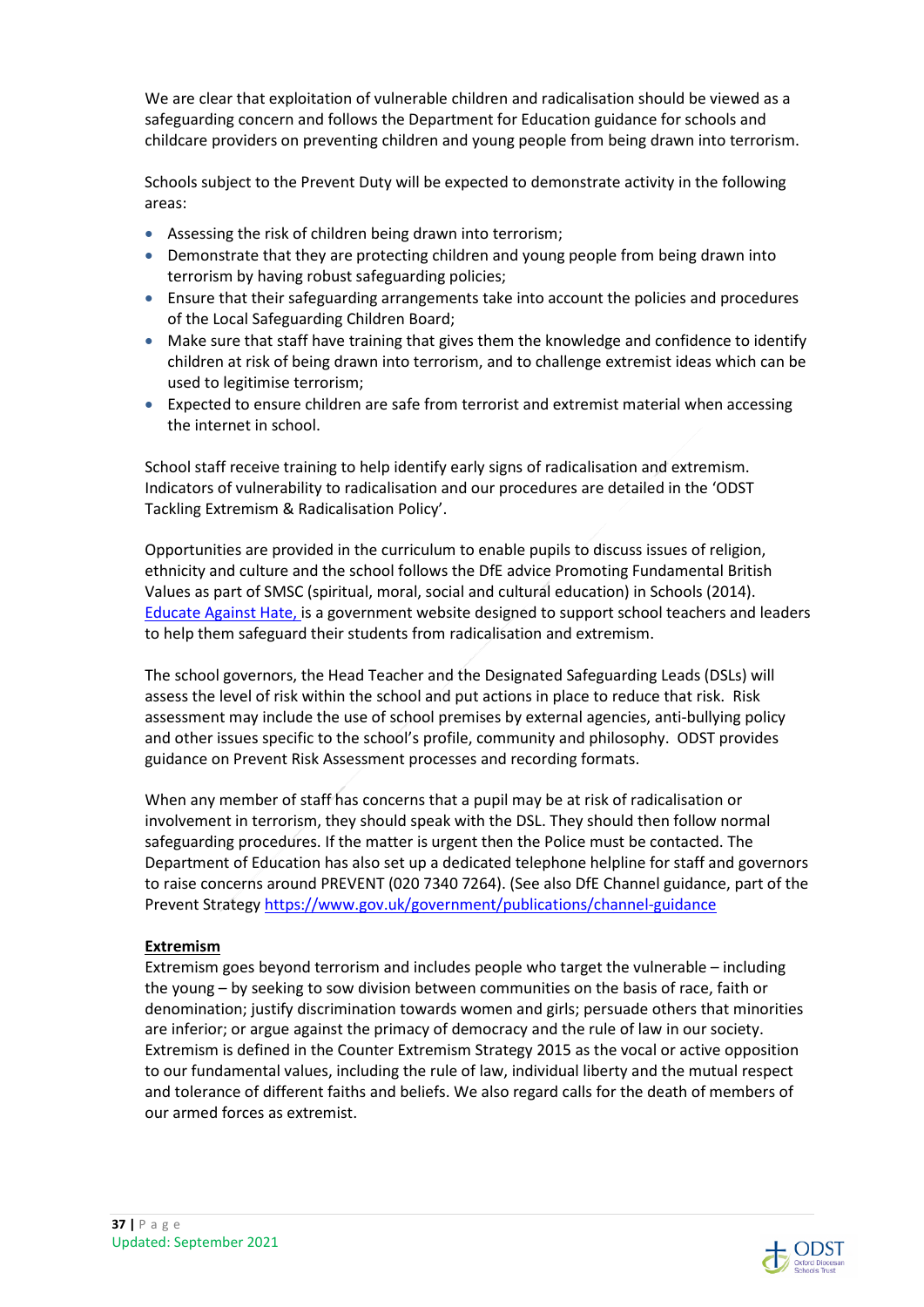We are clear that exploitation of vulnerable children and radicalisation should be viewed as a safeguarding concern and follows the Department for Education guidance for schools and childcare providers on preventing children and young people from being drawn into terrorism.

Schools subject to the Prevent Duty will be expected to demonstrate activity in the following areas:

- Assessing the risk of children being drawn into terrorism;
- Demonstrate that they are protecting children and young people from being drawn into terrorism by having robust safeguarding policies;
- Ensure that their safeguarding arrangements take into account the policies and procedures of the Local Safeguarding Children Board;
- Make sure that staff have training that gives them the knowledge and confidence to identify children at risk of being drawn into terrorism, and to challenge extremist ideas which can be used to legitimise terrorism;
- Expected to ensure children are safe from terrorist and extremist material when accessing the internet in school.

School staff receive training to help identify early signs of radicalisation and extremism. Indicators of vulnerability to radicalisation and our procedures are detailed in the 'ODST Tackling Extremism & Radicalisation Policy'.

Opportunities are provided in the curriculum to enable pupils to discuss issues of religion, ethnicity and culture and the school follows the DfE advice Promoting Fundamental British Values as part of SMSC (spiritual, moral, social and cultural education) in Schools (2014). Educate Against Hate, is a government website designed to support school teachers and leaders to help them safeguard their students from radicalisation and extremism.

The school governors, the Head Teacher and the Designated Safeguarding Leads (DSLs) will assess the level of risk within the school and put actions in place to reduce that risk. Risk assessment may include the use of school premises by external agencies, anti-bullying policy and other issues specific to the school's profile, community and philosophy. ODST provides guidance on Prevent Risk Assessment processes and recording formats.

When any member of staff has concerns that a pupil may be at risk of radicalisation or involvement in terrorism, they should speak with the DSL. They should then follow normal safeguarding procedures. If the matter is urgent then the Police must be contacted. The Department of Education has also set up a dedicated telephone helpline for staff and governors to raise concerns around PREVENT (020 7340 7264). (See also DfE Channel guidance, part of the Prevent Strategy https://www.gov.uk/government/publications/channel-guidance

#### **Extremism**

Extremism goes beyond terrorism and includes people who target the vulnerable – including the young – by seeking to sow division between communities on the basis of race, faith or denomination; justify discrimination towards women and girls; persuade others that minorities are inferior; or argue against the primacy of democracy and the rule of law in our society. Extremism is defined in the Counter Extremism Strategy 2015 as the vocal or active opposition to our fundamental values, including the rule of law, individual liberty and the mutual respect and tolerance of different faiths and beliefs. We also regard calls for the death of members of our armed forces as extremist.

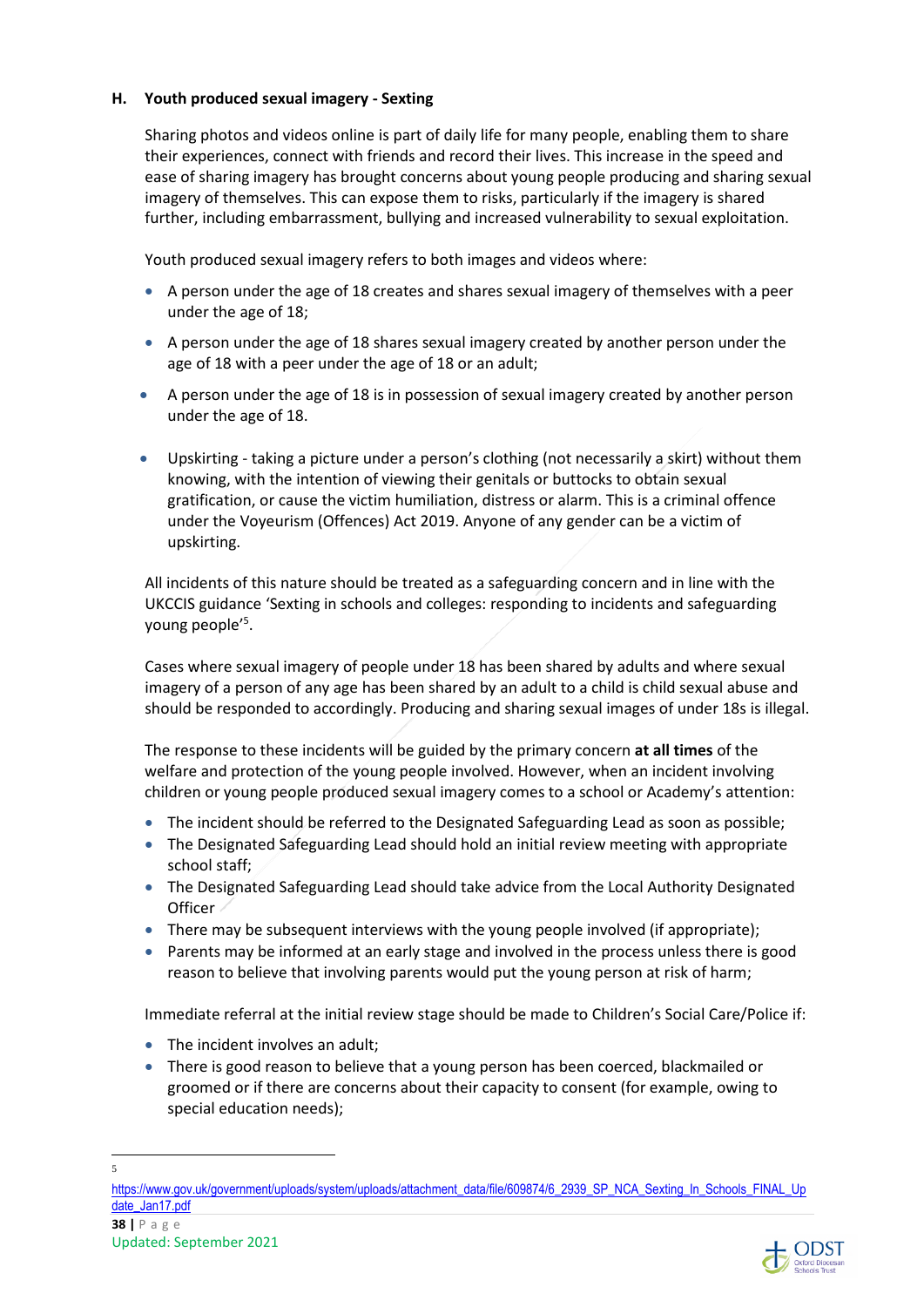#### **H. Youth produced sexual imagery - Sexting**

Sharing photos and videos online is part of daily life for many people, enabling them to share their experiences, connect with friends and record their lives. This increase in the speed and ease of sharing imagery has brought concerns about young people producing and sharing sexual imagery of themselves. This can expose them to risks, particularly if the imagery is shared further, including embarrassment, bullying and increased vulnerability to sexual exploitation.

Youth produced sexual imagery refers to both images and videos where:

- A person under the age of 18 creates and shares sexual imagery of themselves with a peer under the age of 18;
- A person under the age of 18 shares sexual imagery created by another person under the age of 18 with a peer under the age of 18 or an adult;
- A person under the age of 18 is in possession of sexual imagery created by another person under the age of 18.
- Upskirting taking a picture under a person's clothing (not necessarily a skirt) without them knowing, with the intention of viewing their genitals or buttocks to obtain sexual gratification, or cause the victim humiliation, distress or alarm. This is a criminal offence under the Voyeurism (Offences) Act 2019. Anyone of any gender can be a victim of upskirting.

All incidents of this nature should be treated as a safeguarding concern and in line with the UKCCIS guidance 'Sexting in schools and colleges: responding to incidents and safeguarding young people'<sup>5</sup>.

Cases where sexual imagery of people under 18 has been shared by adults and where sexual imagery of a person of any age has been shared by an adult to a child is child sexual abuse and should be responded to accordingly. Producing and sharing sexual images of under 18s is illegal.

The response to these incidents will be guided by the primary concern **at all times** of the welfare and protection of the young people involved. However, when an incident involving children or young people produced sexual imagery comes to a school or Academy's attention:

- The incident should be referred to the Designated Safeguarding Lead as soon as possible;
- The Designated Safeguarding Lead should hold an initial review meeting with appropriate school staff;
- The Designated Safeguarding Lead should take advice from the Local Authority Designated **Officer**
- There may be subsequent interviews with the young people involved (if appropriate);
- Parents may be informed at an early stage and involved in the process unless there is good reason to believe that involving parents would put the young person at risk of harm;

Immediate referral at the initial review stage should be made to Children's Social Care/Police if:

- The incident involves an adult;
- There is good reason to believe that a young person has been coerced, blackmailed or groomed or if there are concerns about their capacity to consent (for example, owing to special education needs);

5



https://www.gov.uk/government/uploads/system/uploads/attachment\_data/file/609874/6\_2939\_SP\_NCA\_Sexting\_In\_Schools\_FINAL\_Up date\_Jan17.pdf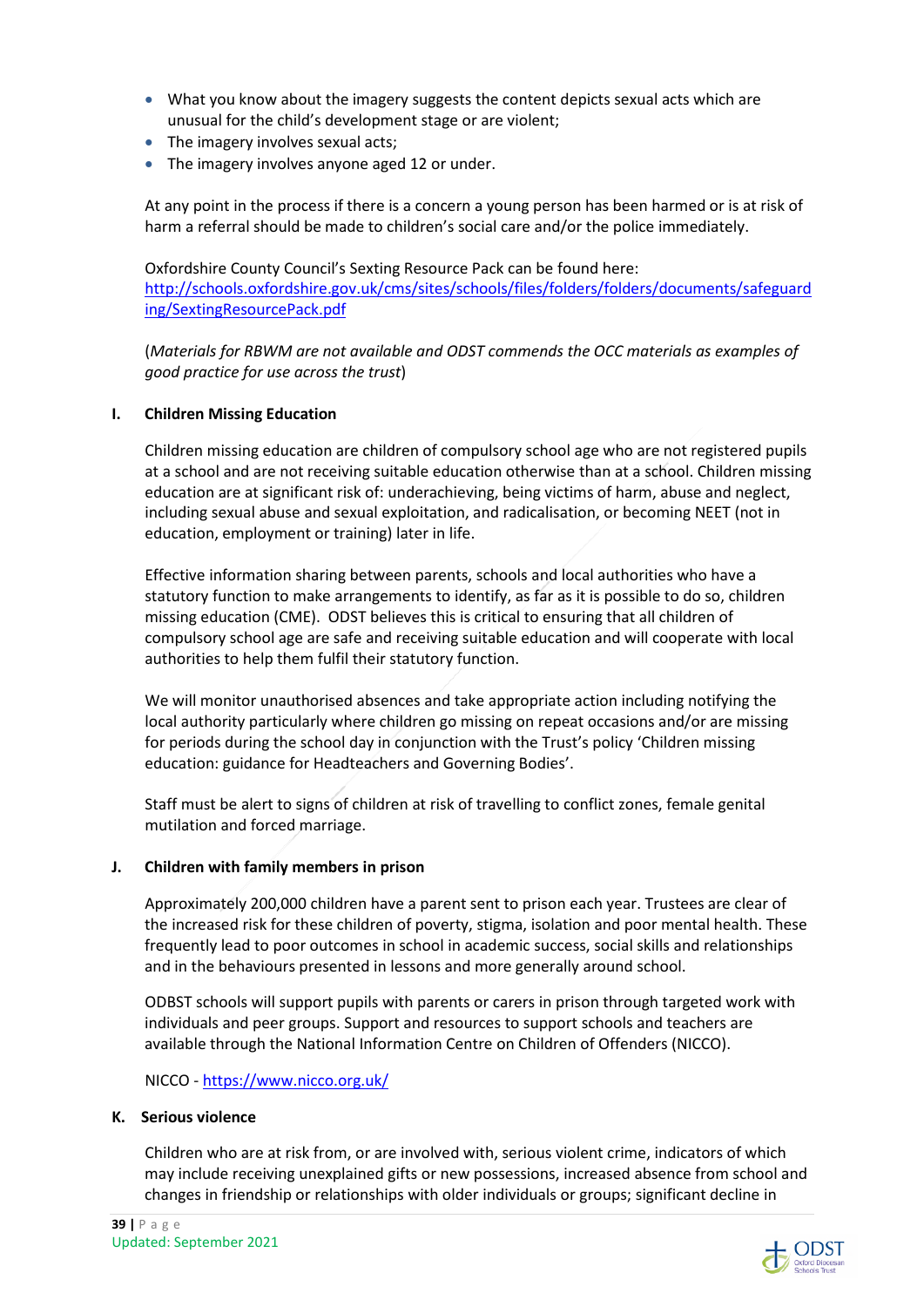- What you know about the imagery suggests the content depicts sexual acts which are unusual for the child's development stage or are violent;
- The imagery involves sexual acts;
- The imagery involves anyone aged 12 or under.

At any point in the process if there is a concern a young person has been harmed or is at risk of harm a referral should be made to children's social care and/or the police immediately.

Oxfordshire County Council's Sexting Resource Pack can be found here: http://schools.oxfordshire.gov.uk/cms/sites/schools/files/folders/folders/documents/safeguard ing/SextingResourcePack.pdf

(*Materials for RBWM are not available and ODST commends the OCC materials as examples of good practice for use across the trust*)

#### **I. Children Missing Education**

Children missing education are children of compulsory school age who are not registered pupils at a school and are not receiving suitable education otherwise than at a school. Children missing education are at significant risk of: underachieving, being victims of harm, abuse and neglect, including sexual abuse and sexual exploitation, and radicalisation, or becoming NEET (not in education, employment or training) later in life.

Effective information sharing between parents, schools and local authorities who have a statutory function to make arrangements to identify, as far as it is possible to do so, children missing education (CME). ODST believes this is critical to ensuring that all children of compulsory school age are safe and receiving suitable education and will cooperate with local authorities to help them fulfil their statutory function.

We will monitor unauthorised absences and take appropriate action including notifying the local authority particularly where children go missing on repeat occasions and/or are missing for periods during the school day in conjunction with the Trust's policy 'Children missing education: guidance for Headteachers and Governing Bodies'.

Staff must be alert to signs of children at risk of travelling to conflict zones, female genital mutilation and forced marriage.

#### **J. Children with family members in prison**

Approximately 200,000 children have a parent sent to prison each year. Trustees are clear of the increased risk for these children of poverty, stigma, isolation and poor mental health. These frequently lead to poor outcomes in school in academic success, social skills and relationships and in the behaviours presented in lessons and more generally around school.

ODBST schools will support pupils with parents or carers in prison through targeted work with individuals and peer groups. Support and resources to support schools and teachers are available through the National Information Centre on Children of Offenders (NICCO).

NICCO - https://www.nicco.org.uk/

#### **K. Serious violence**

Children who are at risk from, or are involved with, serious violent crime, indicators of which may include receiving unexplained gifts or new possessions, increased absence from school and changes in friendship or relationships with older individuals or groups; significant decline in

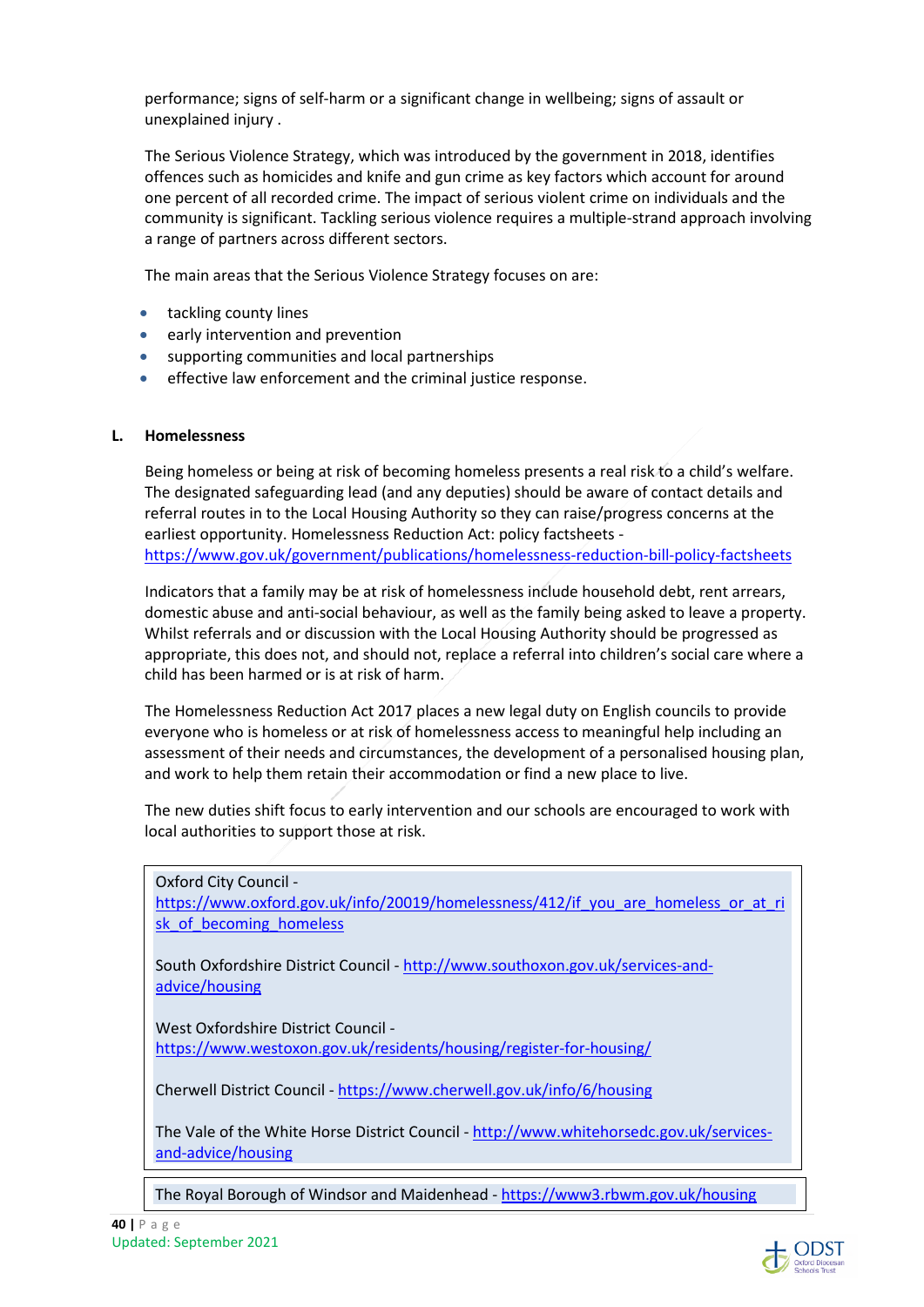performance; signs of self-harm or a significant change in wellbeing; signs of assault or unexplained injury .

The Serious Violence Strategy, which was introduced by the government in 2018, identifies offences such as homicides and knife and gun crime as key factors which account for around one percent of all recorded crime. The impact of serious violent crime on individuals and the community is significant. Tackling serious violence requires a multiple-strand approach involving a range of partners across different sectors.

The main areas that the Serious Violence Strategy focuses on are:

- tackling county lines
- early intervention and prevention
- supporting communities and local partnerships
- effective law enforcement and the criminal justice response.

#### **L. Homelessness**

Being homeless or being at risk of becoming homeless presents a real risk to a child's welfare. The designated safeguarding lead (and any deputies) should be aware of contact details and referral routes in to the Local Housing Authority so they can raise/progress concerns at the earliest opportunity. Homelessness Reduction Act: policy factsheets https://www.gov.uk/government/publications/homelessness-reduction-bill-policy-factsheets

Indicators that a family may be at risk of homelessness include household debt, rent arrears, domestic abuse and anti-social behaviour, as well as the family being asked to leave a property. Whilst referrals and or discussion with the Local Housing Authority should be progressed as appropriate, this does not, and should not, replace a referral into children's social care where a child has been harmed or is at risk of harm.

The Homelessness Reduction Act 2017 places a new legal duty on English councils to provide everyone who is homeless or at risk of homelessness access to meaningful help including an assessment of their needs and circumstances, the development of a personalised housing plan, and work to help them retain their accommodation or find a new place to live.

The new duties shift focus to early intervention and our schools are encouraged to work with local authorities to support those at risk.

Oxford City Council https://www.oxford.gov.uk/info/20019/homelessness/412/if you are homeless or at ri sk of becoming homeless

South Oxfordshire District Council - http://www.southoxon.gov.uk/services-andadvice/housing

West Oxfordshire District Council https://www.westoxon.gov.uk/residents/housing/register-for-housing/

Cherwell District Council - https://www.cherwell.gov.uk/info/6/housing

The Vale of the White Horse District Council - http://www.whitehorsedc.gov.uk/servicesand-advice/housing

The Royal Borough of Windsor and Maidenhead - https://www3.rbwm.gov.uk/housing

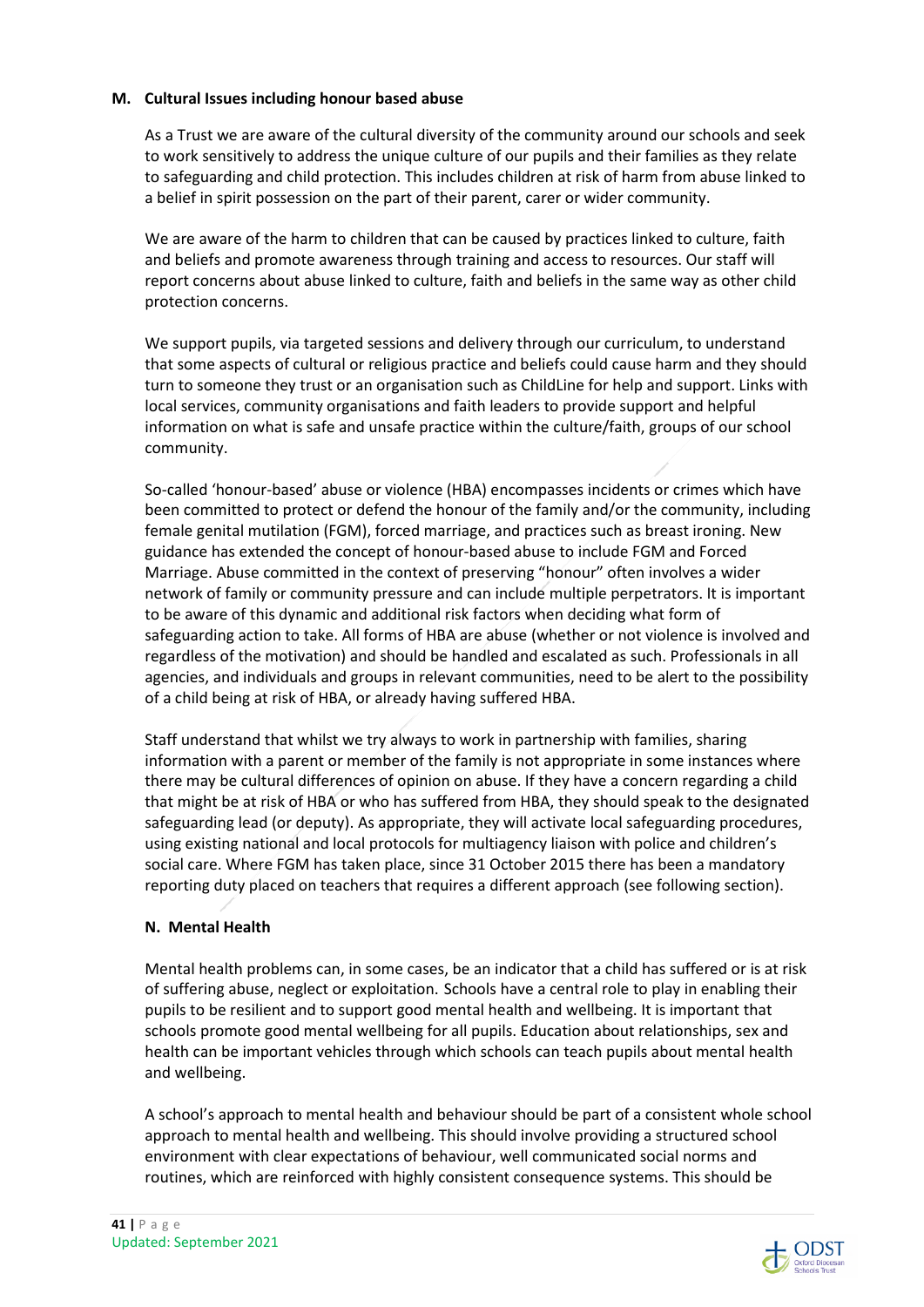#### **M. Cultural Issues including honour based abuse**

As a Trust we are aware of the cultural diversity of the community around our schools and seek to work sensitively to address the unique culture of our pupils and their families as they relate to safeguarding and child protection. This includes children at risk of harm from abuse linked to a belief in spirit possession on the part of their parent, carer or wider community.

We are aware of the harm to children that can be caused by practices linked to culture, faith and beliefs and promote awareness through training and access to resources. Our staff will report concerns about abuse linked to culture, faith and beliefs in the same way as other child protection concerns.

We support pupils, via targeted sessions and delivery through our curriculum, to understand that some aspects of cultural or religious practice and beliefs could cause harm and they should turn to someone they trust or an organisation such as ChildLine for help and support. Links with local services, community organisations and faith leaders to provide support and helpful information on what is safe and unsafe practice within the culture/faith, groups of our school community.

So-called 'honour-based' abuse or violence (HBA) encompasses incidents or crimes which have been committed to protect or defend the honour of the family and/or the community, including female genital mutilation (FGM), forced marriage, and practices such as breast ironing. New guidance has extended the concept of honour-based abuse to include FGM and Forced Marriage. Abuse committed in the context of preserving "honour" often involves a wider network of family or community pressure and can include multiple perpetrators. It is important to be aware of this dynamic and additional risk factors when deciding what form of safeguarding action to take. All forms of HBA are abuse (whether or not violence is involved and regardless of the motivation) and should be handled and escalated as such. Professionals in all agencies, and individuals and groups in relevant communities, need to be alert to the possibility of a child being at risk of HBA, or already having suffered HBA.

Staff understand that whilst we try always to work in partnership with families, sharing information with a parent or member of the family is not appropriate in some instances where there may be cultural differences of opinion on abuse. If they have a concern regarding a child that might be at risk of HBA or who has suffered from HBA, they should speak to the designated safeguarding lead (or deputy). As appropriate, they will activate local safeguarding procedures, using existing national and local protocols for multiagency liaison with police and children's social care. Where FGM has taken place, since 31 October 2015 there has been a mandatory reporting duty placed on teachers that requires a different approach (see following section).

#### **N. Mental Health**

Mental health problems can, in some cases, be an indicator that a child has suffered or is at risk of suffering abuse, neglect or exploitation. Schools have a central role to play in enabling their pupils to be resilient and to support good mental health and wellbeing. It is important that schools promote good mental wellbeing for all pupils. Education about relationships, sex and health can be important vehicles through which schools can teach pupils about mental health and wellbeing.

A school's approach to mental health and behaviour should be part of a consistent whole school approach to mental health and wellbeing. This should involve providing a structured school environment with clear expectations of behaviour, well communicated social norms and routines, which are reinforced with highly consistent consequence systems. This should be

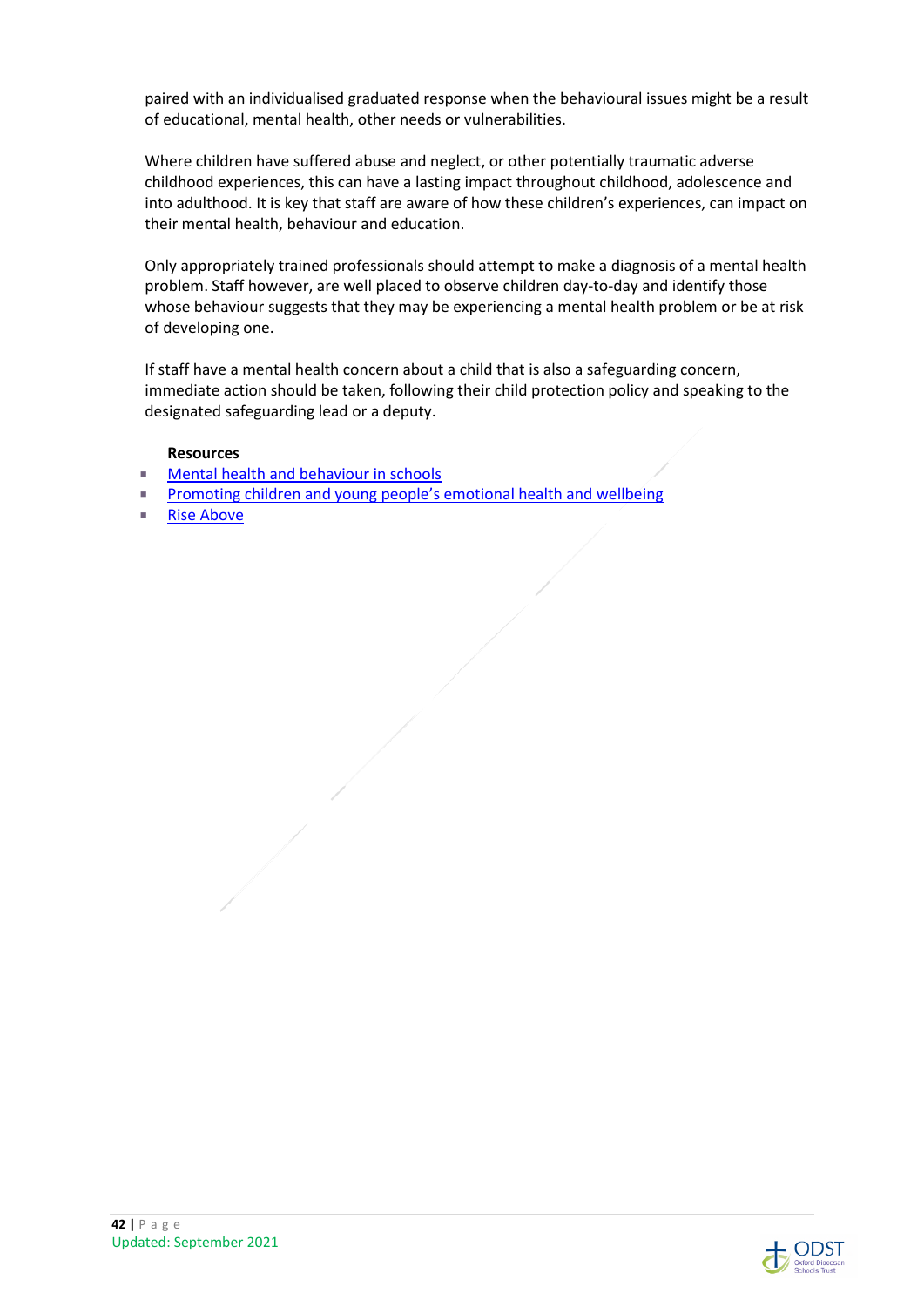paired with an individualised graduated response when the behavioural issues might be a result of educational, mental health, other needs or vulnerabilities.

Where children have suffered abuse and neglect, or other potentially traumatic adverse childhood experiences, this can have a lasting impact throughout childhood, adolescence and into adulthood. It is key that staff are aware of how these children's experiences, can impact on their mental health, behaviour and education.

Only appropriately trained professionals should attempt to make a diagnosis of a mental health problem. Staff however, are well placed to observe children day-to-day and identify those whose behaviour suggests that they may be experiencing a mental health problem or be at risk of developing one.

If staff have a mental health concern about a child that is also a safeguarding concern, immediate action should be taken, following their child protection policy and speaking to the designated safeguarding lead or a deputy.

#### **Resources**

- **Mental health and behaviour in schools**
- **Promoting children and young people's emotional health and wellbeing**
- Rise Above

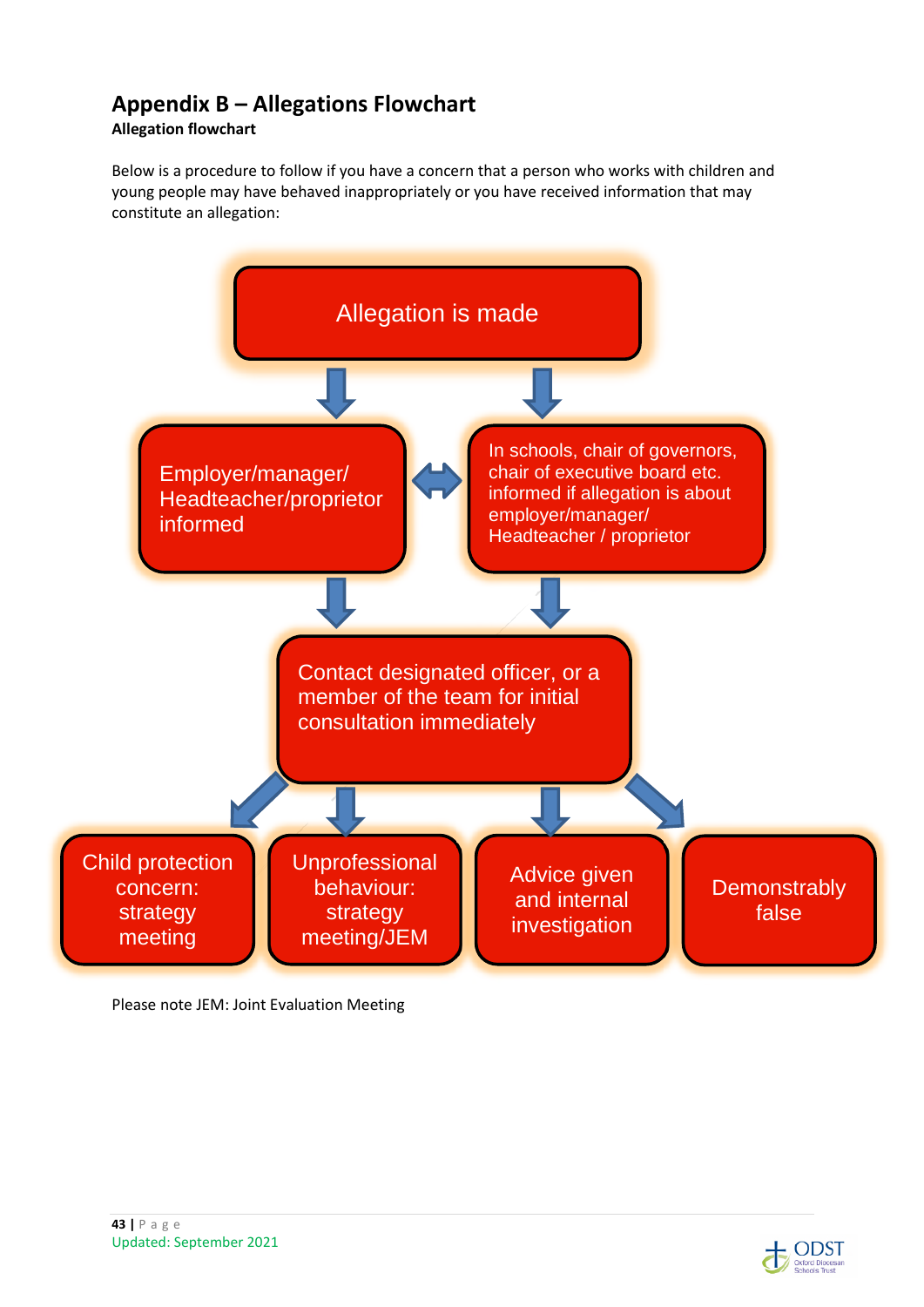# **Appendix B – Allegations Flowchart**

## **Allegation flowchart**

Below is a procedure to follow if you have a concern that a person who works with children and young people may have behaved inappropriately or you have received information that may constitute an allegation:



Please note JEM: Joint Evaluation Meeting



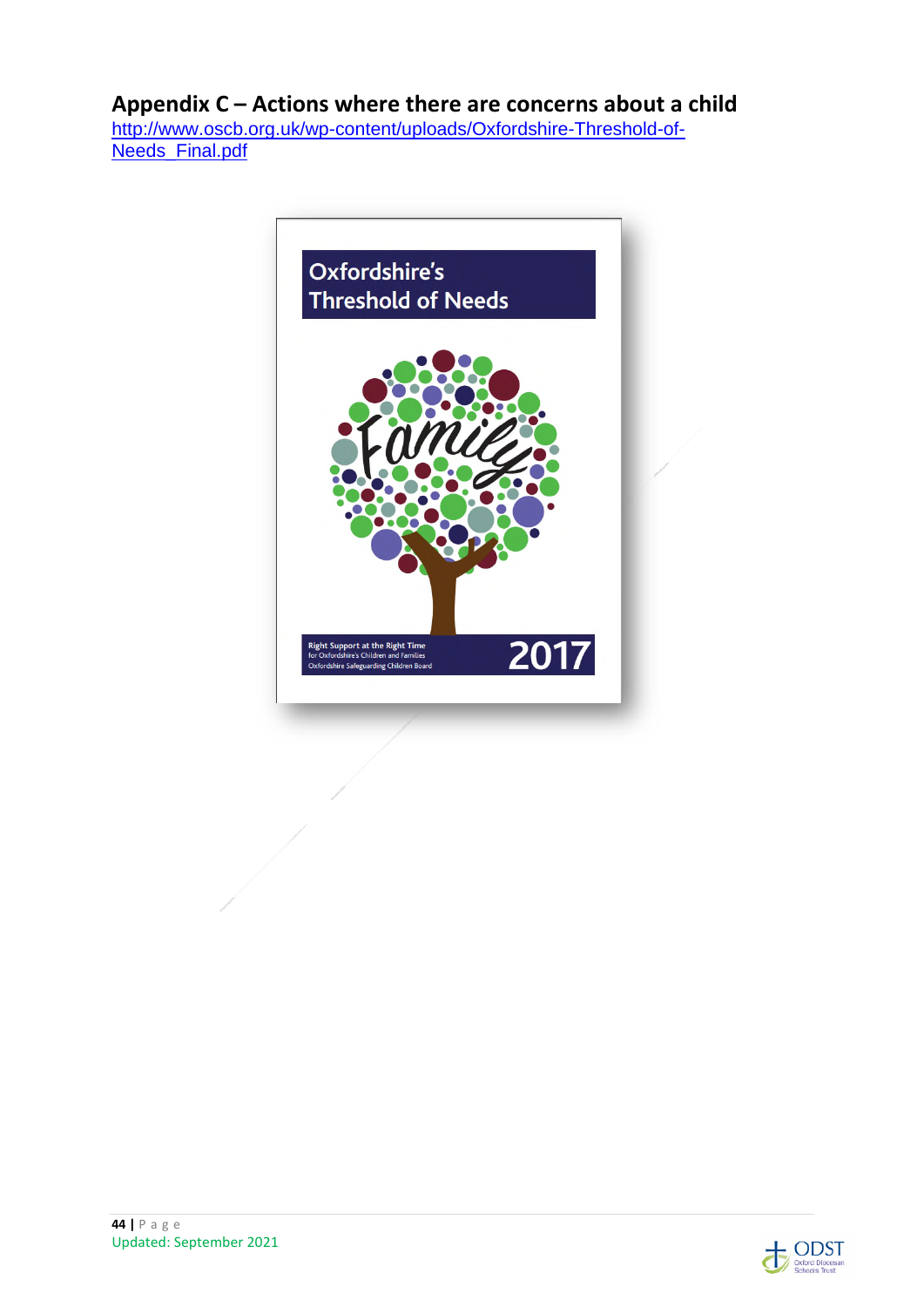## **Appendix C – Actions where there are concerns about a child**

http://www.oscb.org.uk/wp-content/uploads/Oxfordshire-Threshold-of-Needs\_Final.pdf



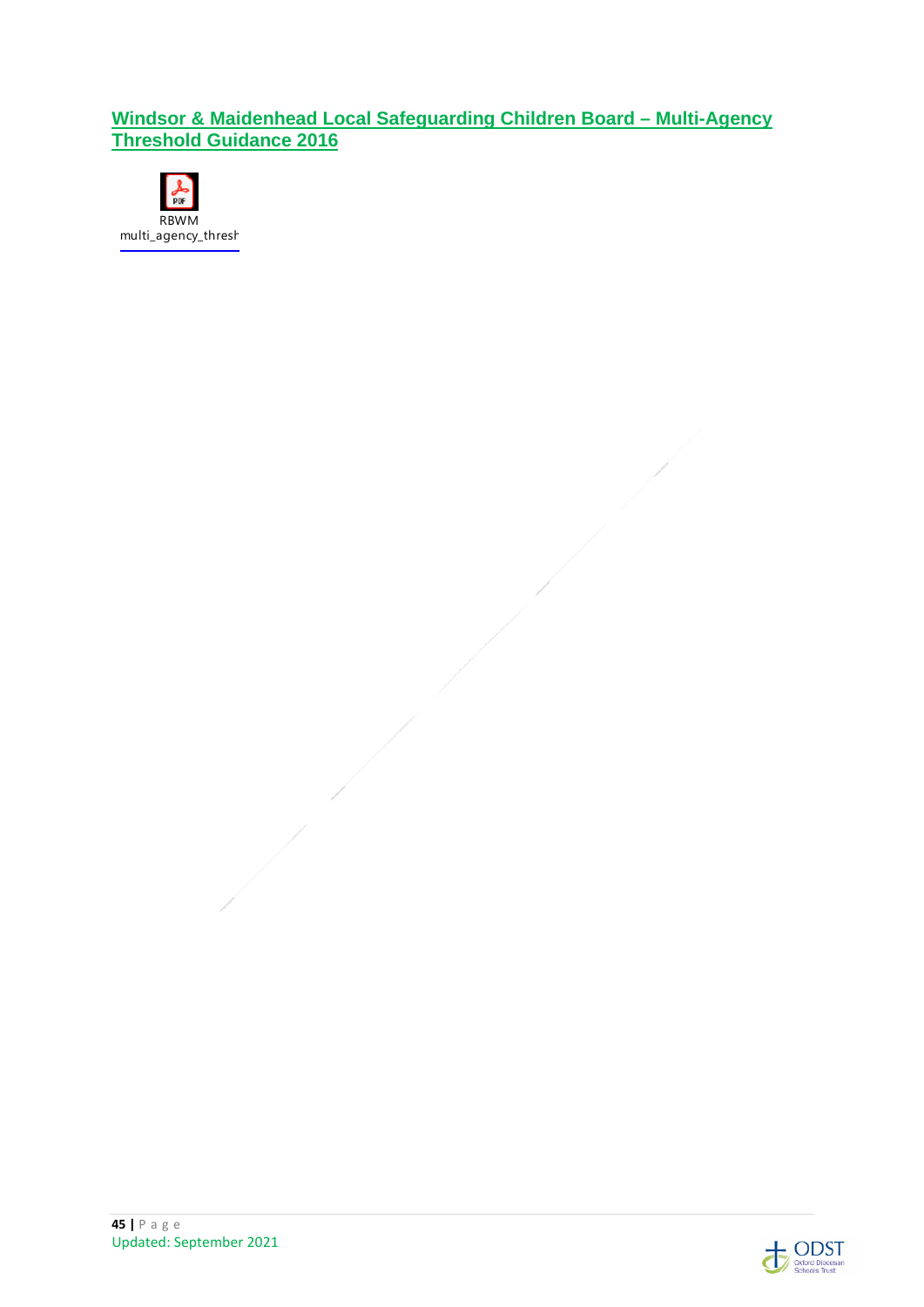## **Windsor & Maidenhead Local Safeguarding Children Board – Multi-Agency Threshold Guidance 2016**





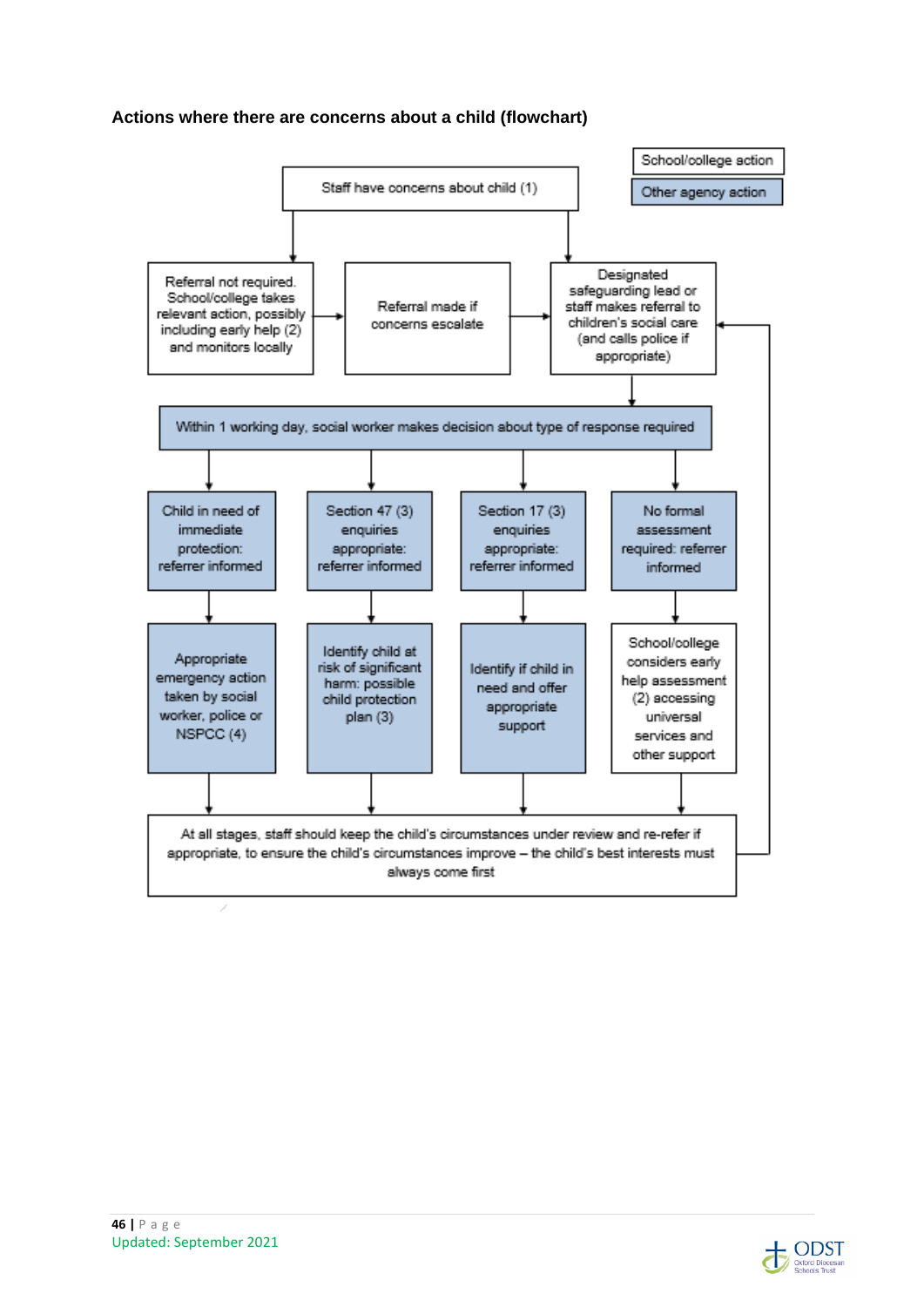#### **Actions where there are concerns about a child (flowchart)**



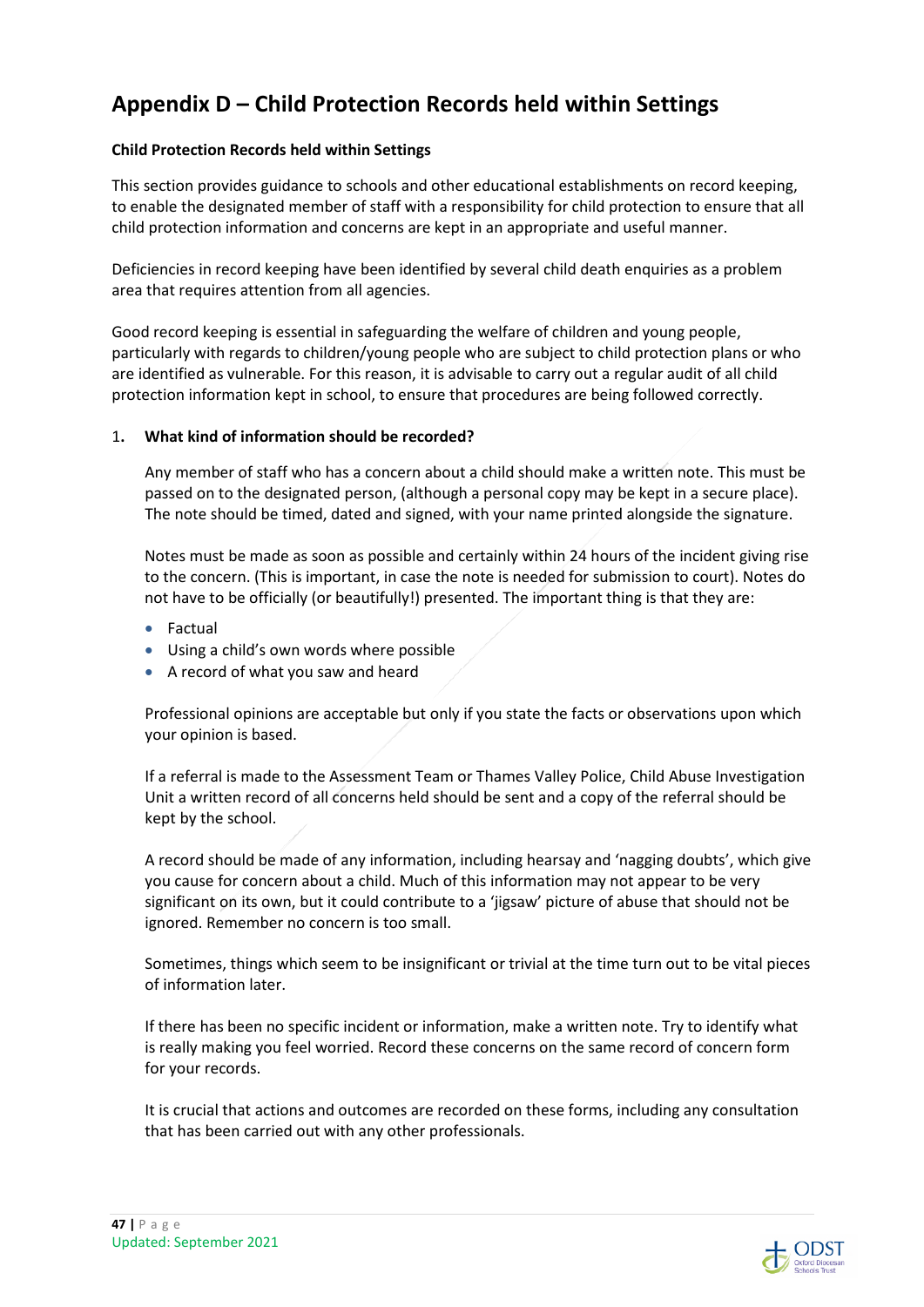# **Appendix D – Child Protection Records held within Settings**

#### **Child Protection Records held within Settings**

This section provides guidance to schools and other educational establishments on record keeping, to enable the designated member of staff with a responsibility for child protection to ensure that all child protection information and concerns are kept in an appropriate and useful manner.

Deficiencies in record keeping have been identified by several child death enquiries as a problem area that requires attention from all agencies.

Good record keeping is essential in safeguarding the welfare of children and young people, particularly with regards to children/young people who are subject to child protection plans or who are identified as vulnerable. For this reason, it is advisable to carry out a regular audit of all child protection information kept in school, to ensure that procedures are being followed correctly.

#### 1**. What kind of information should be recorded?**

Any member of staff who has a concern about a child should make a written note. This must be passed on to the designated person, (although a personal copy may be kept in a secure place). The note should be timed, dated and signed, with your name printed alongside the signature.

Notes must be made as soon as possible and certainly within 24 hours of the incident giving rise to the concern. (This is important, in case the note is needed for submission to court). Notes do not have to be officially (or beautifully!) presented. The important thing is that they are:

- Factual
- Using a child's own words where possible
- A record of what you saw and heard

Professional opinions are acceptable but only if you state the facts or observations upon which your opinion is based.

If a referral is made to the Assessment Team or Thames Valley Police, Child Abuse Investigation Unit a written record of all concerns held should be sent and a copy of the referral should be kept by the school.

A record should be made of any information, including hearsay and 'nagging doubts', which give you cause for concern about a child. Much of this information may not appear to be very significant on its own, but it could contribute to a 'jigsaw' picture of abuse that should not be ignored. Remember no concern is too small.

Sometimes, things which seem to be insignificant or trivial at the time turn out to be vital pieces of information later.

If there has been no specific incident or information, make a written note. Try to identify what is really making you feel worried. Record these concerns on the same record of concern form for your records.

It is crucial that actions and outcomes are recorded on these forms, including any consultation that has been carried out with any other professionals.

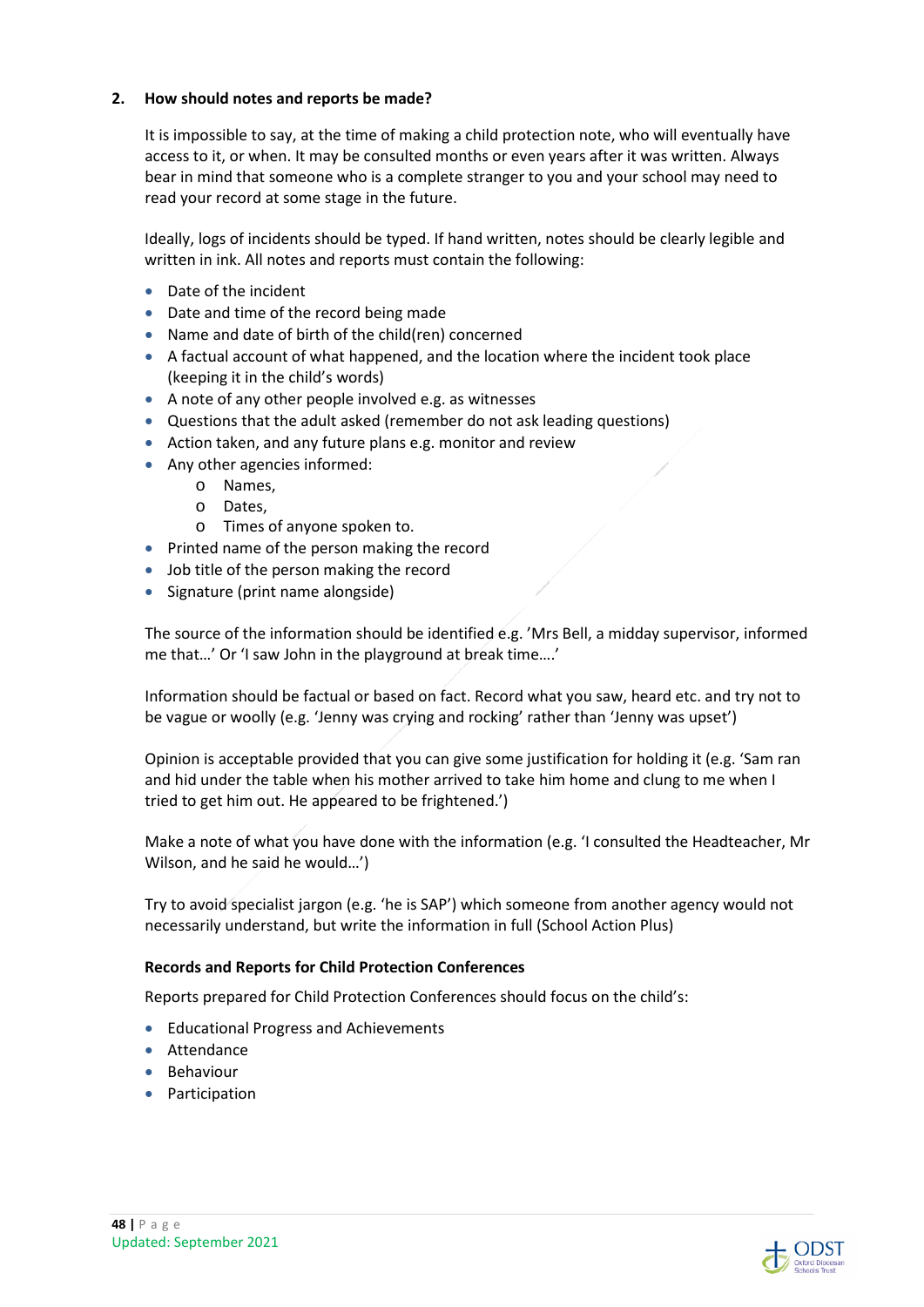#### **2. How should notes and reports be made?**

It is impossible to say, at the time of making a child protection note, who will eventually have access to it, or when. It may be consulted months or even years after it was written. Always bear in mind that someone who is a complete stranger to you and your school may need to read your record at some stage in the future.

Ideally, logs of incidents should be typed. If hand written, notes should be clearly legible and written in ink. All notes and reports must contain the following:

- Date of the incident
- Date and time of the record being made
- Name and date of birth of the child(ren) concerned
- A factual account of what happened, and the location where the incident took place (keeping it in the child's words)
- A note of any other people involved e.g. as witnesses
- Questions that the adult asked (remember do not ask leading questions)
- Action taken, and any future plans e.g. monitor and review
- Any other agencies informed:
	- o Names,
		- o Dates,
		- o Times of anyone spoken to.
- Printed name of the person making the record
- Job title of the person making the record
- Signature (print name alongside)

The source of the information should be identified e.g. 'Mrs Bell, a midday supervisor, informed me that…' Or 'I saw John in the playground at break time….'

Information should be factual or based on fact. Record what you saw, heard etc. and try not to be vague or woolly (e.g. 'Jenny was crying and rocking' rather than 'Jenny was upset')

Opinion is acceptable provided that you can give some justification for holding it (e.g. 'Sam ran and hid under the table when his mother arrived to take him home and clung to me when I tried to get him out. He appeared to be frightened.')

Make a note of what you have done with the information (e.g. 'I consulted the Headteacher, Mr Wilson, and he said he would…')

Try to avoid specialist jargon (e.g. 'he is SAP') which someone from another agency would not necessarily understand, but write the information in full (School Action Plus)

#### **Records and Reports for Child Protection Conferences**

Reports prepared for Child Protection Conferences should focus on the child's:

- **•** Educational Progress and Achievements
- **Attendance**
- Behaviour
- Participation

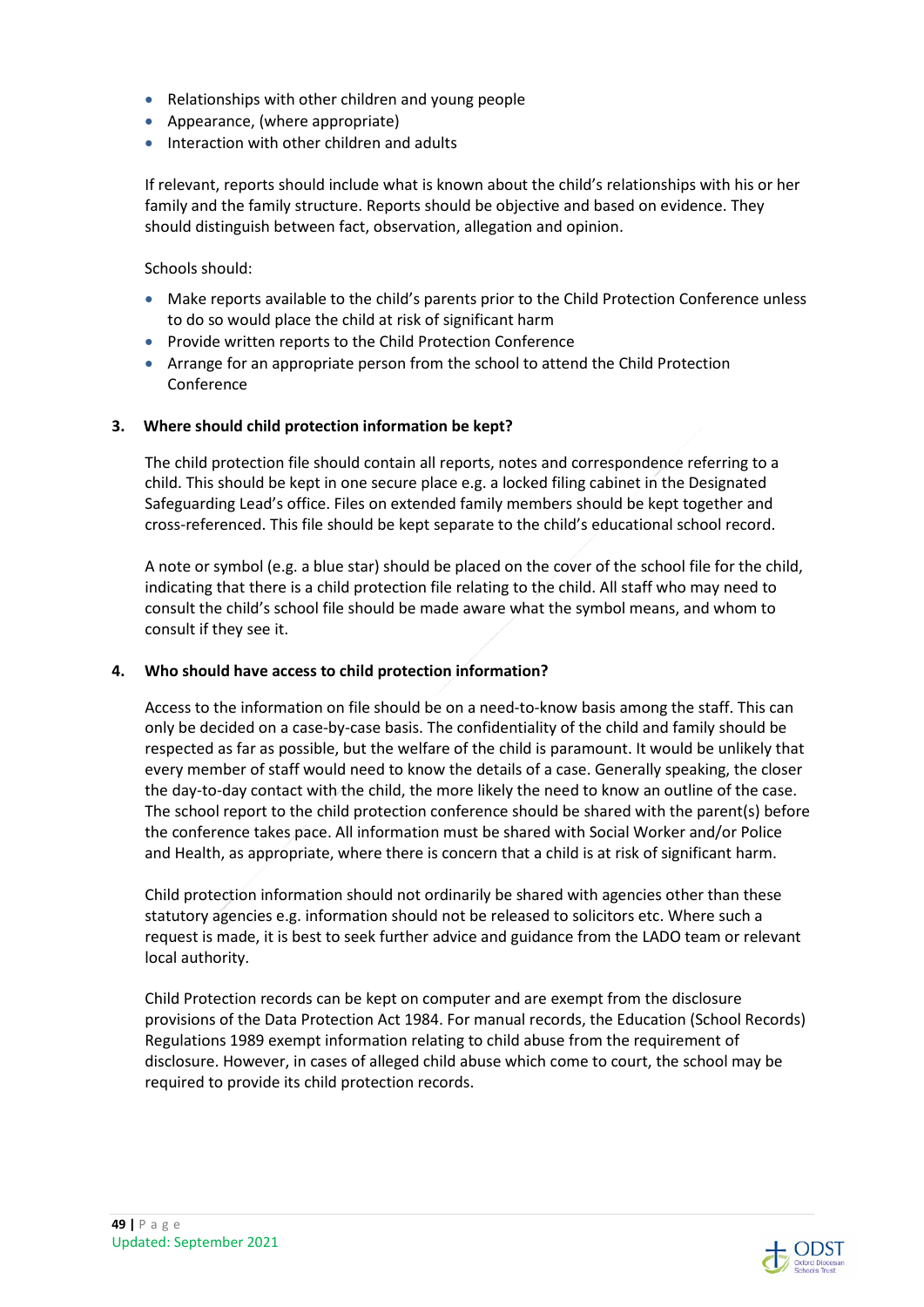- Relationships with other children and young people
- Appearance, (where appropriate)
- Interaction with other children and adults

If relevant, reports should include what is known about the child's relationships with his or her family and the family structure. Reports should be objective and based on evidence. They should distinguish between fact, observation, allegation and opinion.

Schools should:

- Make reports available to the child's parents prior to the Child Protection Conference unless to do so would place the child at risk of significant harm
- Provide written reports to the Child Protection Conference
- Arrange for an appropriate person from the school to attend the Child Protection Conference

#### **3. Where should child protection information be kept?**

The child protection file should contain all reports, notes and correspondence referring to a child. This should be kept in one secure place e.g. a locked filing cabinet in the Designated Safeguarding Lead's office. Files on extended family members should be kept together and cross-referenced. This file should be kept separate to the child's educational school record.

A note or symbol (e.g. a blue star) should be placed on the cover of the school file for the child, indicating that there is a child protection file relating to the child. All staff who may need to consult the child's school file should be made aware what the symbol means, and whom to consult if they see it.

#### **4. Who should have access to child protection information?**

Access to the information on file should be on a need-to-know basis among the staff. This can only be decided on a case-by-case basis. The confidentiality of the child and family should be respected as far as possible, but the welfare of the child is paramount. It would be unlikely that every member of staff would need to know the details of a case. Generally speaking, the closer the day-to-day contact with the child, the more likely the need to know an outline of the case. The school report to the child protection conference should be shared with the parent(s) before the conference takes pace. All information must be shared with Social Worker and/or Police and Health, as appropriate, where there is concern that a child is at risk of significant harm.

Child protection information should not ordinarily be shared with agencies other than these statutory agencies e.g. information should not be released to solicitors etc. Where such a request is made, it is best to seek further advice and guidance from the LADO team or relevant local authority.

Child Protection records can be kept on computer and are exempt from the disclosure provisions of the Data Protection Act 1984. For manual records, the Education (School Records) Regulations 1989 exempt information relating to child abuse from the requirement of disclosure. However, in cases of alleged child abuse which come to court, the school may be required to provide its child protection records.

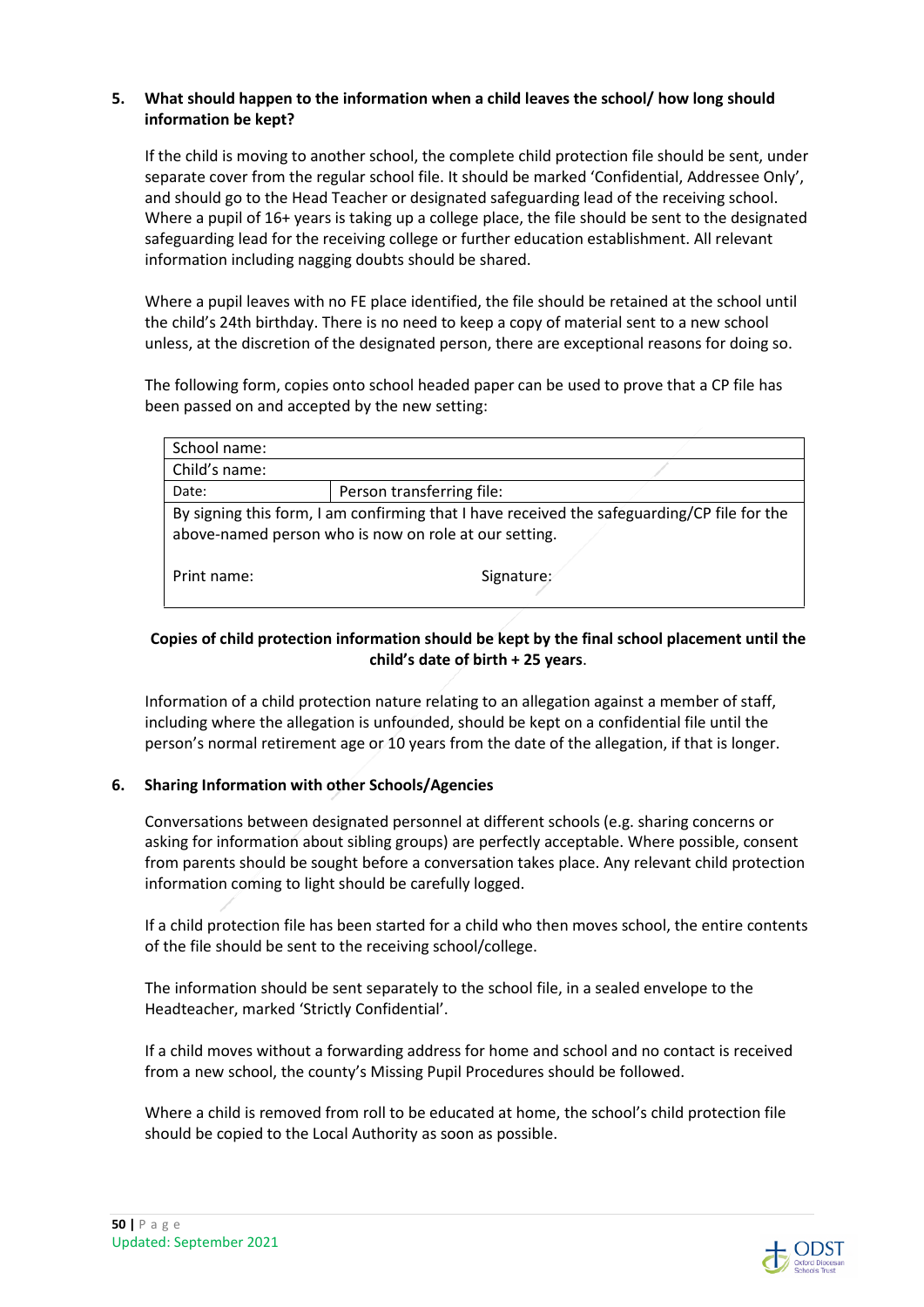#### **5. What should happen to the information when a child leaves the school/ how long should information be kept?**

If the child is moving to another school, the complete child protection file should be sent, under separate cover from the regular school file. It should be marked 'Confidential, Addressee Only', and should go to the Head Teacher or designated safeguarding lead of the receiving school. Where a pupil of 16+ years is taking up a college place, the file should be sent to the designated safeguarding lead for the receiving college or further education establishment. All relevant information including nagging doubts should be shared.

Where a pupil leaves with no FE place identified, the file should be retained at the school until the child's 24th birthday. There is no need to keep a copy of material sent to a new school unless, at the discretion of the designated person, there are exceptional reasons for doing so.

The following form, copies onto school headed paper can be used to prove that a CP file has been passed on and accepted by the new setting:

| School name:                                                                                                                                         |                           |  |
|------------------------------------------------------------------------------------------------------------------------------------------------------|---------------------------|--|
| Child's name:                                                                                                                                        |                           |  |
| Date:                                                                                                                                                | Person transferring file: |  |
| By signing this form, I am confirming that I have received the safeguarding/CP file for the<br>above-named person who is now on role at our setting. |                           |  |
| Print name:                                                                                                                                          | Signature:                |  |

#### **Copies of child protection information should be kept by the final school placement until the child's date of birth + 25 years**.

Information of a child protection nature relating to an allegation against a member of staff, including where the allegation is unfounded, should be kept on a confidential file until the person's normal retirement age or 10 years from the date of the allegation, if that is longer.

#### **6. Sharing Information with other Schools/Agencies**

Conversations between designated personnel at different schools (e.g. sharing concerns or asking for information about sibling groups) are perfectly acceptable. Where possible, consent from parents should be sought before a conversation takes place. Any relevant child protection information coming to light should be carefully logged.

If a child protection file has been started for a child who then moves school, the entire contents of the file should be sent to the receiving school/college.

The information should be sent separately to the school file, in a sealed envelope to the Headteacher, marked 'Strictly Confidential'.

If a child moves without a forwarding address for home and school and no contact is received from a new school, the county's Missing Pupil Procedures should be followed.

Where a child is removed from roll to be educated at home, the school's child protection file should be copied to the Local Authority as soon as possible.

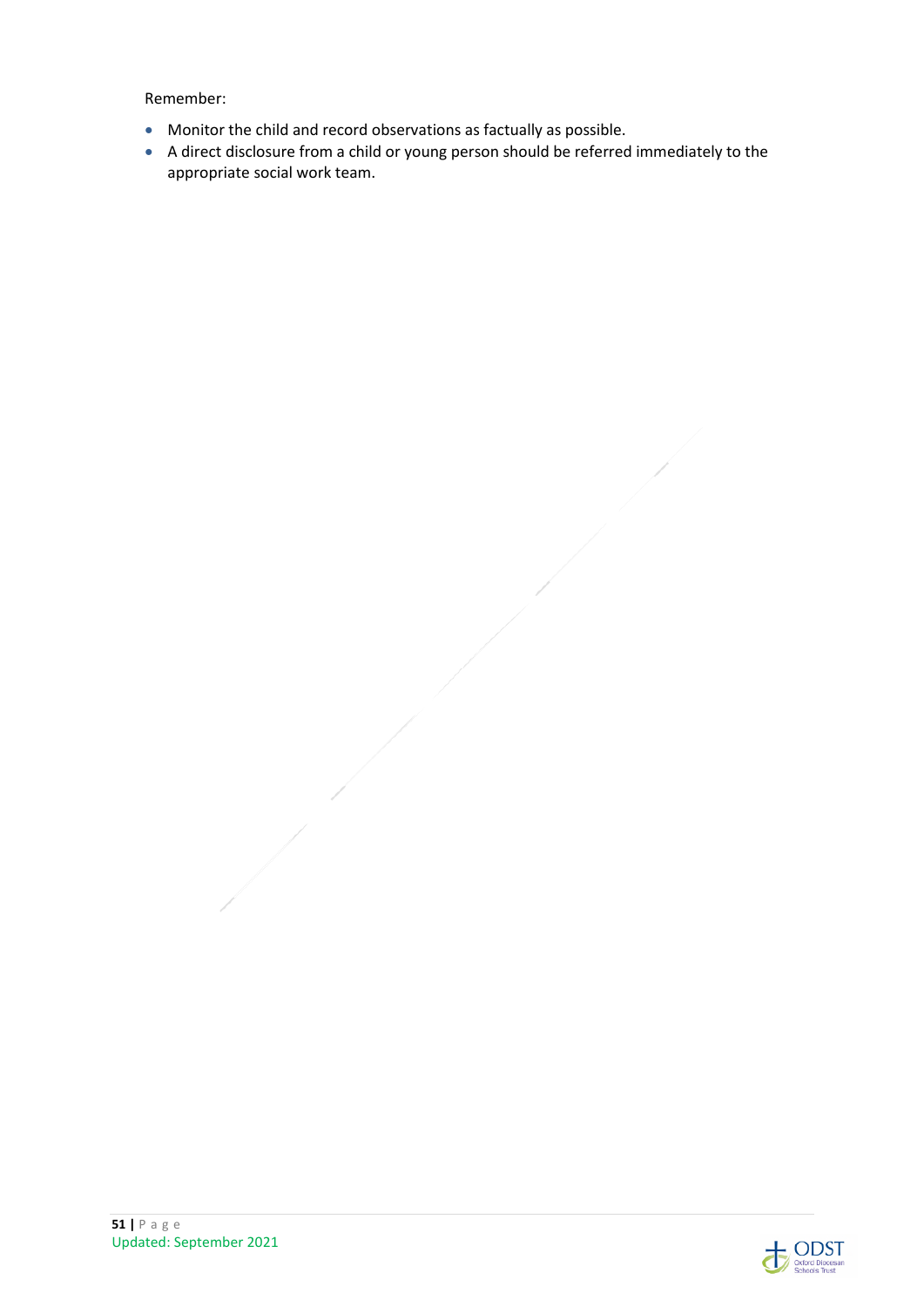Remember:

- Monitor the child and record observations as factually as possible.
- A direct disclosure from a child or young person should be referred immediately to the appropriate social work team.

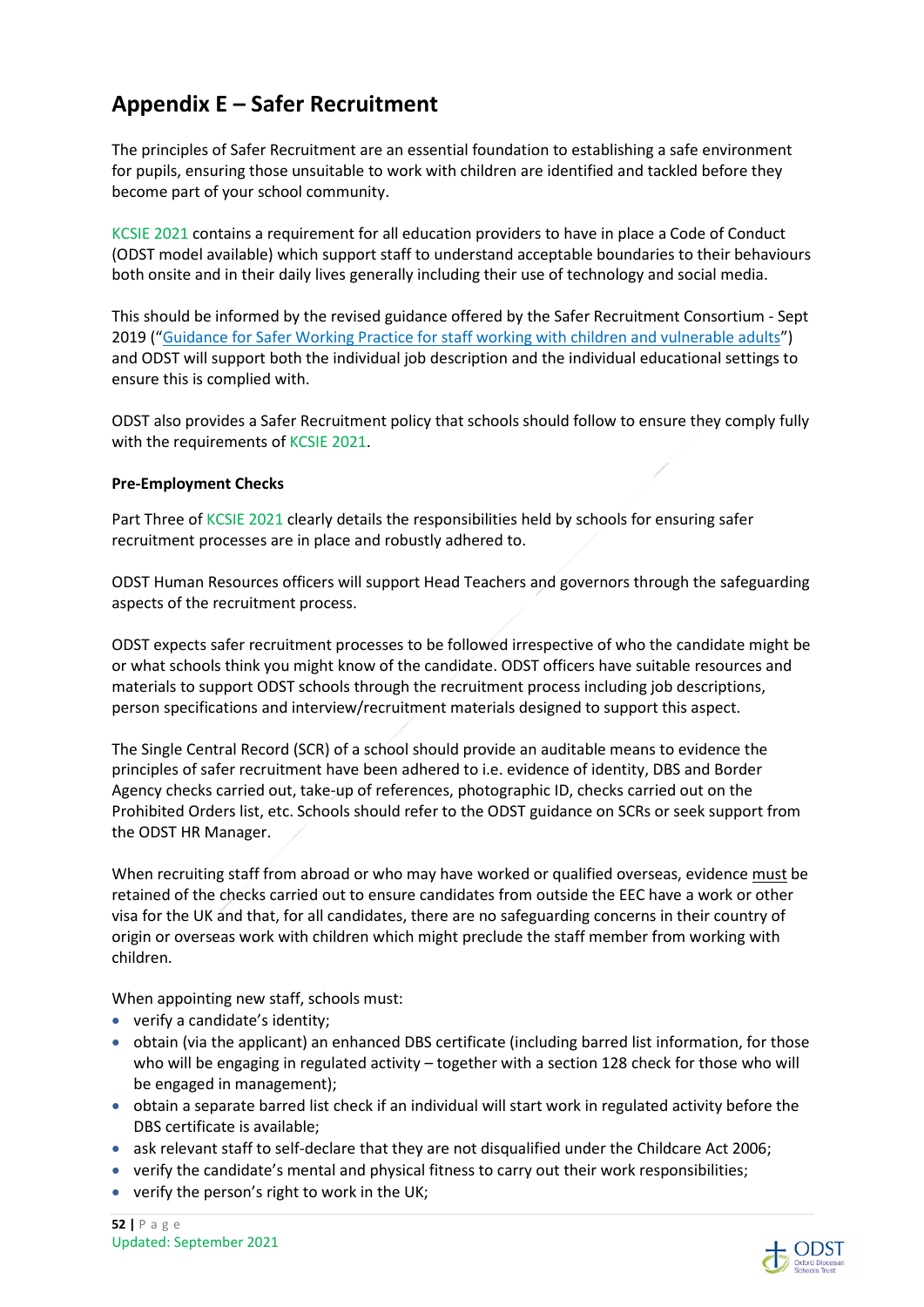## **Appendix E – Safer Recruitment**

The principles of Safer Recruitment are an essential foundation to establishing a safe environment for pupils, ensuring those unsuitable to work with children are identified and tackled before they become part of your school community.

KCSIE 2021 contains a requirement for all education providers to have in place a Code of Conduct (ODST model available) which support staff to understand acceptable boundaries to their behaviours both onsite and in their daily lives generally including their use of technology and social media.

This should be informed by the revised guidance offered by the Safer Recruitment Consortium - Sept 2019 ("Guidance for Safer Working Practice for staff working with children and vulnerable adults") and ODST will support both the individual job description and the individual educational settings to ensure this is complied with.

ODST also provides a Safer Recruitment policy that schools should follow to ensure they comply fully with the requirements of KCSIE 2021.

#### **Pre-Employment Checks**

Part Three of KCSIE 2021 clearly details the responsibilities held by schools for ensuring safer recruitment processes are in place and robustly adhered to.

ODST Human Resources officers will support Head Teachers and governors through the safeguarding aspects of the recruitment process.

ODST expects safer recruitment processes to be followed irrespective of who the candidate might be or what schools think you might know of the candidate. ODST officers have suitable resources and materials to support ODST schools through the recruitment process including job descriptions, person specifications and interview/recruitment materials designed to support this aspect.

The Single Central Record (SCR) of a school should provide an auditable means to evidence the principles of safer recruitment have been adhered to i.e. evidence of identity, DBS and Border Agency checks carried out, take-up of references, photographic ID, checks carried out on the Prohibited Orders list, etc. Schools should refer to the ODST guidance on SCRs or seek support from the ODST HR Manager.

When recruiting staff from abroad or who may have worked or qualified overseas, evidence must be retained of the checks carried out to ensure candidates from outside the EEC have a work or other visa for the UK and that, for all candidates, there are no safeguarding concerns in their country of origin or overseas work with children which might preclude the staff member from working with children.

When appointing new staff, schools must:

- verify a candidate's identity;
- obtain (via the applicant) an enhanced DBS certificate (including barred list information, for those who will be engaging in regulated activity – together with a section 128 check for those who will be engaged in management);
- obtain a separate barred list check if an individual will start work in regulated activity before the DBS certificate is available;
- ask relevant staff to self-declare that they are not disqualified under the Childcare Act 2006;
- verify the candidate's mental and physical fitness to carry out their work responsibilities;
- verify the person's right to work in the UK;

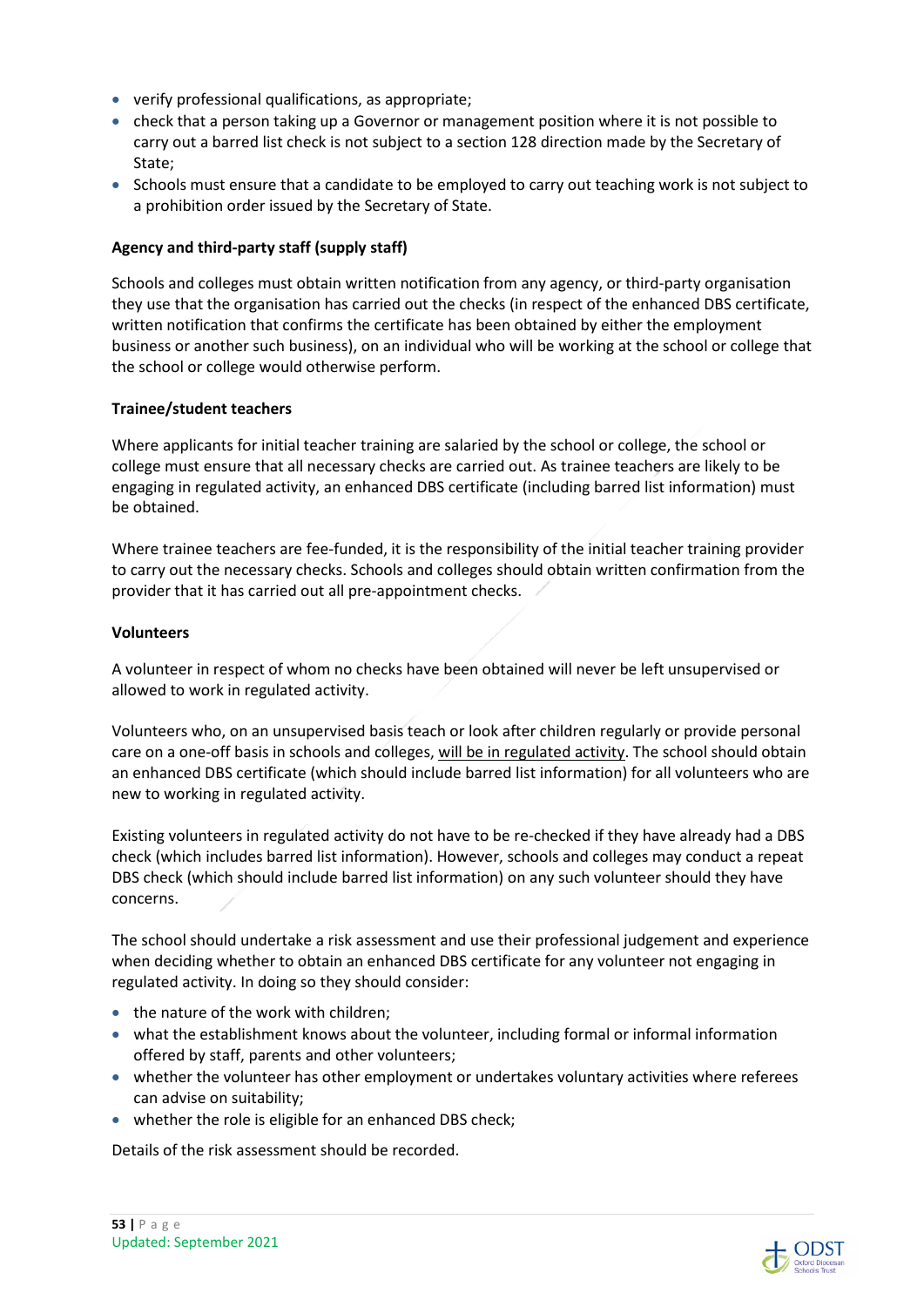- verify professional qualifications, as appropriate;
- check that a person taking up a Governor or management position where it is not possible to carry out a barred list check is not subject to a section 128 direction made by the Secretary of State;
- Schools must ensure that a candidate to be employed to carry out teaching work is not subject to a prohibition order issued by the Secretary of State.

#### **Agency and third-party staff (supply staff)**

Schools and colleges must obtain written notification from any agency, or third-party organisation they use that the organisation has carried out the checks (in respect of the enhanced DBS certificate, written notification that confirms the certificate has been obtained by either the employment business or another such business), on an individual who will be working at the school or college that the school or college would otherwise perform.

#### **Trainee/student teachers**

Where applicants for initial teacher training are salaried by the school or college, the school or college must ensure that all necessary checks are carried out. As trainee teachers are likely to be engaging in regulated activity, an enhanced DBS certificate (including barred list information) must be obtained.

Where trainee teachers are fee-funded, it is the responsibility of the initial teacher training provider to carry out the necessary checks. Schools and colleges should obtain written confirmation from the provider that it has carried out all pre-appointment checks.

#### **Volunteers**

A volunteer in respect of whom no checks have been obtained will never be left unsupervised or allowed to work in regulated activity.

Volunteers who, on an unsupervised basis teach or look after children regularly or provide personal care on a one-off basis in schools and colleges, will be in regulated activity. The school should obtain an enhanced DBS certificate (which should include barred list information) for all volunteers who are new to working in regulated activity.

Existing volunteers in regulated activity do not have to be re-checked if they have already had a DBS check (which includes barred list information). However, schools and colleges may conduct a repeat DBS check (which should include barred list information) on any such volunteer should they have concerns.

The school should undertake a risk assessment and use their professional judgement and experience when deciding whether to obtain an enhanced DBS certificate for any volunteer not engaging in regulated activity. In doing so they should consider:

- the nature of the work with children;
- what the establishment knows about the volunteer, including formal or informal information offered by staff, parents and other volunteers;
- whether the volunteer has other employment or undertakes voluntary activities where referees can advise on suitability;
- whether the role is eligible for an enhanced DBS check;

Details of the risk assessment should be recorded.